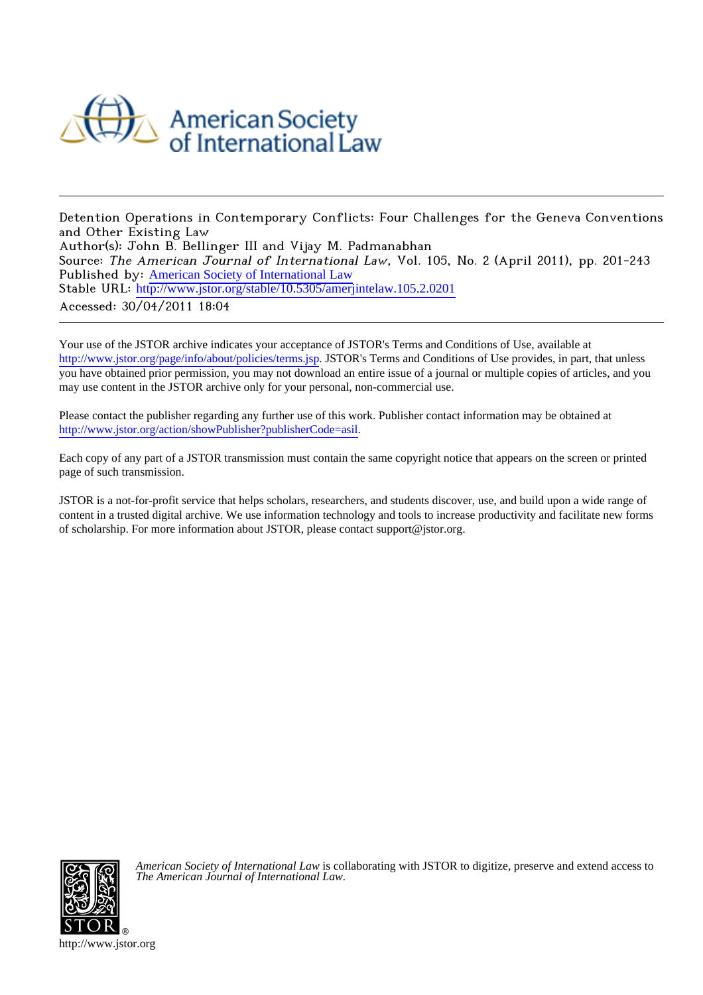

Detention Operations in Contemporary Conflicts: Four Challenges for the Geneva Conventions and Other Existing Law Author(s): John B. Bellinger III and Vijay M. Padmanabhan Source: The American Journal of International Law, Vol. 105, No. 2 (April 2011), pp. 201-243 Published by: [American Society of International Law](http://www.jstor.org/action/showPublisher?publisherCode=asil) Stable URL: [http://www.jstor.org/stable/10.5305/amerjintelaw.105.2.0201](http://www.jstor.org/stable/10.5305/amerjintelaw.105.2.0201?origin=JSTOR-pdf) . Accessed: 30/04/2011 18:04

Your use of the JSTOR archive indicates your acceptance of JSTOR's Terms and Conditions of Use, available at <http://www.jstor.org/page/info/about/policies/terms.jsp>. JSTOR's Terms and Conditions of Use provides, in part, that unless you have obtained prior permission, you may not download an entire issue of a journal or multiple copies of articles, and you may use content in the JSTOR archive only for your personal, non-commercial use.

Please contact the publisher regarding any further use of this work. Publisher contact information may be obtained at [http://www.jstor.org/action/showPublisher?publisherCode=asil.](http://www.jstor.org/action/showPublisher?publisherCode=asil) .

Each copy of any part of a JSTOR transmission must contain the same copyright notice that appears on the screen or printed page of such transmission.

JSTOR is a not-for-profit service that helps scholars, researchers, and students discover, use, and build upon a wide range of content in a trusted digital archive. We use information technology and tools to increase productivity and facilitate new forms of scholarship. For more information about JSTOR, please contact support@jstor.org.



*American Society of International Law* is collaborating with JSTOR to digitize, preserve and extend access to *The American Journal of International Law.*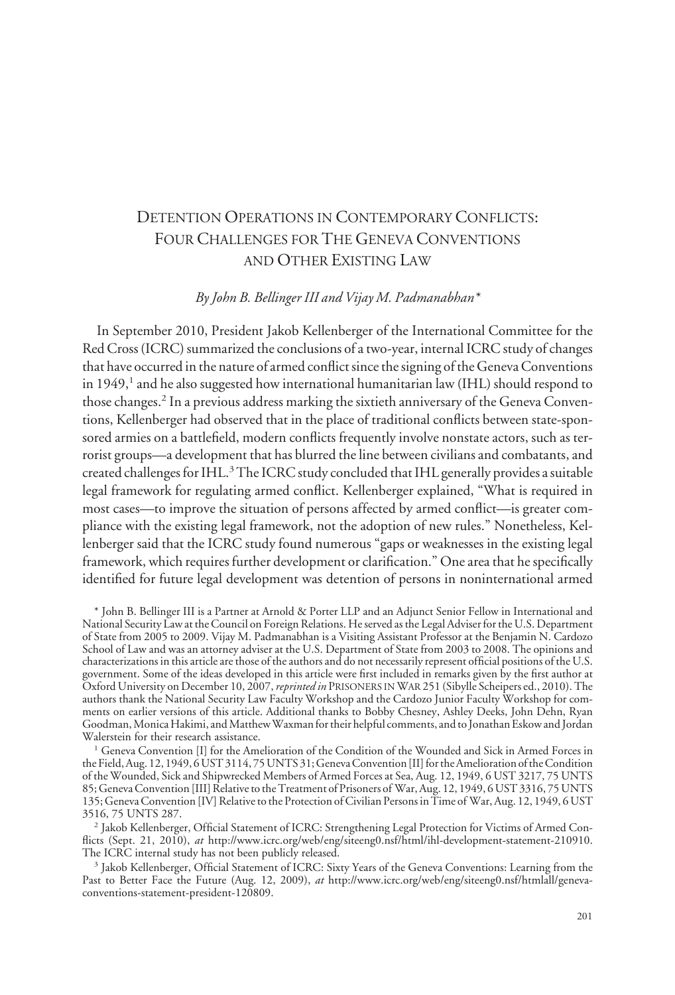# DETENTION OPERATIONS IN CONTEMPORARY CONFLICTS: FOUR CHALLENGES FOR THE GENEVA CONVENTIONS AND OTHER EXISTING LAW

## *By John B. Bellinger III and Vijay M. Padmanabhan\**

In September 2010, President Jakob Kellenberger of the International Committee for the Red Cross (ICRC) summarized the conclusions of a two-year, internal ICRC study of changes that have occurred in the nature of armed conflict since the signing of the Geneva Conventions in  $1949<sup>1</sup>$  and he also suggested how international humanitarian law (IHL) should respond to those changes.<sup>2</sup> In a previous address marking the sixtieth anniversary of the Geneva Conventions, Kellenberger had observed that in the place of traditional conflicts between state-sponsored armies on a battlefield, modern conflicts frequently involve nonstate actors, such as terrorist groups—a development that has blurred the line between civilians and combatants, and created challenges for IHL.<sup>3</sup> The ICRC study concluded that IHL generally provides a suitable legal framework for regulating armed conflict. Kellenberger explained, "What is required in most cases—to improve the situation of persons affected by armed conflict—is greater compliance with the existing legal framework, not the adoption of new rules." Nonetheless, Kellenberger said that the ICRC study found numerous "gaps or weaknesses in the existing legal framework, which requires further development or clarification." One area that he specifically identified for future legal development was detention of persons in noninternational armed

<sup>\*</sup> John B. Bellinger III is a Partner at Arnold & Porter LLP and an Adjunct Senior Fellow in International and National Security Law at the Council on Foreign Relations. He served as the Legal Adviser for the U.S. Department of State from 2005 to 2009. Vijay M. Padmanabhan is a Visiting Assistant Professor at the Benjamin N. Cardozo School of Law and was an attorney adviser at the U.S. Department of State from 2003 to 2008. The opinions and characterizations in this article are those of the authors and do not necessarily represent official positions of the U.S. government. Some of the ideas developed in this article were first included in remarks given by the first author at Oxford University on December 10, 2007,*reprinted in* PRISONERS IN WAR 251 (Sibylle Scheipers ed., 2010). The authors thank the National Security Law Faculty Workshop and the Cardozo Junior Faculty Workshop for comments on earlier versions of this article. Additional thanks to Bobby Chesney, Ashley Deeks, John Dehn, Ryan Goodman, Monica Hakimi, and Matthew Waxman for their helpful comments, and to Jonathan Eskow and Jordan Walerstein for their research assistance.

Geneva Convention [I] for the Amelioration of the Condition of the Wounded and Sick in Armed Forces in the Field, Aug. 12, 1949, 6 UST 3114, 75 UNTS 31; Geneva Convention [II] for the Amelioration of the Condition of the Wounded, Sick and Shipwrecked Members of Armed Forces at Sea, Aug. 12, 1949, 6 UST 3217, 75 UNTS 85; Geneva Convention [III] Relative to the Treatment of Prisoners of War, Aug. 12, 1949, 6 UST 3316, 75 UNTS 135; Geneva Convention [IV] Relative to the Protection of Civilian Persons in Time of War, Aug. 12, 1949, 6 UST 3516, 75 UNTS 287.

<sup>2</sup> Jakob Kellenberger, Official Statement of ICRC: Strengthening Legal Protection for Victims of Armed Conflicts (Sept. 21, 2010), *at* http://www.icrc.org/web/eng/siteeng0.nsf/html/ihl-development-statement-210910. The ICRC internal study has not been publicly released.

<sup>3</sup> Jakob Kellenberger, Official Statement of ICRC: Sixty Years of the Geneva Conventions: Learning from the Past to Better Face the Future (Aug. 12, 2009), *at* http://www.icrc.org/web/eng/siteeng0.nsf/htmlall/genevaconventions-statement-president-120809.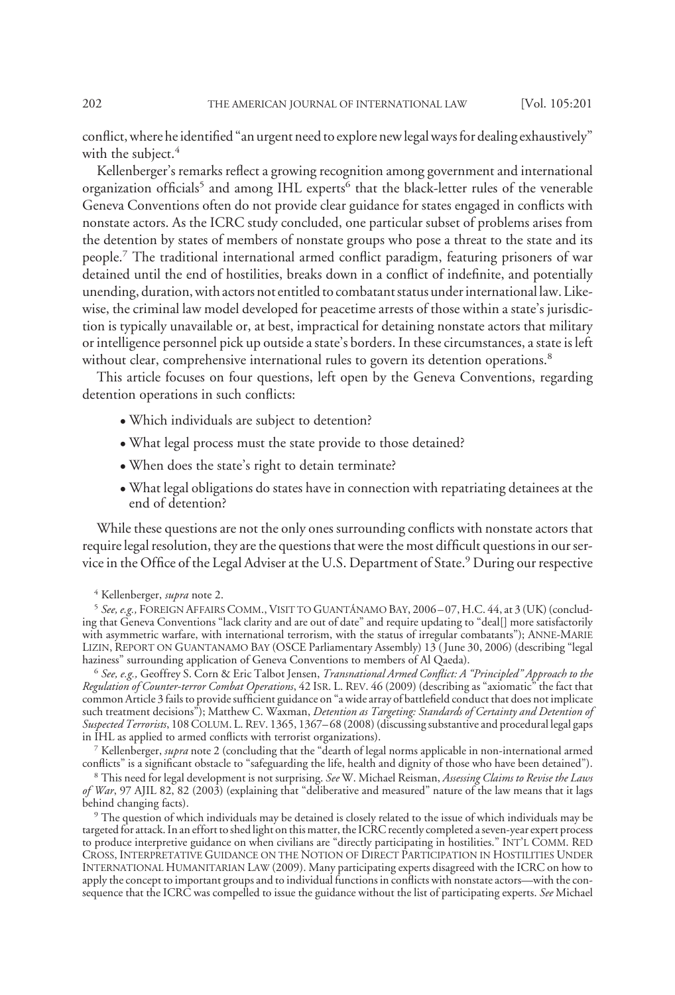conflict, where he identified "an urgent need to explore new legal waysfor dealing exhaustively" with the subject.<sup>4</sup>

Kellenberger's remarks reflect a growing recognition among government and international organization officials<sup>5</sup> and among IHL experts<sup>6</sup> that the black-letter rules of the venerable Geneva Conventions often do not provide clear guidance for states engaged in conflicts with nonstate actors. As the ICRC study concluded, one particular subset of problems arises from the detention by states of members of nonstate groups who pose a threat to the state and its people.<sup>7</sup> The traditional international armed conflict paradigm, featuring prisoners of war detained until the end of hostilities, breaks down in a conflict of indefinite, and potentially unending, duration, with actors not entitled to combatant status under international law. Likewise, the criminal law model developed for peacetime arrests of those within a state's jurisdiction is typically unavailable or, at best, impractical for detaining nonstate actors that military or intelligence personnel pick up outside a state's borders. In these circumstances, a state is left without clear, comprehensive international rules to govern its detention operations.<sup>8</sup>

This article focuses on four questions, left open by the Geneva Conventions, regarding detention operations in such conflicts:

- Which individuals are subject to detention?
- What legal process must the state provide to those detained?
- When does the state's right to detain terminate?
- What legal obligations do states have in connection with repatriating detainees at the end of detention?

While these questions are not the only ones surrounding conflicts with nonstate actors that require legal resolution, they are the questions that were the most difficult questions in our service in the Office of the Legal Adviser at the U.S. Department of State.<sup>9</sup> During our respective

<sup>6</sup> *See, e.g.,* Geoffrey S. Corn & Eric Talbot Jensen, *Transnational Armed Conflict: A "Principled" Approach to the Regulation of Counter-terror Combat Operations*, 42 ISR. L. REV. 46 (2009) (describing as "axiomatic" the fact that common Article 3 fails to provide sufficient guidance on "a wide array of battlefield conduct that does not implicate such treatment decisions"); Matthew C. Waxman, *Detention as Targeting: Standards of Certainty and Detention of Suspected Terrorists*, 108 COLUM. L. REV. 1365, 1367– 68 (2008) (discussing substantive and procedural legal gaps in IHL as applied to armed conflicts with terrorist organizations).

<sup>7</sup> Kellenberger, *supra* note 2 (concluding that the "dearth of legal norms applicable in non-international armed conflicts" is a significant obstacle to "safeguarding the life, health and dignity of those who have been detained").

<sup>8</sup> This need for legal development is not surprising. *See* W. Michael Reisman, *Assessing Claims to Revise the Laws of War*, 97 AJIL 82, 82 (2003) (explaining that "deliberative and measured" nature of the law means that it lags behind changing facts).

<sup>9</sup> The question of which individuals may be detained is closely related to the issue of which individuals may be targeted for attack. In an effort to shed light on this matter, the ICRC recently completed a seven-year expert process to produce interpretive guidance on when civilians are "directly participating in hostilities." INT'L COMM. RED CROSS, INTERPRETATIVE GUIDANCE ON THE NOTION OF DIRECT PARTICIPATION IN HOSTILITIES UNDER INTERNATIONAL HUMANITARIAN LAW (2009). Many participating experts disagreed with the ICRC on how to apply the concept to important groups and to individual functions in conflicts with nonstate actors—with the consequence that the ICRC was compelled to issue the guidance without the list of participating experts. *See* Michael

<sup>4</sup> Kellenberger, *supra* note 2.

<sup>&</sup>lt;sup>5</sup> See, e.g., FOREIGN AFFAIRS COMM., VISIT TO GUANTÁNAMO BAY, 2006–07, H.C. 44, at 3 (UK) (concluding that Geneva Conventions "lack clarity and are out of date" and require updating to "deal[] more satisfactorily with asymmetric warfare, with international terrorism, with the status of irregular combatants"); ANNE-MARIE LIZIN, REPORT ON GUANTANAMO BAY (OSCE Parliamentary Assembly) 13 ( June 30, 2006) (describing "legal haziness" surrounding application of Geneva Conventions to members of Al Qaeda).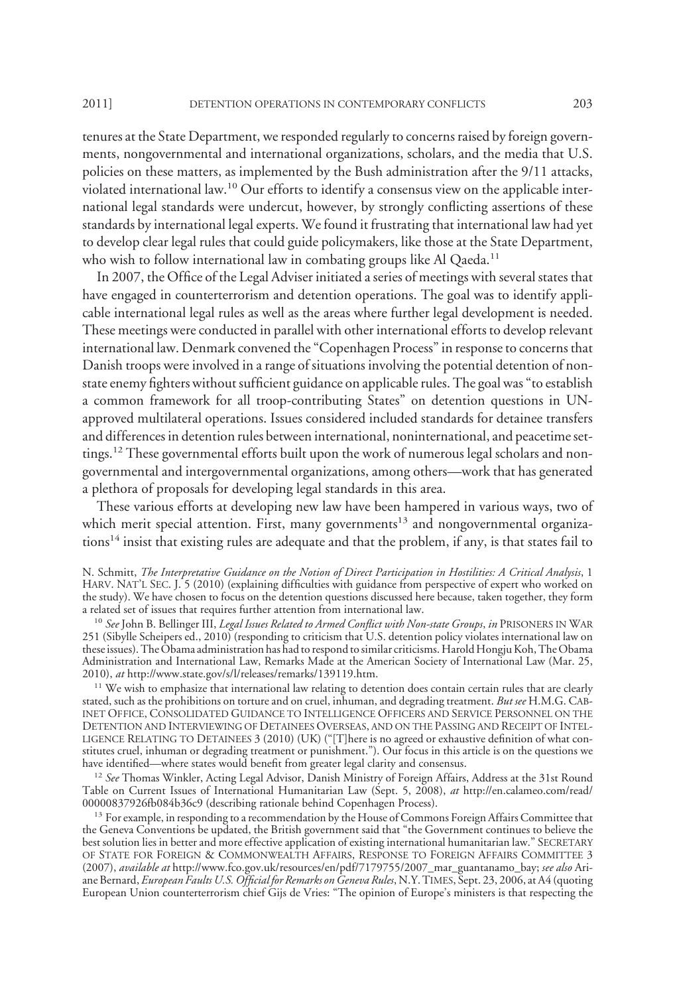tenures at the State Department, we responded regularly to concerns raised by foreign governments, nongovernmental and international organizations, scholars, and the media that U.S. policies on these matters, as implemented by the Bush administration after the 9/11 attacks, violated international law.<sup>10</sup> Our efforts to identify a consensus view on the applicable international legal standards were undercut, however, by strongly conflicting assertions of these standards by international legal experts. We found it frustrating that international law had yet to develop clear legal rules that could guide policymakers, like those at the State Department, who wish to follow international law in combating groups like Al Qaeda.<sup>11</sup>

In 2007, the Office of the Legal Adviser initiated a series of meetings with several states that have engaged in counterterrorism and detention operations. The goal was to identify applicable international legal rules as well as the areas where further legal development is needed. These meetings were conducted in parallel with other international efforts to develop relevant international law. Denmark convened the "Copenhagen Process" in response to concerns that Danish troops were involved in a range of situations involving the potential detention of nonstate enemy fighters without sufficient guidance on applicable rules. The goal was "to establish a common framework for all troop-contributing States" on detention questions in UNapproved multilateral operations. Issues considered included standards for detainee transfers and differences in detention rules between international, noninternational, and peacetime settings.<sup>12</sup> These governmental efforts built upon the work of numerous legal scholars and nongovernmental and intergovernmental organizations, among others—work that has generated a plethora of proposals for developing legal standards in this area.

These various efforts at developing new law have been hampered in various ways, two of which merit special attention. First, many governments<sup>13</sup> and nongovernmental organizations<sup>14</sup> insist that existing rules are adequate and that the problem, if any, is that states fail to

N. Schmitt, *The Interpretative Guidance on the Notion of Direct Participation in Hostilities: A Critical Analysis*, 1 HARV. NAT'L SEC. J. 5 (2010) (explaining difficulties with guidance from perspective of expert who worked on the study). We have chosen to focus on the detention questions discussed here because, taken together, they form a related set of issues that requires further attention from international law.

<sup>10</sup> *See* John B. Bellinger III, *Legal Issues Related to Armed Conflict with Non-state Groups*, *in* PRISONERS IN WAR 251 (Sibylle Scheipers ed., 2010) (responding to criticism that U.S. detention policy violates international law on these issues). The Obama administration has had to respond to similar criticisms. Harold Hongju Koh, The Obama Administration and International Law, Remarks Made at the American Society of International Law (Mar. 25, 2010), *at* http://www.state.gov/s/l/releases/remarks/139119.htm.

<sup>11</sup> We wish to emphasize that international law relating to detention does contain certain rules that are clearly stated, such as the prohibitions on torture and on cruel, inhuman, and degrading treatment. *But see* H.M.G. CAB-INET OFFICE, CONSOLIDATED GUIDANCE TO INTELLIGENCE OFFICERS AND SERVICE PERSONNEL ON THE DETENTION AND INTERVIEWING OF DETAINEES OVERSEAS, AND ON THE PASSING AND RECEIPT OF INTEL-LIGENCE RELATING TO DETAINEES 3 (2010) (UK) ("[T]here is no agreed or exhaustive definition of what constitutes cruel, inhuman or degrading treatment or punishment."). Our focus in this article is on the questions we have identified—where states would benefit from greater legal clarity and consensus.

<sup>12</sup> See Thomas Winkler, Acting Legal Advisor, Danish Ministry of Foreign Affairs, Address at the 31st Round Table on Current Issues of International Humanitarian Law (Sept. 5, 2008), *at* http://en.calameo.com/read/ 00000837926fb084b36c9 (describing rationale behind Copenhagen Process).

<sup>13</sup> For example, in responding to a recommendation by the House of Commons Foreign Affairs Committee that the Geneva Conventions be updated, the British government said that "the Government continues to believe the best solution lies in better and more effective application of existing international humanitarian law." SECRETARY OF STATE FOR FOREIGN & COMMONWEALTH AFFAIRS, RESPONSE TO FOREIGN AFFAIRS COMMITTEE 3 (2007), *available at* http://www.fco.gov.uk/resources/en/pdf/7179755/2007\_mar\_guantanamo\_bay; *see also* Ariane Bernard, *European Faults U.S. Official for Remarks on Geneva Rules*, N.Y. TIMES, Sept. 23, 2006, at A4 (quoting European Union counterterrorism chief Gijs de Vries: "The opinion of Europe's ministers is that respecting the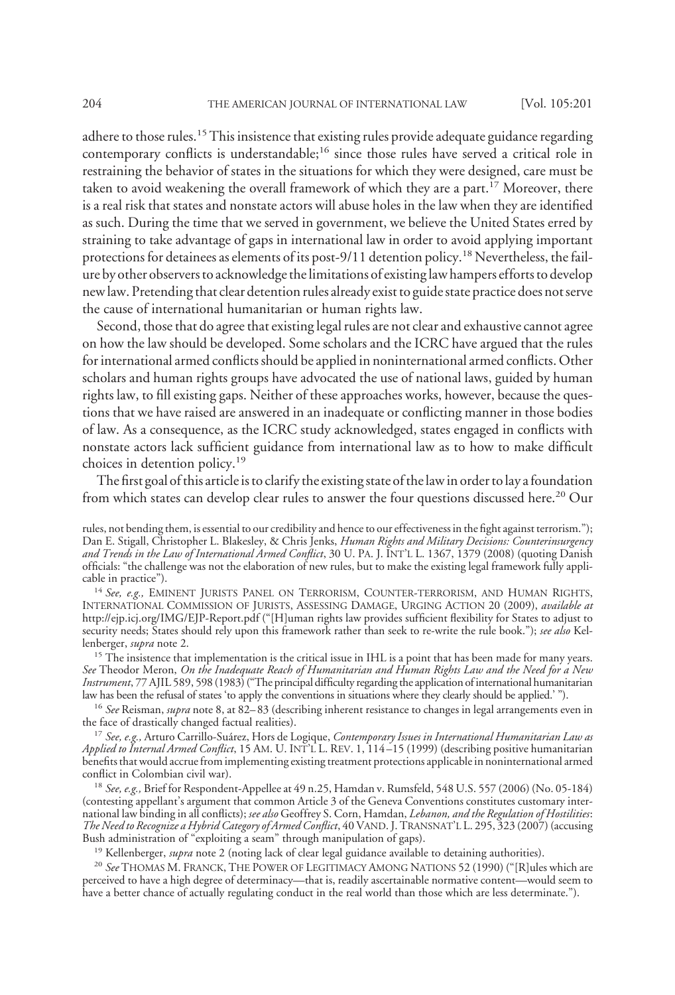adhere to those rules.<sup>15</sup> This insistence that existing rules provide adequate guidance regarding contemporary conflicts is understandable;<sup>16</sup> since those rules have served a critical role in restraining the behavior of states in the situations for which they were designed, care must be taken to avoid weakening the overall framework of which they are a part.<sup>17</sup> Moreover, there is a real risk that states and nonstate actors will abuse holes in the law when they are identified as such. During the time that we served in government, we believe the United States erred by straining to take advantage of gaps in international law in order to avoid applying important protections for detainees as elements of its post-9/11 detention policy.<sup>18</sup> Nevertheless, the failure by other observers to acknowledge the limitations of existing law hampers efforts to develop new law. Pretending that clear detention rules already exist to guide state practice does not serve the cause of international humanitarian or human rights law.

Second, those that do agree that existing legal rules are not clear and exhaustive cannot agree on how the law should be developed. Some scholars and the ICRC have argued that the rules for international armed conflicts should be applied in noninternational armed conflicts. Other scholars and human rights groups have advocated the use of national laws, guided by human rights law, to fill existing gaps. Neither of these approaches works, however, because the questions that we have raised are answered in an inadequate or conflicting manner in those bodies of law. As a consequence, as the ICRC study acknowledged, states engaged in conflicts with nonstate actors lack sufficient guidance from international law as to how to make difficult choices in detention policy.<sup>19</sup>

The first goal of this article is to clarify the existing state of the law in order to lay afoundation from which states can develop clear rules to answer the four questions discussed here.<sup>20</sup> Our

rules, not bending them, is essential to our credibility and hence to our effectiveness in the fight against terrorism."); Dan E. Stigall, Christopher L. Blakesley, & Chris Jenks, *Human Rights and Military Decisions: Counterinsurgency and Trends in the Law of International Armed Conflict*, 30 U. PA. J. INT'L L. 1367, 1379 (2008) (quoting Danish officials: "the challenge was not the elaboration of new rules, but to make the existing legal framework fully applicable in practice").

<sup>14</sup> *See, e.g.,* EMINENT JURISTS PANEL ON TERRORISM, COUNTER-TERRORISM, AND HUMAN RIGHTS, INTERNATIONAL COMMISSION OF JURISTS, ASSESSING DAMAGE, URGING ACTION 20 (2009), *available at* http://ejp.icj.org/IMG/EJP-Report.pdf ("[H]uman rights law provides sufficient flexibility for States to adjust to security needs; States should rely upon this framework rather than seek to re-write the rule book."); *see also* Kellenberger, *supra* note 2.

<sup>15</sup> The insistence that implementation is the critical issue in IHL is a point that has been made for many years. *See* Theodor Meron, *On the Inadequate Reach of Humanitarian and Human Rights Law and the Need for a New Instrument*, 77 AJIL 589, 598 (1983) ("The principal difficulty regarding the application of international humanitarian law has been the refusal of states 'to apply the conventions in situations where they clearly should be applied.' ").

<sup>16</sup> *See* Reisman, *supra* note 8, at 82– 83 (describing inherent resistance to changes in legal arrangements even in the face of drastically changed factual realities).

<sup>17</sup> See, e.g., Arturo Carrillo-Suárez, Hors de Logique, *Contemporary Issues in International Humanitarian Law as Applied to Internal Armed Conflict*, 15 AM. U. INT'L L. REV. 1, 114 –15 (1999) (describing positive humanitarian benefits that would accrue from implementing existing treatment protections applicable in noninternational armed conflict in Colombian civil war).

<sup>18</sup> *See, e.g.,* Brief for Respondent-Appellee at 49 n.25, Hamdan v. Rumsfeld, 548 U.S. 557 (2006) (No. 05-184) (contesting appellant's argument that common Article 3 of the Geneva Conventions constitutes customary international law binding in all conflicts); *see also* Geoffrey S. Corn, Hamdan, *Lebanon, and the Regulation of Hostilities*: *The Need to Recognize a Hybrid Category of Armed Conflict*, 40 VAND. J. TRANSNAT'L L. 295, 323 (2007) (accusing Bush administration of "exploiting a seam" through manipulation of gaps).

<sup>19</sup> Kellenberger, *supra* note 2 (noting lack of clear legal guidance available to detaining authorities).

<sup>20</sup> *See* THOMAS M. FRANCK, THE POWER OF LEGITIMACY AMONG NATIONS 52 (1990) ("[R]ules which are perceived to have a high degree of determinacy—that is, readily ascertainable normative content—would seem to have a better chance of actually regulating conduct in the real world than those which are less determinate.").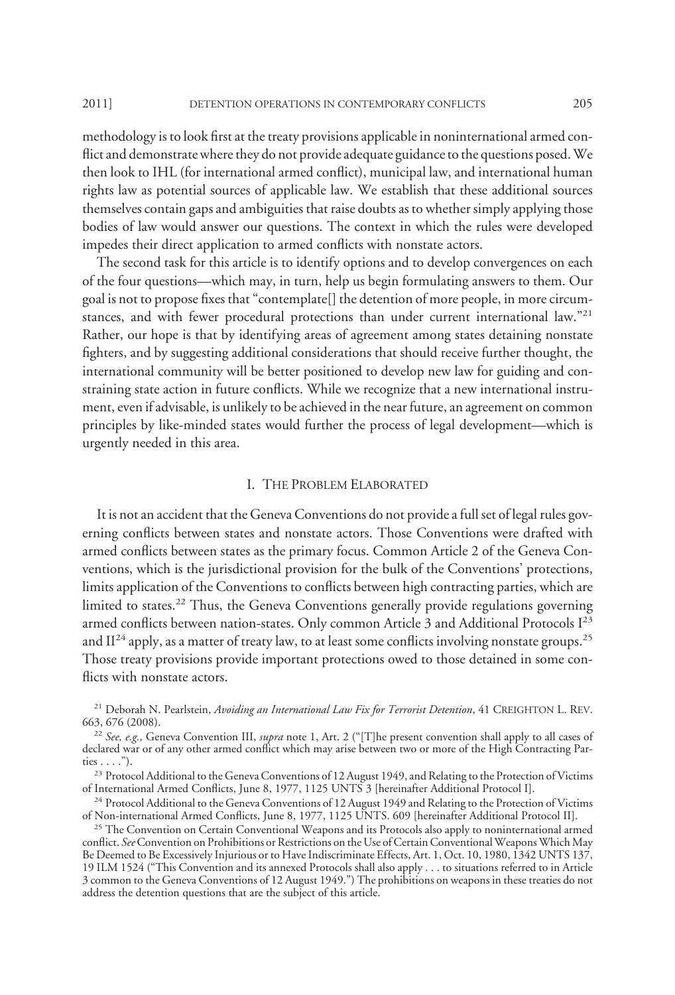methodology is to look first at the treaty provisions applicable in noninternational armed conflict and demonstrate where they do not provide adequate guidance to the questions posed.We then look to IHL (for international armed conflict), municipal law, and international human rights law as potential sources of applicable law. We establish that these additional sources themselves contain gaps and ambiguities that raise doubts as to whether simply applying those bodies of law would answer our questions. The context in which the rules were developed impedes their direct application to armed conflicts with nonstate actors.

The second task for this article is to identify options and to develop convergences on each of the four questions—which may, in turn, help us begin formulating answers to them. Our goal is not to propose fixes that "contemplate[] the detention of more people, in more circumstances, and with fewer procedural protections than under current international law."<sup>21</sup> Rather, our hope is that by identifying areas of agreement among states detaining nonstate fighters, and by suggesting additional considerations that should receive further thought, the international community will be better positioned to develop new law for guiding and constraining state action in future conflicts. While we recognize that a new international instrument, even if advisable, is unlikely to be achieved in the near future, an agreement on common principles by like-minded states would further the process of legal development—which is urgently needed in this area.

## I. THE PROBLEM ELABORATED

It is not an accident that the Geneva Conventions do not provide a full set of legal rules governing conflicts between states and nonstate actors. Those Conventions were drafted with armed conflicts between states as the primary focus. Common Article 2 of the Geneva Conventions, which is the jurisdictional provision for the bulk of the Conventions' protections, limits application of the Conventions to conflicts between high contracting parties, which are limited to states.<sup>22</sup> Thus, the Geneva Conventions generally provide regulations governing armed conflicts between nation-states. Only common Article 3 and Additional Protocols I<sup>23</sup> and  $II^{24}$  apply, as a matter of treaty law, to at least some conflicts involving nonstate groups.<sup>25</sup> Those treaty provisions provide important protections owed to those detained in some conflicts with nonstate actors.

<sup>21</sup> Deborah N. Pearlstein, *Avoiding an International Law Fix for Terrorist Detention*, 41 CREIGHTON L. REV. 663, 676 (2008).

<sup>22</sup> *See, e.g.,* Geneva Convention III, *supra* note 1, Art. 2 ("[T]he present convention shall apply to all cases of declared war or of any other armed conflict which may arise between two or more of the High Contracting Parties  $\dots$ .").

<sup>&</sup>lt;sup>23</sup> Protocol Additional to the Geneva Conventions of 12 August 1949, and Relating to the Protection of Victims of International Armed Conflicts, June 8, 1977, 1125 UNTS 3 [hereinafter Additional Protocol I].

<sup>&</sup>lt;sup>24</sup> Protocol Additional to the Geneva Conventions of 12 August 1949 and Relating to the Protection of Victims of Non-international Armed Conflicts, June 8, 1977, 1125 UNTS. 609 [hereinafter Additional Protocol II].

<sup>&</sup>lt;sup>25</sup> The Convention on Certain Conventional Weapons and its Protocols also apply to noninternational armed conflict. See Convention on Prohibitions or Restrictions on the Use of Certain Conventional Weapons Which May Be Deemed to Be Excessively Injurious or to Have Indiscriminate Effects, Art. 1, Oct. 10, 1980, 1342 UNTS 137, 19 ILM 1524 ("This Convention and its annexed Protocols shall also apply . . . to situations referred to in Article 3 common to the Geneva Conventions of 12 August 1949.") The prohibitions on weapons in these treaties do not address the detention questions that are the subject of this article.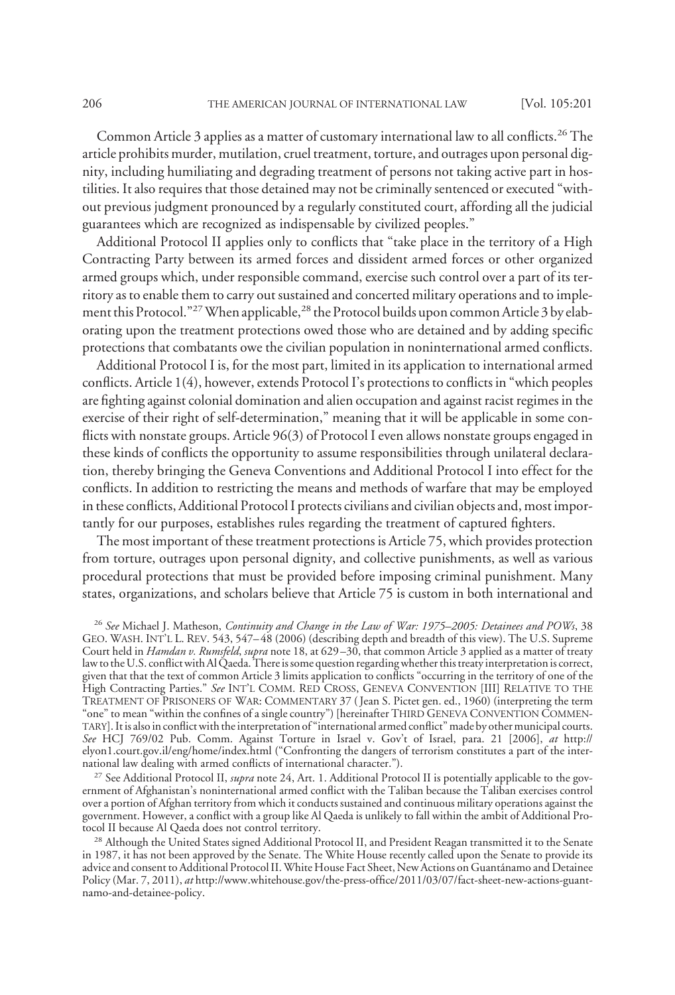Common Article 3 applies as a matter of customary international law to all conflicts.<sup>26</sup> The article prohibits murder, mutilation, cruel treatment, torture, and outrages upon personal dignity, including humiliating and degrading treatment of persons not taking active part in hostilities. It also requires that those detained may not be criminally sentenced or executed "without previous judgment pronounced by a regularly constituted court, affording all the judicial guarantees which are recognized as indispensable by civilized peoples."

Additional Protocol II applies only to conflicts that "take place in the territory of a High Contracting Party between its armed forces and dissident armed forces or other organized armed groups which, under responsible command, exercise such control over a part of its territory as to enable them to carry out sustained and concerted military operations and to implement this Protocol."<sup>27</sup> When applicable,<sup>28</sup> the Protocol builds upon common Article 3 by elaborating upon the treatment protections owed those who are detained and by adding specific protections that combatants owe the civilian population in noninternational armed conflicts.

Additional Protocol I is, for the most part, limited in its application to international armed conflicts. Article 1(4), however, extends Protocol I's protections to conflicts in "which peoples are fighting against colonial domination and alien occupation and against racist regimes in the exercise of their right of self-determination," meaning that it will be applicable in some conflicts with nonstate groups. Article 96(3) of Protocol I even allows nonstate groups engaged in these kinds of conflicts the opportunity to assume responsibilities through unilateral declaration, thereby bringing the Geneva Conventions and Additional Protocol I into effect for the conflicts. In addition to restricting the means and methods of warfare that may be employed in these conflicts, Additional Protocol I protects civilians and civilian objects and, most importantly for our purposes, establishes rules regarding the treatment of captured fighters.

The most important of these treatment protections is Article 75, which provides protection from torture, outrages upon personal dignity, and collective punishments, as well as various procedural protections that must be provided before imposing criminal punishment. Many states, organizations, and scholars believe that Article 75 is custom in both international and

<sup>27</sup> See Additional Protocol II, *supra* note 24, Art. 1. Additional Protocol II is potentially applicable to the government of Afghanistan's noninternational armed conflict with the Taliban because the Taliban exercises control over a portion of Afghan territory from which it conducts sustained and continuous military operations against the government. However, a conflict with a group like Al Qaeda is unlikely to fall within the ambit of Additional Protocol II because Al Qaeda does not control territory.

<sup>28</sup> Although the United States signed Additional Protocol II, and President Reagan transmitted it to the Senate in 1987, it has not been approved by the Senate. The White House recently called upon the Senate to provide its advice and consent to Additional Protocol II. White House Fact Sheet, New Actions on Guantánamo and Detainee Policy (Mar. 7, 2011), *at* http://www.whitehouse.gov/the-press-office/2011/03/07/fact-sheet-new-actions-guantnamo-and-detainee-policy.

<sup>26</sup> *See* Michael J. Matheson, *Continuity and Change in the Law of War: 1975–2005: Detainees and POWs*, 38 GEO. WASH. INT'L L. REV. 543, 547– 48 (2006) (describing depth and breadth of this view). The U.S. Supreme Court held in *Hamdan v. Rumsfeld*, *supra* note 18, at 629 –30, that common Article 3 applied as a matter of treaty law to the U.S. conflict with Al Qaeda. There is some question regarding whether this treaty interpretation is correct, given that that the text of common Article 3 limits application to conflicts "occurring in the territory of one of the High Contracting Parties." *See* INT'L COMM. RED CROSS, GENEVA CONVENTION [III] RELATIVE TO THE TREATMENT OF PRISONERS OF WAR: COMMENTARY 37 ( Jean S. Pictet gen. ed., 1960) (interpreting the term "one" to mean "within the confines of a single country") [hereinafter THIRD GENEVA CONVENTION COMMEN-TARY]. It is also in conflict with the interpretation of "international armed conflict" made by other municipal courts. *See* HCJ 769/02 Pub. Comm. Against Torture in Israel v. Gov't of Israel, para. 21 [2006], *at* http:// elyon1.court.gov.il/eng/home/index.html ("Confronting the dangers of terrorism constitutes a part of the international law dealing with armed conflicts of international character.").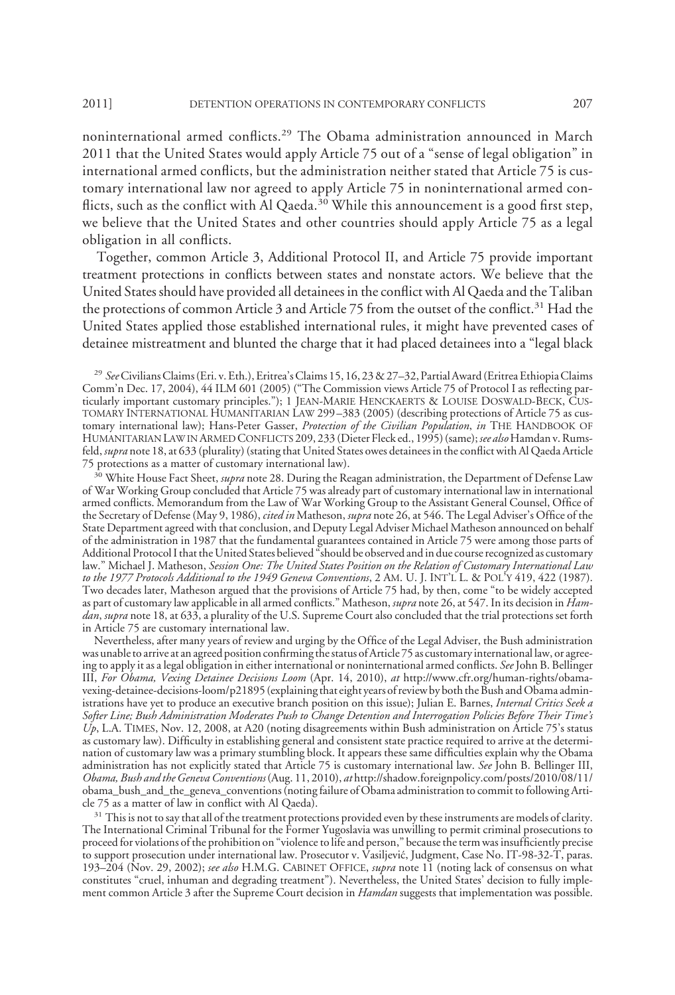noninternational armed conflicts.<sup>29</sup> The Obama administration announced in March 2011 that the United States would apply Article 75 out of a "sense of legal obligation" in international armed conflicts, but the administration neither stated that Article 75 is customary international law nor agreed to apply Article 75 in noninternational armed conflicts, such as the conflict with Al Qaeda.<sup>30</sup> While this announcement is a good first step, we believe that the United States and other countries should apply Article 75 as a legal obligation in all conflicts.

Together, common Article 3, Additional Protocol II, and Article 75 provide important treatment protections in conflicts between states and nonstate actors. We believe that the United States should have provided all detainees in the conflict with Al Qaeda and the Taliban the protections of common Article 3 and Article 75 from the outset of the conflict.<sup>31</sup> Had the United States applied those established international rules, it might have prevented cases of detainee mistreatment and blunted the charge that it had placed detainees into a "legal black

<sup>29</sup> See Civilians Claims (Eri. v. Eth.), Eritrea's Claims 15, 16, 23 & 27-32, Partial Award (Eritrea Ethiopia Claims Comm'n Dec. 17, 2004), 44 ILM 601 (2005) ("The Commission views Article 75 of Protocol I as reflecting particularly important customary principles."); 1 JEAN-MARIE HENCKAERTS & LOUISE DOSWALD-BECK, CUS-TOMARY INTERNATIONAL HUMANITARIAN LAW 299 –383 (2005) (describing protections of Article 75 as customary international law); Hans-Peter Gasser, *Protection of the Civilian Population*, *in* THE HANDBOOK OF HUMANITARIAN LAW IN ARMED CONFLICTS 209, 233 (Dieter Fleck ed., 1995) (same); *see also* Hamdan v. Rumsfeld, *supra* note 18, at 633 (plurality) (stating that United States owes detainees in the conflict with Al Qaeda Article 75 protections as a matter of customary international law).

<sup>30</sup> White House Fact Sheet, *supra* note 28. During the Reagan administration, the Department of Defense Law of War Working Group concluded that Article 75 was already part of customary international law in international armed conflicts. Memorandum from the Law of War Working Group to the Assistant General Counsel, Office of the Secretary of Defense (May 9, 1986), *cited in* Matheson, *supra* note 26, at 546. The Legal Adviser's Office of the State Department agreed with that conclusion, and Deputy Legal Adviser Michael Matheson announced on behalf of the administration in 1987 that the fundamental guarantees contained in Article 75 were among those parts of Additional Protocol I that the United States believed "should be observed and in due course recognized as customary law." Michael J. Matheson, *Session One: The United States Position on the Relation of Customary International Law to the 1977 Protocols Additional to the 1949 Geneva Conventions*,2AM. U. J. INT'L L. & POL'Y 419, 422 (1987). Two decades later, Matheson argued that the provisions of Article 75 had, by then, come "to be widely accepted as part of customary law applicable in all armed conflicts." Matheson, *supra* note 26, at 547. In its decision in *Hamdan*, *supra* note 18, at 633, a plurality of the U.S. Supreme Court also concluded that the trial protections set forth in Article 75 are customary international law.

Nevertheless, after many years of review and urging by the Office of the Legal Adviser, the Bush administration was unable to arrive at an agreed position confirming the status of Article 75 as customary international law, or agreeing to apply it as a legal obligation in either international or noninternational armed conflicts. *See* John B. Bellinger III, *For Obama, Vexing Detainee Decisions Loom* (Apr. 14, 2010), *at* http://www.cfr.org/human-rights/obamavexing-detainee-decisions-loom/p21895 (explaining that eight years of review by both the Bush andObama administrations have yet to produce an executive branch position on this issue); Julian E. Barnes, *Internal Critics Seek a Softer Line; Bush Administration Moderates Push to Change Detention and Interrogation Policies Before Their Time's Up*, L.A. TIMES, Nov. 12, 2008, at A20 (noting disagreements within Bush administration on Article 75's status as customary law). Difficulty in establishing general and consistent state practice required to arrive at the determination of customary law was a primary stumbling block. It appears these same difficulties explain why the Obama administration has not explicitly stated that Article 75 is customary international law. *See* John B. Bellinger III, *Obama, Bush and the Geneva Conventions*(Aug. 11, 2010), *at* http://shadow.foreignpolicy.com/posts/2010/08/11/ obama\_bush\_and\_the\_geneva\_conventions (noting failure of Obama administration to commit to following Article 75 as a matter of law in conflict with Al Qaeda).

 $31$  This is not to say that all of the treatment protections provided even by these instruments are models of clarity. The International Criminal Tribunal for the Former Yugoslavia was unwilling to permit criminal prosecutions to proceed for violations of the prohibition on "violence to life and person," because the term was insufficiently precise to support prosecution under international law. Prosecutor v. Vasiljevic´, Judgment, Case No. IT-98-32-T, paras. 193–204 (Nov. 29, 2002); *see also* H.M.G. CABINET OFFICE, *supra* note 11 (noting lack of consensus on what constitutes "cruel, inhuman and degrading treatment"). Nevertheless, the United States' decision to fully implement common Article 3 after the Supreme Court decision in *Hamdan* suggests that implementation was possible.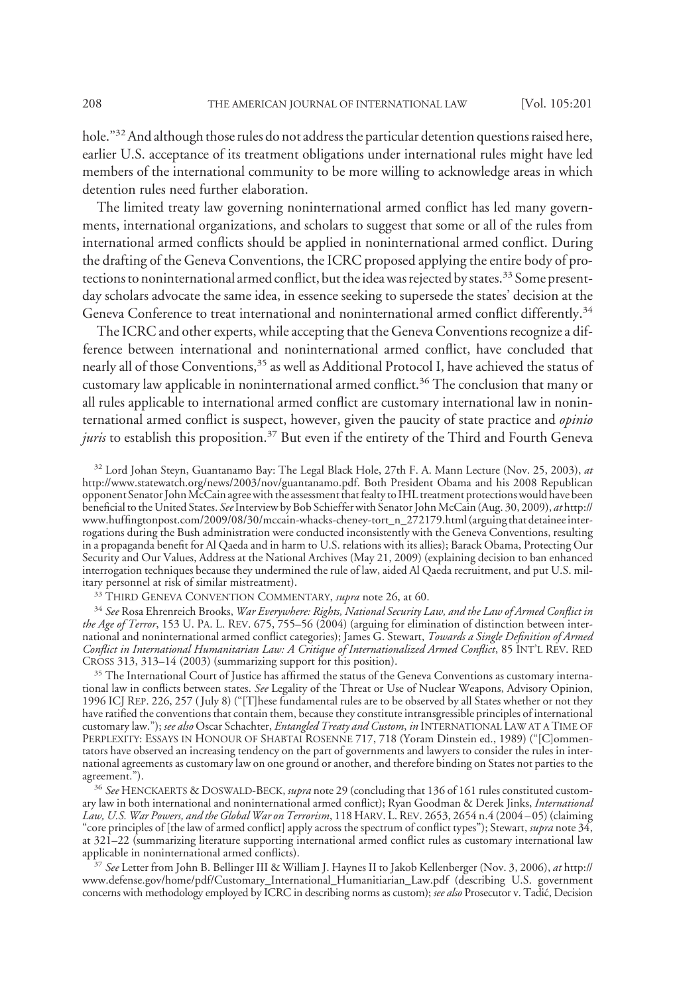hole."<sup>32</sup> And although those rules do not address the particular detention questions raised here, earlier U.S. acceptance of its treatment obligations under international rules might have led members of the international community to be more willing to acknowledge areas in which detention rules need further elaboration.

The limited treaty law governing noninternational armed conflict has led many governments, international organizations, and scholars to suggest that some or all of the rules from international armed conflicts should be applied in noninternational armed conflict. During the drafting of the Geneva Conventions, the ICRC proposed applying the entire body of protections to noninternational armed conflict, but the idea was rejected by states.<sup>33</sup> Some presentday scholars advocate the same idea, in essence seeking to supersede the states' decision at the Geneva Conference to treat international and noninternational armed conflict differently.<sup>34</sup>

The ICRC and other experts, while accepting that the Geneva Conventions recognize a difference between international and noninternational armed conflict, have concluded that nearly all of those Conventions,<sup>35</sup> as well as Additional Protocol I, have achieved the status of customary law applicable in noninternational armed conflict.<sup>36</sup> The conclusion that many or all rules applicable to international armed conflict are customary international law in noninternational armed conflict is suspect, however, given the paucity of state practice and *opinio juris* to establish this proposition.<sup>37</sup> But even if the entirety of the Third and Fourth Geneva

<sup>32</sup> Lord Johan Steyn, Guantanamo Bay: The Legal Black Hole, 27th F. A. Mann Lecture (Nov. 25, 2003), *at* http://www.statewatch.org/news/2003/nov/guantanamo.pdf. Both President Obama and his 2008 Republican opponent Senator JohnMcCain agree with the assessment thatfealty to IHL treatment protections would have been beneficial to the United States. *See*Interview by Bob Schieffer with Senator JohnMcCain (Aug. 30, 2009), *at* http:// www.huffingtonpost.com/2009/08/30/mccain-whacks-cheney-tort\_n\_272179.html (arguing that detainee interrogations during the Bush administration were conducted inconsistently with the Geneva Conventions, resulting in a propaganda benefit for Al Qaeda and in harm to U.S. relations with its allies); Barack Obama, Protecting Our Security and Our Values, Address at the National Archives (May 21, 2009) (explaining decision to ban enhanced interrogation techniques because they undermined the rule of law, aided Al Qaeda recruitment, and put U.S. military personnel at risk of similar mistreatment).

<sup>33</sup> THIRD GENEVA CONVENTION COMMENTARY, *supra* note 26, at 60.

<sup>34</sup> *See* Rosa Ehrenreich Brooks, *War Everywhere: Rights, National Security Law, and the Law of Armed Conflict in the Age of Terror*, 153 U. PA. L. REV. 675, 755–56 (2004) (arguing for elimination of distinction between international and noninternational armed conflict categories); James G. Stewart, *Towards a Single Definition of Armed Conflict in International Humanitarian Law: A Critique of Internationalized Armed Conflict*, 85 INT'L REV. RED CROSS 313, 313–14 (2003) (summarizing support for this position).

<sup>35</sup> The International Court of Justice has affirmed the status of the Geneva Conventions as customary international law in conflicts between states. *See* Legality of the Threat or Use of Nuclear Weapons, Advisory Opinion, 1996 ICJ REP. 226, 257 ( July 8) ("[T]hese fundamental rules are to be observed by all States whether or not they have ratified the conventions that contain them, because they constitute intransgressible principles of international customary law."); *see also* Oscar Schachter, *Entangled Treaty and Custom*, *in* INTERNATIONAL LAW AT A TIME OF PERPLEXITY: ESSAYS IN HONOUR OF SHABTAI ROSENNE 717, 718 (Yoram Dinstein ed., 1989) ("[C]ommentators have observed an increasing tendency on the part of governments and lawyers to consider the rules in international agreements as customary law on one ground or another, and therefore binding on States not parties to the agreement.").

<sup>36</sup> *See* HENCKAERTS & DOSWALD-BECK, *supra* note 29 (concluding that 136 of 161 rules constituted customary law in both international and noninternational armed conflict); Ryan Goodman & Derek Jinks, *International Law, U.S. War Powers, and the Global War on Terrorism*, 118 HARV. L. REV. 2653, 2654 n.4 (2004 – 05) (claiming "core principles of [the law of armed conflict] apply across the spectrum of conflict types"); Stewart, *supra* note 34, at 321–22 (summarizing literature supporting international armed conflict rules as customary international law applicable in noninternational armed conflicts).

<sup>37</sup> *See* Letter from John B. Bellinger III & William J. Haynes II to Jakob Kellenberger (Nov. 3, 2006), *at* http:// www.defense.gov/home/pdf/Customary\_International\_Humanitiarian\_Law.pdf (describing U.S. government concerns with methodology employed by ICRC in describing norms as custom); *see also* Prosecutor v. Tadic´, Decision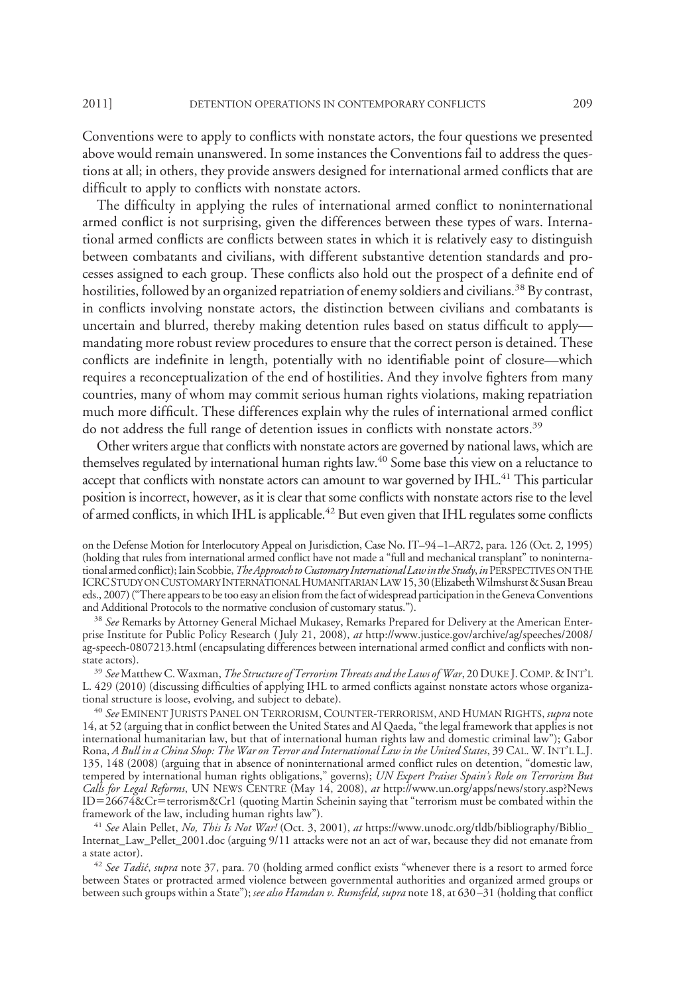Conventions were to apply to conflicts with nonstate actors, the four questions we presented above would remain unanswered. In some instances the Conventions fail to address the questions at all; in others, they provide answers designed for international armed conflicts that are difficult to apply to conflicts with nonstate actors.

The difficulty in applying the rules of international armed conflict to noninternational armed conflict is not surprising, given the differences between these types of wars. International armed conflicts are conflicts between states in which it is relatively easy to distinguish between combatants and civilians, with different substantive detention standards and processes assigned to each group. These conflicts also hold out the prospect of a definite end of hostilities, followed by an organized repatriation of enemy soldiers and civilians.<sup>38</sup> By contrast, in conflicts involving nonstate actors, the distinction between civilians and combatants is uncertain and blurred, thereby making detention rules based on status difficult to apply mandating more robust review procedures to ensure that the correct person is detained. These conflicts are indefinite in length, potentially with no identifiable point of closure—which requires a reconceptualization of the end of hostilities. And they involve fighters from many countries, many of whom may commit serious human rights violations, making repatriation much more difficult. These differences explain why the rules of international armed conflict do not address the full range of detention issues in conflicts with nonstate actors.<sup>39</sup>

Other writers argue that conflicts with nonstate actors are governed by national laws, which are themselves regulated by international human rights law.40 Some base this view on a reluctance to accept that conflicts with nonstate actors can amount to war governed by IHL.<sup>41</sup> This particular position is incorrect, however, as it is clear that some conflicts with nonstate actors rise to the level of armed conflicts, in which IHL is applicable.<sup>42</sup> But even given that IHL regulates some conflicts

on the Defense Motion for Interlocutory Appeal on Jurisdiction, Case No. IT–94 –1–AR72, para. 126 (Oct. 2, 1995) (holding that rules from international armed conflict have not made a "full and mechanical transplant" to noninternational armed conflict); IainScobbie,*TheApproachtoCustomary InternationalLawintheStudy*,*in*PERSPECTIVESONTHE ICRCSTUDYONCUSTOMARYINTERNATIONALHUMANITARIANLAW15, 30 (ElizabethWilmshurst&SusanBreau eds., 2007) ("There appears to be too easy an elision from the fact of widespread participation in the Geneva Conventions and Additional Protocols to the normative conclusion of customary status.").

<sup>38</sup> *See* Remarks by Attorney General Michael Mukasey, Remarks Prepared for Delivery at the American Enterprise Institute for Public Policy Research ( July 21, 2008), *at* http://www.justice.gov/archive/ag/speeches/2008/ ag-speech-0807213.html (encapsulating differences between international armed conflict and conflicts with nonstate actors).

<sup>39</sup> *See*Matthew C.Waxman,*The Structure of Terrorism Threats and the Laws of War*, 20 DUKE J. COMP.&INT'L L. 429 (2010) (discussing difficulties of applying IHL to armed conflicts against nonstate actors whose organizational structure is loose, evolving, and subject to debate).

<sup>40</sup> *See* EMINENT JURISTS PANEL ON TERRORISM, COUNTER-TERRORISM, AND HUMAN RIGHTS, *supra* note 14, at 52 (arguing that in conflict between the United States and Al Qaeda, "the legal framework that applies is not international humanitarian law, but that of international human rights law and domestic criminal law"); Gabor Rona, *A Bull in a China Shop: The War on Terror and International Law in the United States*, 39 CAL. W. INT'L L.J. 135, 148 (2008) (arguing that in absence of noninternational armed conflict rules on detention, "domestic law, tempered by international human rights obligations," governs); *UN Expert Praises Spain's Role on Terrorism But Calls for Legal Reforms*, UN NEWS CENTRE (May 14, 2008), *at* http://www.un.org/apps/news/story.asp?News  $ID=26674\&Cr=$ terrorism $\&Cr1$  (quoting Martin Scheinin saying that "terrorism must be combated within the framework of the law, including human rights law").

<sup>41</sup> *See* Alain Pellet, *No, This Is Not War!* (Oct. 3, 2001), *at* https://www.unodc.org/tldb/bibliography/Biblio\_ Internat\_Law\_Pellet\_2001.doc (arguing 9/11 attacks were not an act of war, because they did not emanate from a state actor).

<sup>42</sup> *See Tadic´*, *supra* note 37, para. 70 (holding armed conflict exists "whenever there is a resort to armed force between States or protracted armed violence between governmental authorities and organized armed groups or between such groups within a State"); *see also Hamdan v. Rumsfeld, supra* note 18, at 630 –31 (holding that conflict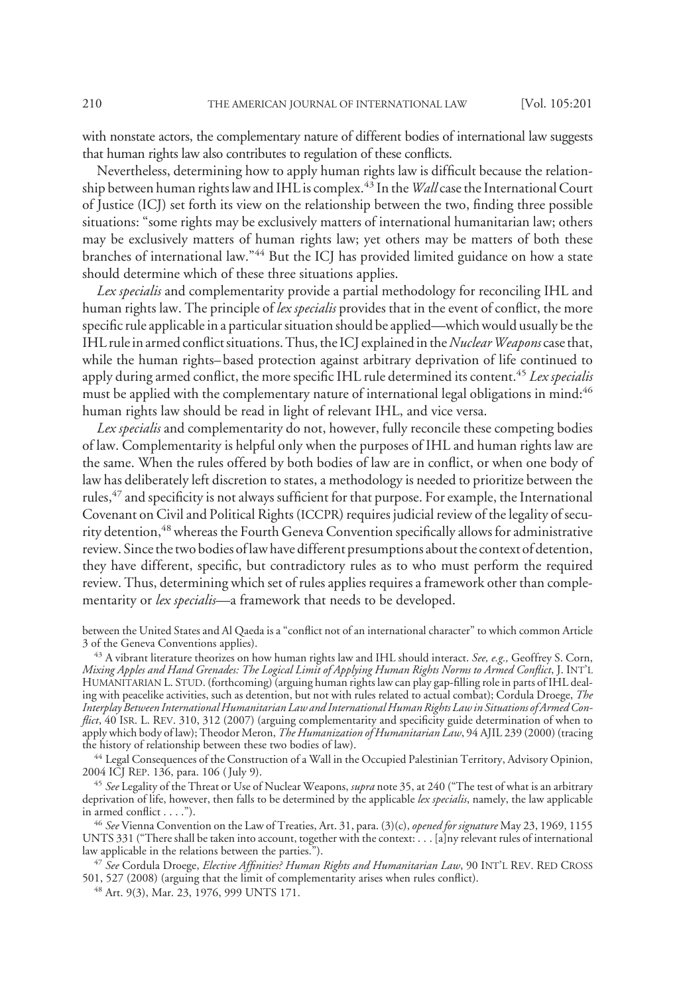with nonstate actors, the complementary nature of different bodies of international law suggests that human rights law also contributes to regulation of these conflicts.

Nevertheless, determining how to apply human rights law is difficult because the relationship between human rights law and IHL is complex.<sup>43</sup> In the *Wall* case the International Court of Justice (ICJ) set forth its view on the relationship between the two, finding three possible situations: "some rights may be exclusively matters of international humanitarian law; others may be exclusively matters of human rights law; yet others may be matters of both these branches of international law."<sup>44</sup> But the ICJ has provided limited guidance on how a state should determine which of these three situations applies.

*Lex specialis* and complementarity provide a partial methodology for reconciling IHL and human rights law. The principle of *lex specialis* provides that in the event of conflict, the more specific rule applicable in a particular situation should be applied—which would usually be the IHL rule in armed conflict situations.Thus, the ICJ explained in the*NuclearWeapons* case that, while the human rights– based protection against arbitrary deprivation of life continued to apply during armed conflict, the more specific IHL rule determined its content.<sup>45</sup> *Lex specialis* must be applied with the complementary nature of international legal obligations in mind:<sup>46</sup> human rights law should be read in light of relevant IHL, and vice versa.

*Lex specialis* and complementarity do not, however, fully reconcile these competing bodies of law. Complementarity is helpful only when the purposes of IHL and human rights law are the same. When the rules offered by both bodies of law are in conflict, or when one body of law has deliberately left discretion to states, a methodology is needed to prioritize between the rules, $47$  and specificity is not always sufficient for that purpose. For example, the International Covenant on Civil and Political Rights (ICCPR) requires judicial review of the legality of security detention,<sup>48</sup> whereas the Fourth Geneva Convention specifically allows for administrative review. Since the two bodies of law have different presumptions about the context of detention, they have different, specific, but contradictory rules as to who must perform the required review. Thus, determining which set of rules applies requires a framework other than complementarity or *lex specialis*—a framework that needs to be developed.

between the United States and Al Qaeda is a "conflict not of an international character" to which common Article 3 of the Geneva Conventions applies).

<sup>43</sup> A vibrant literature theorizes on how human rights law and IHL should interact. *See, e.g.,* Geoffrey S. Corn, *Mixing Apples and Hand Grenades: The Logical Limit of Applying Human Rights Norms to Armed Conflict*, J. INT'L HUMANITARIAN L. STUD. (forthcoming) (arguing human rights law can play gap-filling role in parts of IHL dealing with peacelike activities, such as detention, but not with rules related to actual combat); Cordula Droege, *The Interplay Between International Humanitarian Law and International Human Rights Law in Situations of Armed Conflict*, 40 ISR. L. REV. 310, 312 (2007) (arguing complementarity and specificity guide determination of when to apply which body of law); Theodor Meron, *The Humanization of Humanitarian Law*, 94 AJIL 239 (2000) (tracing the history of relationship between these two bodies of law).

<sup>44</sup> Legal Consequences of the Construction of a Wall in the Occupied Palestinian Territory, Advisory Opinion, 2004 ICJ REP. 136, para. 106 ( July 9).

<sup>45</sup> *See* Legality of the Threat or Use of Nuclear Weapons, *supra* note 35, at 240 ("The test of what is an arbitrary deprivation of life, however, then falls to be determined by the applicable *lex specialis*, namely, the law applicable in armed conflict... .").

<sup>46</sup> *See* Vienna Convention on the Law of Treaties, Art. 31, para. (3)(c), *opened for signature* May 23, 1969, 1155 UNTS 331 ("There shall be taken into account, together with the context: . . . [a]ny relevant rules of international law applicable in the relations between the parties.").

<sup>47</sup> *See* Cordula Droege, *Elective Affinities? Human Rights and Humanitarian Law*, 90 INT'L REV. RED CROSS 501, 527 (2008) (arguing that the limit of complementarity arises when rules conflict).

<sup>48</sup> Art. 9(3), Mar. 23, 1976, 999 UNTS 171.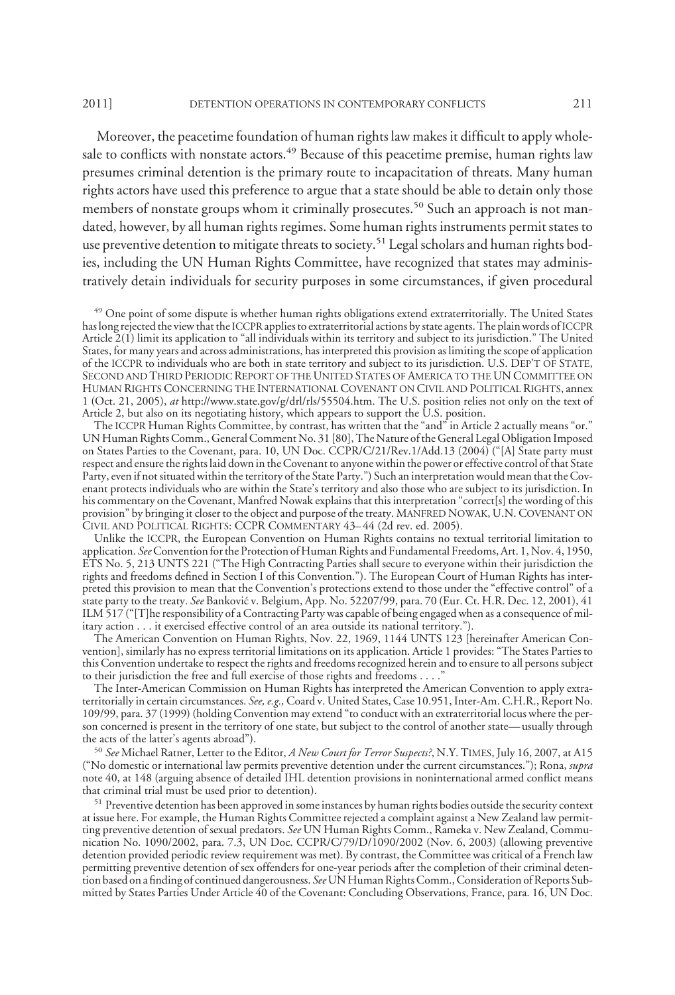2011] DETENTION OPERATIONS IN CONTEMPORARY CONFLICTS 211

Moreover, the peacetime foundation of human rights law makes it difficult to apply wholesale to conflicts with nonstate actors.<sup>49</sup> Because of this peacetime premise, human rights law presumes criminal detention is the primary route to incapacitation of threats. Many human rights actors have used this preference to argue that a state should be able to detain only those members of nonstate groups whom it criminally prosecutes.<sup>50</sup> Such an approach is not mandated, however, by all human rights regimes. Some human rights instruments permit states to use preventive detention to mitigate threats to society.<sup>51</sup> Legal scholars and human rights bodies, including the UN Human Rights Committee, have recognized that states may administratively detain individuals for security purposes in some circumstances, if given procedural

<sup>49</sup> One point of some dispute is whether human rights obligations extend extraterritorially. The United States has long rejected the view that the ICCPR applies to extraterritorial actions by state agents. The plain words of ICCPR Article 2(1) limit its application to "all individuals within its territory and subject to its jurisdiction." The United States, for many years and across administrations, has interpreted this provision as limiting the scope of application of the ICCPR to individuals who are both in state territory and subject to its jurisdiction. U.S. DEP'T OF STATE, SECOND AND THIRD PERIODIC REPORT OF THE UNITED STATES OF AMERICA TO THE UN COMMITTEE ON HUMAN RIGHTS CONCERNING THE INTERNATIONAL COVENANT ON CIVIL AND POLITICAL RIGHTS, annex 1 (Oct. 21, 2005), *at* http://www.state.gov/g/drl/rls/55504.htm. The U.S. position relies not only on the text of Article 2, but also on its negotiating history, which appears to support the U.S. position.

The ICCPR Human Rights Committee, by contrast, has written that the "and" in Article 2 actually means "or." UN Human Rights Comm., General Comment No. 31 [80], The Nature of the General Legal Obligation Imposed on States Parties to the Covenant, para. 10, UN Doc. CCPR/C/21/Rev.1/Add.13 (2004) ("[A] State party must respect and ensure the rights laid down in the Covenant to anyone within the power or effective control of that State Party, even if not situated within the territory of the State Party.") Such an interpretation would mean that the Covenant protects individuals who are within the State's territory and also those who are subject to its jurisdiction. In his commentary on the Covenant, Manfred Nowak explains that this interpretation "correct[s] the wording of this provision" by bringing it closer to the object and purpose of the treaty. MANFRED NOWAK, U.N. COVENANT ON CIVIL AND POLITICAL RIGHTS: CCPR COMMENTARY 43– 44 (2d rev. ed. 2005).

Unlike the ICCPR, the European Convention on Human Rights contains no textual territorial limitation to application. *See*Conventionfor the Protection of Human Rights and Fundamental Freedoms, Art. 1, Nov. 4, 1950, ETS No. 5, 213 UNTS 221 ("The High Contracting Parties shall secure to everyone within their jurisdiction the rights and freedoms defined in Section I of this Convention."). The European Court of Human Rights has interpreted this provision to mean that the Convention's protections extend to those under the "effective control" of a state party to the treaty. See Banković v. Belgium, App. No. 52207/99, para. 70 (Eur. Ct. H.R. Dec. 12, 2001), 41 ILM 517 ("[T]he responsibility of a Contracting Party was capable of being engaged when as a consequence of military action . . . it exercised effective control of an area outside its national territory.").

The American Convention on Human Rights, Nov. 22, 1969, 1144 UNTS 123 [hereinafter American Convention], similarly has no express territorial limitations on its application. Article 1 provides: "The States Parties to this Convention undertake to respect the rights and freedoms recognized herein and to ensure to all persons subject to their jurisdiction the free and full exercise of those rights and freedoms . . . ."

The Inter-American Commission on Human Rights has interpreted the American Convention to apply extraterritorially in certain circumstances. *See, e.g.,*Coard v. United States, Case 10.951, Inter-Am. C.H.R., Report No. 109/99, para. 37 (1999) (holding Convention may extend "to conduct with an extraterritorial locus where the person concerned is present in the territory of one state, but subject to the control of another state— usually through the acts of the latter's agents abroad").

<sup>50</sup> *See* Michael Ratner, Letter to the Editor, *A New Court for Terror Suspects?*, N.Y. TIMES, July 16, 2007, at A15 ("No domestic or international law permits preventive detention under the current circumstances."); Rona, *supra* note 40, at 148 (arguing absence of detailed IHL detention provisions in noninternational armed conflict means that criminal trial must be used prior to detention).

 $51$  Preventive detention has been approved in some instances by human rights bodies outside the security context at issue here. For example, the Human Rights Committee rejected a complaint against a New Zealand law permitting preventive detention of sexual predators. *See* UN Human Rights Comm., Rameka v. New Zealand, Communication No. 1090/2002, para. 7.3, UN Doc. CCPR/C/79/D/1090/2002 (Nov. 6, 2003) (allowing preventive detention provided periodic review requirement was met). By contrast, the Committee was critical of a French law permitting preventive detention of sex offenders for one-year periods after the completion of their criminal detention based on a finding of continued dangerousness. *See*UN Human RightsComm.,Consideration of Reports Submitted by States Parties Under Article 40 of the Covenant: Concluding Observations, France, para. 16, UN Doc.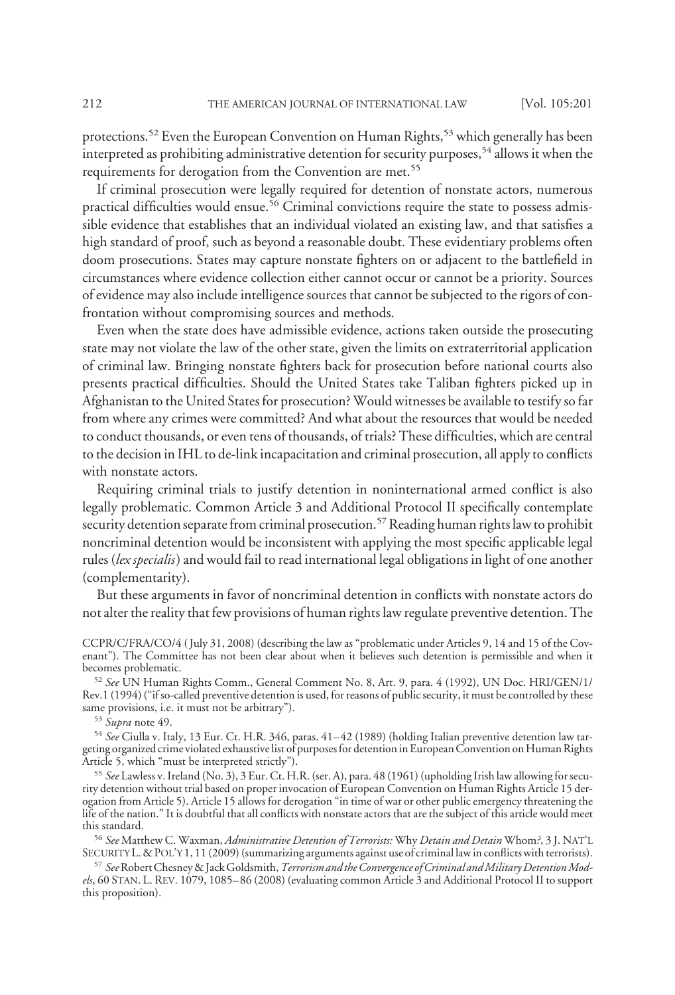protections.<sup>52</sup> Even the European Convention on Human Rights,<sup>53</sup> which generally has been interpreted as prohibiting administrative detention for security purposes,<sup>54</sup> allows it when the requirements for derogation from the Convention are met.<sup>55</sup>

If criminal prosecution were legally required for detention of nonstate actors, numerous practical difficulties would ensue.56 Criminal convictions require the state to possess admissible evidence that establishes that an individual violated an existing law, and that satisfies a high standard of proof, such as beyond a reasonable doubt. These evidentiary problems often doom prosecutions. States may capture nonstate fighters on or adjacent to the battlefield in circumstances where evidence collection either cannot occur or cannot be a priority. Sources of evidence may also include intelligence sources that cannot be subjected to the rigors of confrontation without compromising sources and methods.

Even when the state does have admissible evidence, actions taken outside the prosecuting state may not violate the law of the other state, given the limits on extraterritorial application of criminal law. Bringing nonstate fighters back for prosecution before national courts also presents practical difficulties. Should the United States take Taliban fighters picked up in Afghanistan to the United States for prosecution? Would witnesses be available to testify so far from where any crimes were committed? And what about the resources that would be needed to conduct thousands, or even tens of thousands, of trials? These difficulties, which are central to the decision in IHL to de-link incapacitation and criminal prosecution, all apply to conflicts with nonstate actors.

Requiring criminal trials to justify detention in noninternational armed conflict is also legally problematic. Common Article 3 and Additional Protocol II specifically contemplate security detention separate from criminal prosecution.<sup>57</sup> Reading human rights law to prohibit noncriminal detention would be inconsistent with applying the most specific applicable legal rules (*lex specialis*) and would fail to read international legal obligations in light of one another (complementarity).

But these arguments in favor of noncriminal detention in conflicts with nonstate actors do not alter the reality that few provisions of human rights law regulate preventive detention. The

CCPR/C/FRA/CO/4 ( July 31, 2008) (describing the law as "problematic under Articles 9, 14 and 15 of the Covenant"). The Committee has not been clear about when it believes such detention is permissible and when it becomes problematic.

<sup>52</sup> *See* UN Human Rights Comm., General Comment No. 8, Art. 9, para. 4 (1992), UN Doc. HRI/GEN/1/ Rev.1 (1994) ("if so-called preventive detention is used, for reasons of public security, it must be controlled by these same provisions, i.e. it must not be arbitrary").

<sup>53</sup> *Supra* note 49.

<sup>54</sup> *See* Ciulla v. Italy, 13 Eur. Ct. H.R. 346, paras. 41– 42 (1989) (holding Italian preventive detention law targeting organized crime violated exhaustive list of purposesfor detention in EuropeanConvention on Human Rights Article 5, which "must be interpreted strictly").

<sup>55</sup> *See* Lawless v. Ireland (No. 3), 3 Eur. Ct. H.R. (ser. A), para. 48 (1961) (upholding Irish law allowing for security detention without trial based on proper invocation of European Convention on Human Rights Article 15 derogation from Article 5). Article 15 allows for derogation "in time of war or other public emergency threatening the life of the nation." It is doubtful that all conflicts with nonstate actors that are the subject of this article would meet this standard.

<sup>56</sup> *See* Matthew C. Waxman, *Administrative Detention of Terrorists:* Why *Detain and Detain* Whom*?*, 3 J. NAT'L SECURITY L. & POL'Y 1, 11 (2009) (summarizing arguments against use of criminal law in conflicts with terrorists).

<sup>57</sup> *See*RobertChesney& Jack Goldsmith,*Terrorism andthe Convergence of Criminal andMilitary DetentionModels*, 60 STAN. L. REV. 1079, 1085– 86 (2008) (evaluating common Article 3 and Additional Protocol II to support this proposition).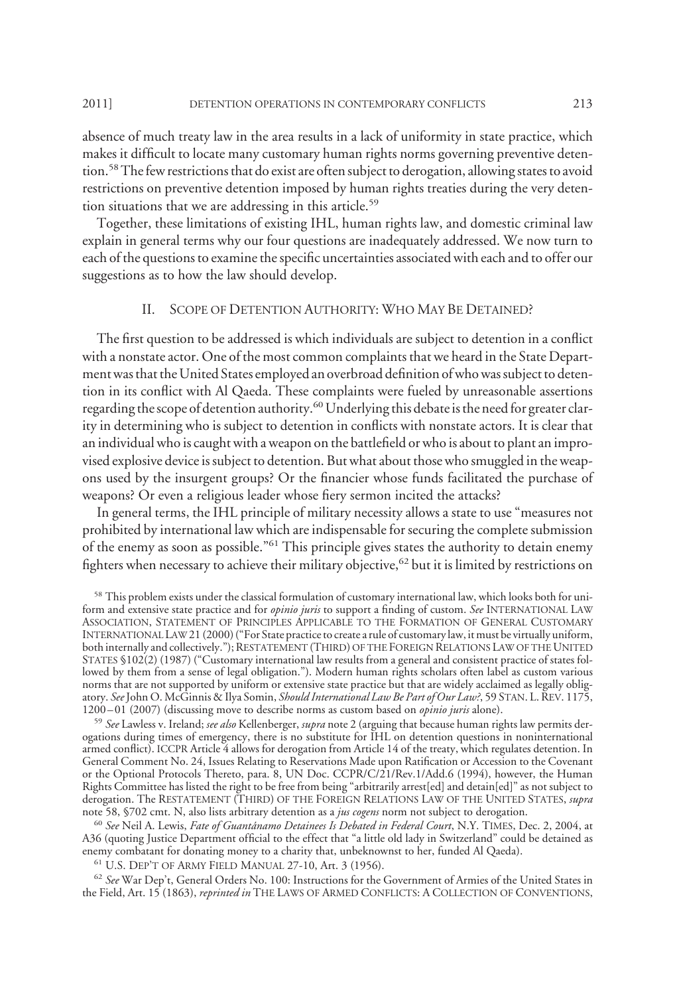absence of much treaty law in the area results in a lack of uniformity in state practice, which makes it difficult to locate many customary human rights norms governing preventive detention.<sup>58</sup> The few restrictions that do exist are often subject to derogation, allowing states to avoid restrictions on preventive detention imposed by human rights treaties during the very detention situations that we are addressing in this article.<sup>59</sup>

Together, these limitations of existing IHL, human rights law, and domestic criminal law explain in general terms why our four questions are inadequately addressed. We now turn to each of the questions to examine the specific uncertainties associated with each and to offer our suggestions as to how the law should develop.

### II. SCOPE OF DETENTION AUTHORITY: WHO MAY BE DETAINED?

The first question to be addressed is which individuals are subject to detention in a conflict with a nonstate actor. One of the most common complaints that we heard in the State Department was that the United States employed an overbroad definition of who was subject to detention in its conflict with Al Qaeda. These complaints were fueled by unreasonable assertions regarding the scope of detention authority.<sup>60</sup> Underlying this debate is the need for greater clarity in determining who is subject to detention in conflicts with nonstate actors. It is clear that an individual who is caught with a weapon on the battlefield or who is about to plant an improvised explosive device is subject to detention. But what about those who smuggled in the weapons used by the insurgent groups? Or the financier whose funds facilitated the purchase of weapons? Or even a religious leader whose fiery sermon incited the attacks?

In general terms, the IHL principle of military necessity allows a state to use "measures not prohibited by international law which are indispensable for securing the complete submission of the enemy as soon as possible."<sup>61</sup> This principle gives states the authority to detain enemy fighters when necessary to achieve their military objective,<sup>62</sup> but it is limited by restrictions on

<sup>59</sup> *See* Lawless v. Ireland; *see also* Kellenberger, *supra* note 2 (arguing that because human rights law permits derogations during times of emergency, there is no substitute for IHL on detention questions in noninternational armed conflict). ICCPR Article 4 allows for derogation from Article 14 of the treaty, which regulates detention. In General Comment No. 24, Issues Relating to Reservations Made upon Ratification or Accession to the Covenant or the Optional Protocols Thereto, para. 8, UN Doc. CCPR/C/21/Rev.1/Add.6 (1994), however, the Human Rights Committee has listed the right to be free from being "arbitrarily arrest[ed] and detain[ed]" as not subject to derogation. The RESTATEMENT (THIRD) OF THE FOREIGN RELATIONS LAW OF THE UNITED STATES, *supra* note 58, §702 cmt. N, also lists arbitrary detention as a *jus cogens* norm not subject to derogation.

<sup>60</sup> See Neil A. Lewis, *Fate of Guantánamo Detainees Is Debated in Federal Court*, N.Y. TIMES, Dec. 2, 2004, at A36 (quoting Justice Department official to the effect that "a little old lady in Switzerland" could be detained as enemy combatant for donating money to a charity that, unbeknownst to her, funded Al Qaeda).

<sup>61</sup> U.S. DEP'T OF ARMY FIELD MANUAL 27-10, Art. 3 (1956).

<sup>62</sup> *See* War Dep't, General Orders No. 100: Instructions for the Government of Armies of the United States in the Field, Art. 15 (1863), *reprinted in* THE LAWS OF ARMED CONFLICTS:ACOLLECTION OF CONVENTIONS,

<sup>58</sup> This problem exists under the classical formulation of customary international law, which looks both for uniform and extensive state practice and for *opinio juris* to support a finding of custom. *See* INTERNATIONAL LAW ASSOCIATION, STATEMENT OF PRINCIPLES APPLICABLE TO THE FORMATION OF GENERAL CUSTOMARY INTERNATIONAL LAW 21 (2000) ("For State practice to create a rule of customary law, it must be virtually uniform, both internally and collectively."); RESTATEMENT (THIRD) OF THE FOREIGN RELATIONS LAW OF THE UNITED STATES §102(2) (1987) ("Customary international law results from a general and consistent practice of states followed by them from a sense of legal obligation."). Modern human rights scholars often label as custom various norms that are not supported by uniform or extensive state practice but that are widely acclaimed as legally obligatory. *See*John O. McGinnis & Ilya Somin, *Should International Law Be Part of Our Law?*, 59 STAN. L. REV. 1175, 1200 – 01 (2007) (discussing move to describe norms as custom based on *opinio juris* alone).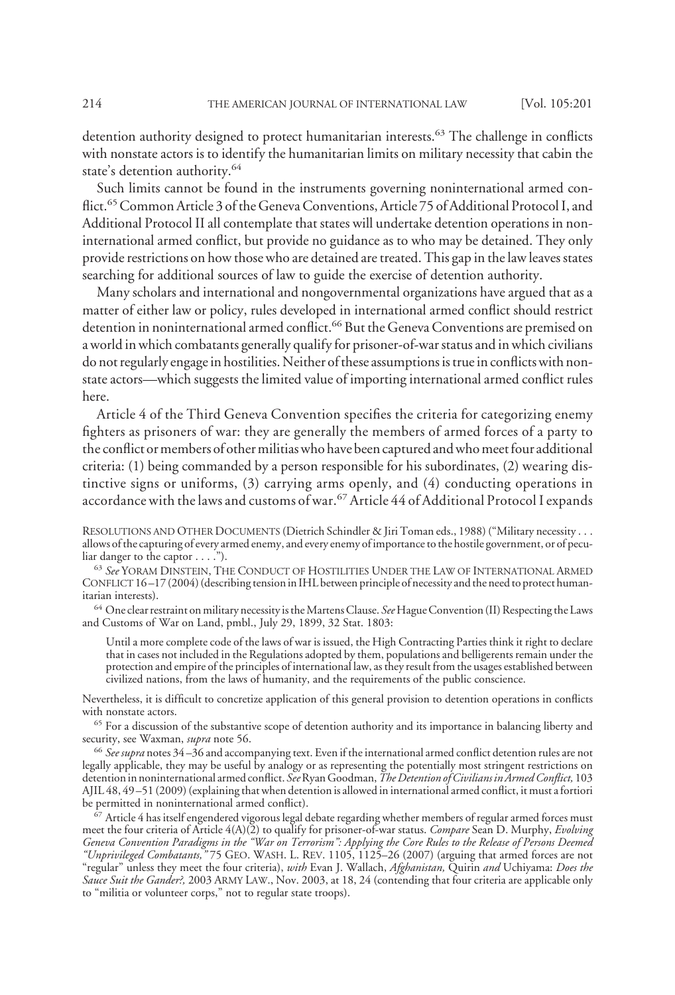detention authority designed to protect humanitarian interests.<sup>63</sup> The challenge in conflicts with nonstate actors is to identify the humanitarian limits on military necessity that cabin the state's detention authority.<sup>64</sup>

Such limits cannot be found in the instruments governing noninternational armed conflict.<sup>65</sup> Common Article 3 of the Geneva Conventions, Article 75 of Additional Protocol I, and Additional Protocol II all contemplate that states will undertake detention operations in noninternational armed conflict, but provide no guidance as to who may be detained. They only provide restrictions on how those who are detained are treated. This gap in the law leaves states searching for additional sources of law to guide the exercise of detention authority.

Many scholars and international and nongovernmental organizations have argued that as a matter of either law or policy, rules developed in international armed conflict should restrict detention in noninternational armed conflict.<sup>66</sup> But the Geneva Conventions are premised on a world in which combatants generally qualify for prisoner-of-war status and in which civilians do not regularly engage in hostilities. Neither of these assumptions is true in conflicts with nonstate actors—which suggests the limited value of importing international armed conflict rules here.

Article 4 of the Third Geneva Convention specifies the criteria for categorizing enemy fighters as prisoners of war: they are generally the members of armed forces of a party to the conflict or members of other militias who have been captured and who meetfour additional criteria: (1) being commanded by a person responsible for his subordinates, (2) wearing distinctive signs or uniforms, (3) carrying arms openly, and (4) conducting operations in accordance with the laws and customs of war.<sup>67</sup> Article 44 of Additional Protocol I expands

<sup>63</sup> *See* YORAM DINSTEIN, THE CONDUCT OF HOSTILITIES UNDER THE LAW OF INTERNATIONAL ARMED CONFLICT16 –17 (2004) (describing tension in IHL between principle of necessity and the need to protect humanitarian interests).

<sup>64</sup> One clear restraint on military necessity is theMartens Clause. *See* Hague Convention (II) Respecting the Laws and Customs of War on Land, pmbl., July 29, 1899, 32 Stat. 1803:

Until a more complete code of the laws of war is issued, the High Contracting Parties think it right to declare that in cases not included in the Regulations adopted by them, populations and belligerents remain under the protection and empire of the principles of international law, as they result from the usages established between civilized nations, from the laws of humanity, and the requirements of the public conscience.

Nevertheless, it is difficult to concretize application of this general provision to detention operations in conflicts with nonstate actors.

<sup>65</sup> For a discussion of the substantive scope of detention authority and its importance in balancing liberty and security, see Waxman, *supra* note 56.

<sup>66</sup> *See supra* notes 34 –36 and accompanying text. Even if the international armed conflict detention rules are not legally applicable, they may be useful by analogy or as representing the potentially most stringent restrictions on detention in noninternational armed conflict. *See*Ryan Goodman,*The Detention of Civiliansin Armed Conflict,* 103 AJIL 48, 49 –51 (2009) (explaining that when detention is allowed in international armed conflict, it must a fortiori be permitted in noninternational armed conflict).

 $^{67}$  Article 4 has itself engendered vigorous legal debate regarding whether members of regular armed forces must meet the four criteria of Article 4(A)(2) to qualify for prisoner-of-war status. *Compare* Sean D. Murphy, *Evolving Geneva Convention Paradigms in the "War on Terrorism": Applying the Core Rules to the Release of Persons Deemed "Unprivileged Combatants,"* 75 GEO. WASH. L. REV. 1105, 1125–26 (2007) (arguing that armed forces are not "regular" unless they meet the four criteria), *with* Evan J. Wallach, *Afghanistan,* Quirin *and* Uchiyama: *Does the Sauce Suit the Gander?,* 2003 ARMY LAW., Nov. 2003, at 18, 24 (contending that four criteria are applicable only to "militia or volunteer corps," not to regular state troops).

RESOLUTIONS AND OTHER DOCUMENTS (Dietrich Schindler & Jiri Toman eds., 1988) ("Military necessity . . . allows of the capturing of every armed enemy, and every enemy of importance to the hostile government, or of peculiar danger to the captor... .").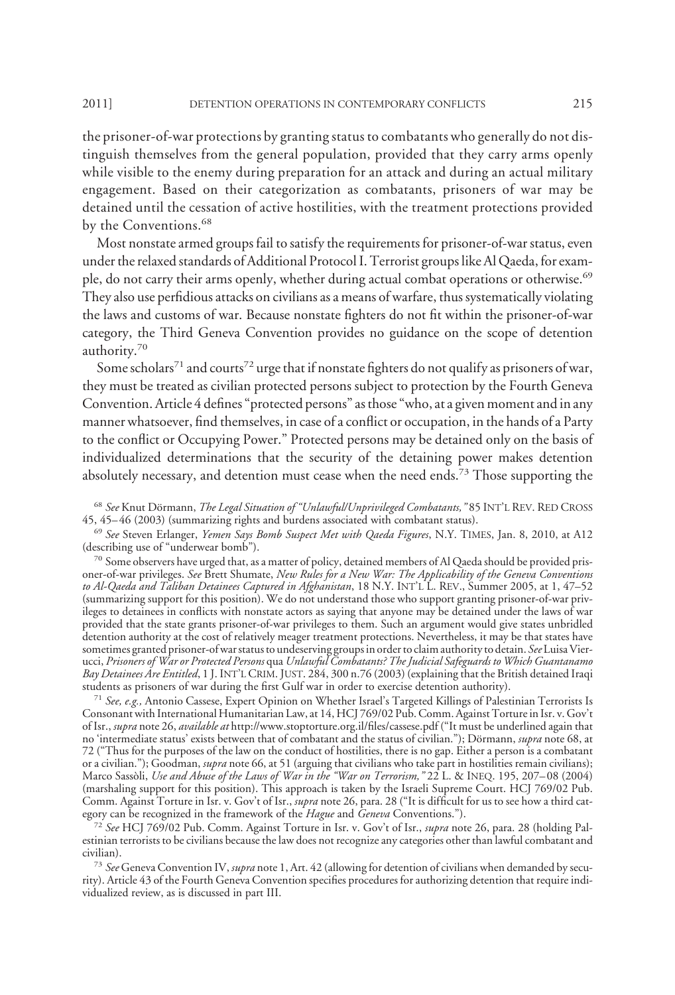the prisoner-of-war protections by granting status to combatants who generally do not distinguish themselves from the general population, provided that they carry arms openly while visible to the enemy during preparation for an attack and during an actual military engagement. Based on their categorization as combatants, prisoners of war may be detained until the cessation of active hostilities, with the treatment protections provided by the Conventions.<sup>68</sup>

Most nonstate armed groups fail to satisfy the requirements for prisoner-of-war status, even under the relaxed standards of Additional Protocol I. Terrorist groups like Al Qaeda, for example, do not carry their arms openly, whether during actual combat operations or otherwise.<sup>69</sup> They also use perfidious attacks on civilians as a means of warfare, thus systematically violating the laws and customs of war. Because nonstate fighters do not fit within the prisoner-of-war category, the Third Geneva Convention provides no guidance on the scope of detention authority.<sup>70</sup>

Some scholars<sup>71</sup> and courts<sup>72</sup> urge that if nonstate fighters do not qualify as prisoners of war, they must be treated as civilian protected persons subject to protection by the Fourth Geneva Convention. Article 4 defines "protected persons" as those "who, at a given moment and in any manner whatsoever, find themselves, in case of a conflict or occupation, in the hands of a Party to the conflict or Occupying Power." Protected persons may be detained only on the basis of individualized determinations that the security of the detaining power makes detention absolutely necessary, and detention must cease when the need ends.<sup>73</sup> Those supporting the

<sup>68</sup> See Knut Dörmann, *The Legal Situation of "Unlawful/Unprivileged Combatants*," 85 INT'L REV. RED CROSS 45, 45– 46 (2003) (summarizing rights and burdens associated with combatant status).

<sup>69</sup> *See* Steven Erlanger, *Yemen Says Bomb Suspect Met with Qaeda Figures*, N.Y. TIMES, Jan. 8, 2010, at A12 (describing use of "underwear bomb").

 $70$  Some observers have urged that, as a matter of policy, detained members of Al Qaeda should be provided prisoner-of-war privileges. *See* Brett Shumate, *New Rules for a New War: The Applicability of the Geneva Conventions to Al-Qaeda and Taliban Detainees Captured in Afghanistan*, 18 N.Y. INT'L L. REV., Summer 2005, at 1, 47–52 (summarizing support for this position). We do not understand those who support granting prisoner-of-war privileges to detainees in conflicts with nonstate actors as saying that anyone may be detained under the laws of war provided that the state grants prisoner-of-war privileges to them. Such an argument would give states unbridled detention authority at the cost of relatively meager treatment protections. Nevertheless, it may be that states have sometimes granted prisoner-of war status to undeserving groups in order to claim authority to detain. *See* Luisa Vierucci, *Prisoners of War or Protected Persons* qua *Unlawful Combatants? The Judicial Safeguards to Which Guantanamo Bay Detainees Are Entitled*, 1 J. INT'L CRIM. JUST. 284, 300 n.76 (2003) (explaining that the British detained Iraqi students as prisoners of war during the first Gulf war in order to exercise detention authority).

<sup>71</sup> *See, e.g.,* Antonio Cassese, Expert Opinion on Whether Israel's Targeted Killings of Palestinian Terrorists Is Consonant with International Humanitarian Law, at 14, HCJ 769/02 Pub. Comm. Against Torture in Isr. v. Gov't of Isr., *supra* note 26, *available at* http://www.stoptorture.org.il/files/cassese.pdf ("It must be underlined again that no 'intermediate status' exists between that of combatant and the status of civilian."); Dörmann, *supra* note 68, at 72 ("Thus for the purposes of the law on the conduct of hostilities, there is no gap. Either a person is a combatant or a civilian."); Goodman, *supra* note 66, at 51 (arguing that civilians who take part in hostilities remain civilians); Marco Sasso`li, *Use and Abuse of the Laws of War in the "War on Terrorism,"* 22 L. & INEQ. 195, 207– 08 (2004) (marshaling support for this position). This approach is taken by the Israeli Supreme Court. HCJ 769/02 Pub. Comm. Against Torture in Isr. v. Gov't of Isr., *supra* note 26, para. 28 ("It is difficult for us to see how a third category can be recognized in the framework of the *Hague* and *Geneva* Conventions.").

<sup>72</sup> *See* HCJ 769/02 Pub. Comm. Against Torture in Isr. v. Gov't of Isr., *supra* note 26, para. 28 (holding Palestinian terrorists to be civilians because the law does not recognize any categories other than lawful combatant and civilian).

<sup>73</sup> *See* Geneva Convention IV, *supra* note 1, Art. 42 (allowing for detention of civilians when demanded by security). Article 43 of the Fourth Geneva Convention specifies procedures for authorizing detention that require individualized review, as is discussed in part III.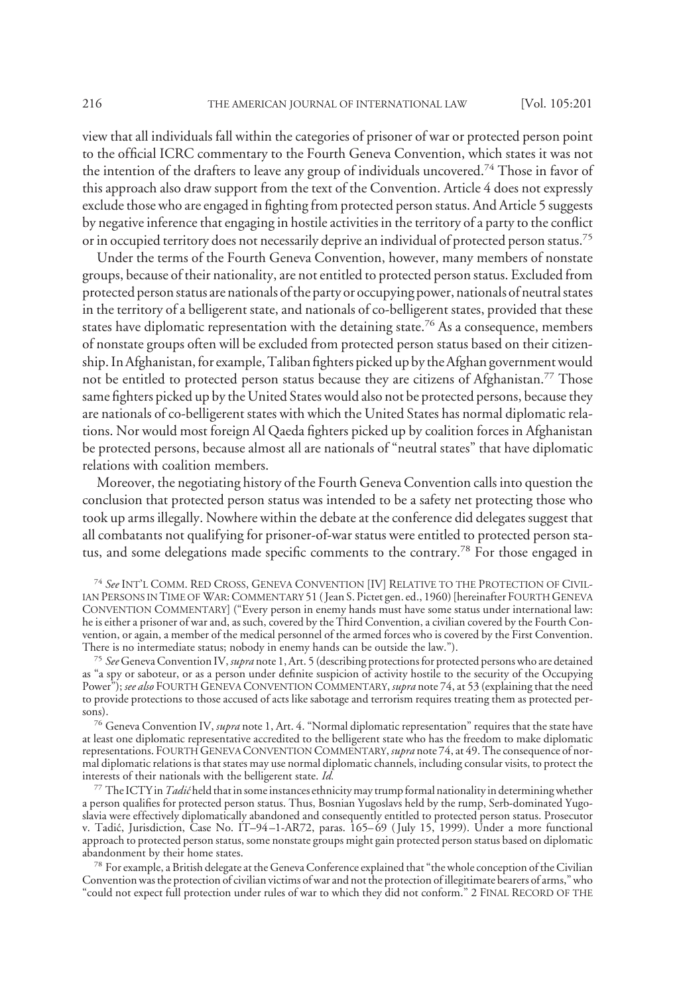view that all individuals fall within the categories of prisoner of war or protected person point to the official ICRC commentary to the Fourth Geneva Convention, which states it was not the intention of the drafters to leave any group of individuals uncovered.<sup>74</sup> Those in favor of this approach also draw support from the text of the Convention. Article 4 does not expressly exclude those who are engaged in fighting from protected person status. And Article 5 suggests by negative inference that engaging in hostile activities in the territory of a party to the conflict or in occupied territory does not necessarily deprive an individual of protected person status.<sup>75</sup>

Under the terms of the Fourth Geneva Convention, however, many members of nonstate groups, because of their nationality, are not entitled to protected person status. Excluded from protected person status are nationals of the party or occupying power, nationals of neutral states in the territory of a belligerent state, and nationals of co-belligerent states, provided that these states have diplomatic representation with the detaining state.<sup>76</sup> As a consequence, members of nonstate groups often will be excluded from protected person status based on their citizenship. In Afghanistan, for example, Taliban fighters picked up by the Afghan government would not be entitled to protected person status because they are citizens of Afghanistan.<sup>77</sup> Those same fighters picked up by the United States would also not be protected persons, because they are nationals of co-belligerent states with which the United States has normal diplomatic relations. Nor would most foreign Al Qaeda fighters picked up by coalition forces in Afghanistan be protected persons, because almost all are nationals of "neutral states" that have diplomatic relations with coalition members.

Moreover, the negotiating history of the Fourth Geneva Convention calls into question the conclusion that protected person status was intended to be a safety net protecting those who took up arms illegally. Nowhere within the debate at the conference did delegates suggest that all combatants not qualifying for prisoner-of-war status were entitled to protected person status, and some delegations made specific comments to the contrary.<sup>78</sup> For those engaged in

<sup>74</sup> *See* INT'L COMM. RED CROSS, GENEVA CONVENTION [IV] RELATIVE TO THE PROTECTION OF CIVIL-IAN PERSONS IN TIME OF WAR: COMMENTARY 51 ( Jean S. Pictet gen. ed., 1960) [hereinafter FOURTH GENEVA CONVENTION COMMENTARY] ("Every person in enemy hands must have some status under international law: he is either a prisoner of war and, as such, covered by the Third Convention, a civilian covered by the Fourth Convention, or again, a member of the medical personnel of the armed forces who is covered by the First Convention. There is no intermediate status; nobody in enemy hands can be outside the law.").

<sup>75</sup> *See* Geneva Convention IV, *supra* note 1, Art. 5 (describing protections for protected persons who are detained as "a spy or saboteur, or as a person under definite suspicion of activity hostile to the security of the Occupying Power"); *see also* FOURTH GENEVA CONVENTION COMMENTARY, *supra* note 74, at 53 (explaining that the need to provide protections to those accused of acts like sabotage and terrorism requires treating them as protected persons).

<sup>76</sup> Geneva Convention IV, *supra* note 1, Art. 4. "Normal diplomatic representation" requires that the state have at least one diplomatic representative accredited to the belligerent state who has the freedom to make diplomatic representations. FOURTH GENEVA CONVENTION COMMENTARY, *supra* note 74, at 49. The consequence of normal diplomatic relations is that states may use normal diplomatic channels, including consular visits, to protect the interests of their nationals with the belligerent state. *Id.*

<sup>77</sup> The ICTY in*Tadic´*held that in some instances ethnicity may trumpformal nationality in determining whether a person qualifies for protected person status. Thus, Bosnian Yugoslavs held by the rump, Serb-dominated Yugoslavia were effectively diplomatically abandoned and consequently entitled to protected person status. Prosecutor v. Tadic´, Jurisdiction, Case No. IT–94 –1-AR72, paras. 165– 69 ( July 15, 1999). Under a more functional approach to protected person status, some nonstate groups might gain protected person status based on diplomatic abandonment by their home states.

<sup>78</sup> For example, a British delegate at the Geneva Conference explained that "the whole conception of the Civilian Convention was the protection of civilian victims of war and not the protection of illegitimate bearers of arms," who "could not expect full protection under rules of war to which they did not conform." 2 FINAL RECORD OF THE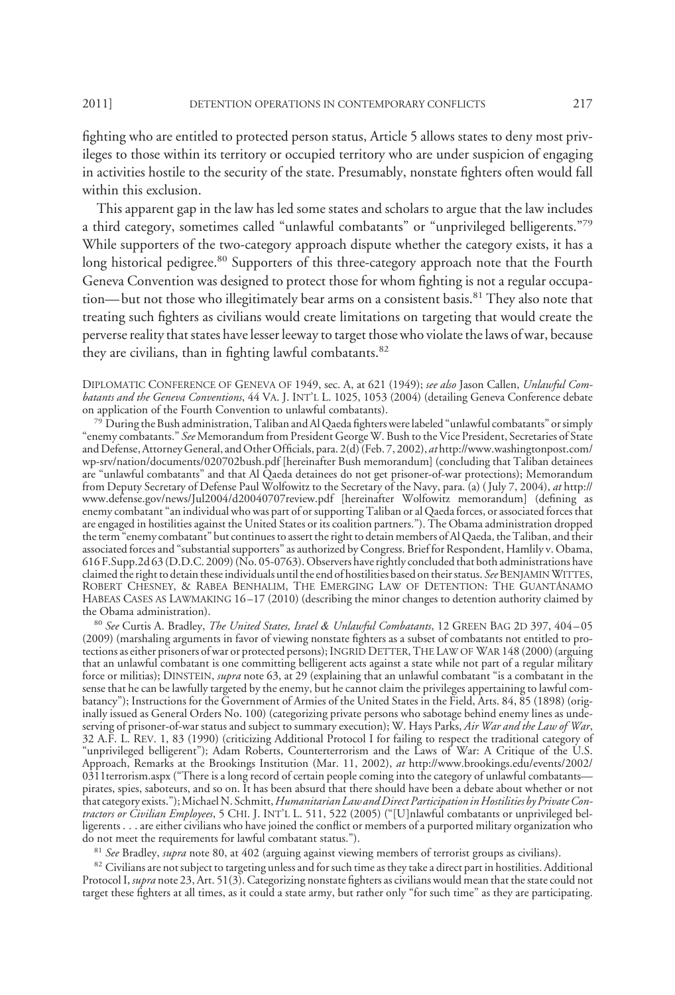fighting who are entitled to protected person status, Article 5 allows states to deny most privileges to those within its territory or occupied territory who are under suspicion of engaging in activities hostile to the security of the state. Presumably, nonstate fighters often would fall within this exclusion.

This apparent gap in the law has led some states and scholars to argue that the law includes a third category, sometimes called "unlawful combatants" or "unprivileged belligerents."<sup>79</sup> While supporters of the two-category approach dispute whether the category exists, it has a long historical pedigree.<sup>80</sup> Supporters of this three-category approach note that the Fourth Geneva Convention was designed to protect those for whom fighting is not a regular occupation— but not those who illegitimately bear arms on a consistent basis.<sup>81</sup> They also note that treating such fighters as civilians would create limitations on targeting that would create the perverse reality that states have lesser leeway to target those who violate the laws of war, because they are civilians, than in fighting lawful combatants.<sup>82</sup>

<sup>79</sup> During the Bush administration, Taliban and Al Qaeda fighters were labeled "unlawful combatants" or simply "enemy combatants." *See* Memorandum from President George W. Bush to the Vice President, Secretaries of State and Defense, Attorney General, andOtherOfficials, para. 2(d) (Feb. 7, 2002), *at* http://www.washingtonpost.com/ wp-srv/nation/documents/020702bush.pdf [hereinafter Bush memorandum] (concluding that Taliban detainees are "unlawful combatants" and that Al Qaeda detainees do not get prisoner-of-war protections); Memorandum from Deputy Secretary of Defense Paul Wolfowitz to the Secretary of the Navy, para. (a) ( July 7, 2004), *at* http:// www.defense.gov/news/Jul2004/d20040707review.pdf [hereinafter Wolfowitz memorandum] (defining as enemy combatant "an individual who was part of or supporting Taliban or al Qaeda forces, or associated forces that are engaged in hostilities against the United States or its coalition partners."). The Obama administration dropped the term "enemy combatant" but continues to assert the right to detain members of Al Qaeda, the Taliban, and their associated forces and "substantial supporters" as authorized by Congress. Brief for Respondent, Hamlily v. Obama, 616 F.Supp.2d 63 (D.D.C. 2009) (No. 05-0763). Observers have rightly concluded that both administrations have claimed the right to detain these individuals until the end of hostilities based on their status. *See* BENJAMIN WITTES, ROBERT CHESNEY, & RABEA BENHALIM, THE EMERGING LAW OF DETENTION: THE GUANTÁNAMO HABEAS CASES AS LAWMAKING 16–17 (2010) (describing the minor changes to detention authority claimed by the Obama administration).

<sup>80</sup> *See* Curtis A. Bradley, *The United States, Israel & Unlawful Combatants*, 12 GREEN BAG 2D 397, 404 – 05 (2009) (marshaling arguments in favor of viewing nonstate fighters as a subset of combatants not entitled to protections as either prisoners of war or protected persons); INGRID DETTER, THE LAW OF WAR 148 (2000) (arguing that an unlawful combatant is one committing belligerent acts against a state while not part of a regular military force or militias); DINSTEIN, *supra* note 63, at 29 (explaining that an unlawful combatant "is a combatant in the sense that he can be lawfully targeted by the enemy, but he cannot claim the privileges appertaining to lawful combatancy"); Instructions for the Government of Armies of the United States in the Field, Arts. 84, 85 (1898) (originally issued as General Orders No. 100) (categorizing private persons who sabotage behind enemy lines as undeserving of prisoner-of-war status and subject to summary execution); W. Hays Parks, *Air War and the Law of War*, 32 A.F. L. REV. 1, 83 (1990) (criticizing Additional Protocol I for failing to respect the traditional category of "unprivileged belligerent"); Adam Roberts, Counterterrorism and the Laws of War: A Critique of the U.S. Approach, Remarks at the Brookings Institution (Mar. 11, 2002), *at* http://www.brookings.edu/events/2002/ 0311terrorism.aspx ("There is a long record of certain people coming into the category of unlawful combatants pirates, spies, saboteurs, and so on. It has been absurd that there should have been a debate about whether or not that category exists.");Michael N. Schmitt,*Humanitarian Law and Direct Participationin Hostilities by Private Contractors or Civilian Employees*,5CHI. J. INT'L L. 511, 522 (2005) ("[U]nlawful combatants or unprivileged belligerents . . . are either civilians who have joined the conflict or members of a purported military organization who do not meet the requirements for lawful combatant status.").

<sup>81</sup> *See* Bradley, *supra* note 80, at 402 (arguing against viewing members of terrorist groups as civilians).

82 Civilians are not subject to targeting unless and for such time as they take a direct part in hostilities. Additional Protocol I, *supra* note 23, Art. 51(3). Categorizing nonstate fighters as civilians would mean that the state could not target these fighters at all times, as it could a state army, but rather only "for such time" as they are participating.

DIPLOMATIC CONFERENCE OF GENEVA OF 1949, sec. A, at 621 (1949); *see also* Jason Callen, *Unlawful Combatants and the Geneva Conventions*, 44 VA. J. INT'L L. 1025, 1053 (2004) (detailing Geneva Conference debate on application of the Fourth Convention to unlawful combatants).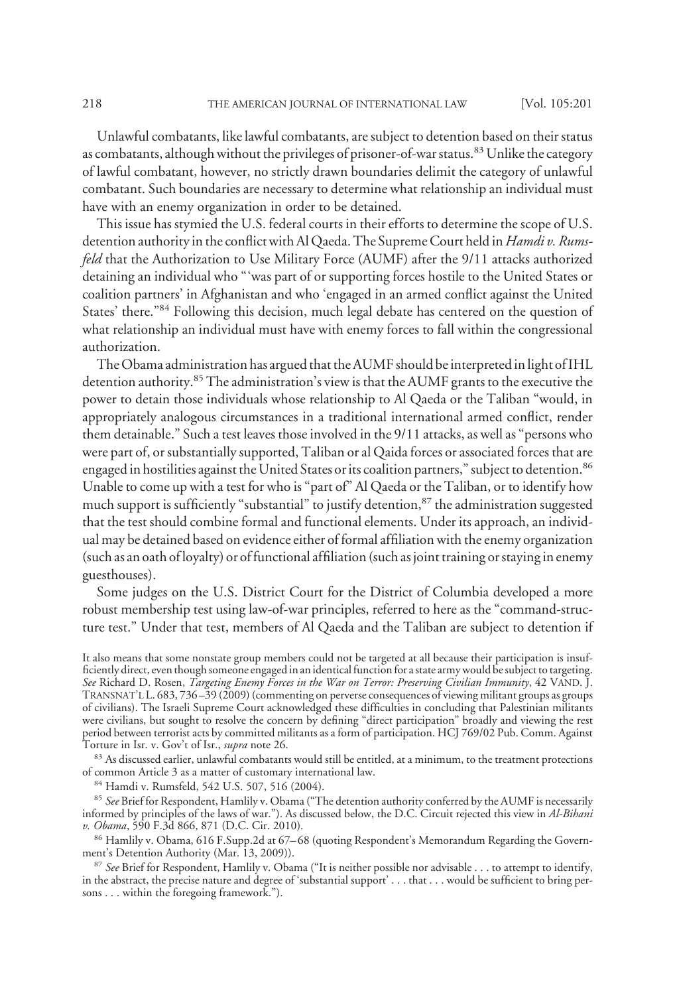Unlawful combatants, like lawful combatants, are subject to detention based on their status as combatants, although without the privileges of prisoner-of-war status.<sup>83</sup> Unlike the category of lawful combatant, however, no strictly drawn boundaries delimit the category of unlawful combatant. Such boundaries are necessary to determine what relationship an individual must have with an enemy organization in order to be detained.

This issue has stymied the U.S. federal courts in their efforts to determine the scope of U.S. detention authority in the conflict with Al Qaeda. The Supreme Court held in*Hamdi v. Rumsfeld* that the Authorization to Use Military Force (AUMF) after the 9/11 attacks authorized detaining an individual who "'was part of or supporting forces hostile to the United States or coalition partners' in Afghanistan and who 'engaged in an armed conflict against the United States' there."<sup>84</sup> Following this decision, much legal debate has centered on the question of what relationship an individual must have with enemy forces to fall within the congressional authorization.

The Obama administration has argued that the AUMF should be interpreted in light of IHL detention authority.85The administration's view is that the AUMF grants to the executive the power to detain those individuals whose relationship to Al Qaeda or the Taliban "would, in appropriately analogous circumstances in a traditional international armed conflict, render them detainable." Such a test leaves those involved in the 9/11 attacks, as well as "persons who were part of, or substantially supported, Taliban or al Qaida forces or associated forces that are engaged in hostilities against the United States or its coalition partners," subject to detention.<sup>86</sup> Unable to come up with a test for who is "part of" Al Qaeda or the Taliban, or to identify how much support is sufficiently "substantial" to justify detention, <sup>87</sup> the administration suggested that the test should combine formal and functional elements. Under its approach, an individual may be detained based on evidence either of formal affiliation with the enemy organization (such as an oath of loyalty) or offunctional affiliation (such as joint training or staying in enemy guesthouses).

Some judges on the U.S. District Court for the District of Columbia developed a more robust membership test using law-of-war principles, referred to here as the "command-structure test." Under that test, members of Al Qaeda and the Taliban are subject to detention if

It also means that some nonstate group members could not be targeted at all because their participation is insufficiently direct, even though someone engaged in an identical function for a state army would be subject to targeting. *See* Richard D. Rosen, *Targeting Enemy Forces in the War on Terror: Preserving Civilian Immunity*, 42 VAND. J. TRANSNAT'L L. 683, 736 –39 (2009) (commenting on perverse consequences of viewing militant groups as groups of civilians). The Israeli Supreme Court acknowledged these difficulties in concluding that Palestinian militants were civilians, but sought to resolve the concern by defining "direct participation" broadly and viewing the rest period between terrorist acts by committed militants as a form of participation. HCJ 769/02 Pub. Comm. Against Torture in Isr. v. Gov't of Isr., *supra* note 26.

83 As discussed earlier, unlawful combatants would still be entitled, at a minimum, to the treatment protections of common Article 3 as a matter of customary international law.

<sup>84</sup> Hamdi v. Rumsfeld, 542 U.S. 507, 516 (2004).

<sup>85</sup> See Brief for Respondent, Hamlily v. Obama ("The detention authority conferred by the AUMF is necessarily informed by principles of the laws of war."). As discussed below, the D.C. Circuit rejected this view in *Al-Bihani v. Obama*, 590 F.3d 866, 871 (D.C. Cir. 2010).

<sup>86</sup> Hamlily v. Obama, 616 F.Supp.2d at 67–68 (quoting Respondent's Memorandum Regarding the Government's Detention Authority (Mar. 13, 2009)).

<sup>87</sup> *See* Brief for Respondent, Hamlily v. Obama ("It is neither possible nor advisable . . . to attempt to identify, in the abstract, the precise nature and degree of 'substantial support' . . . that . . . would be sufficient to bring persons . . . within the foregoing framework.").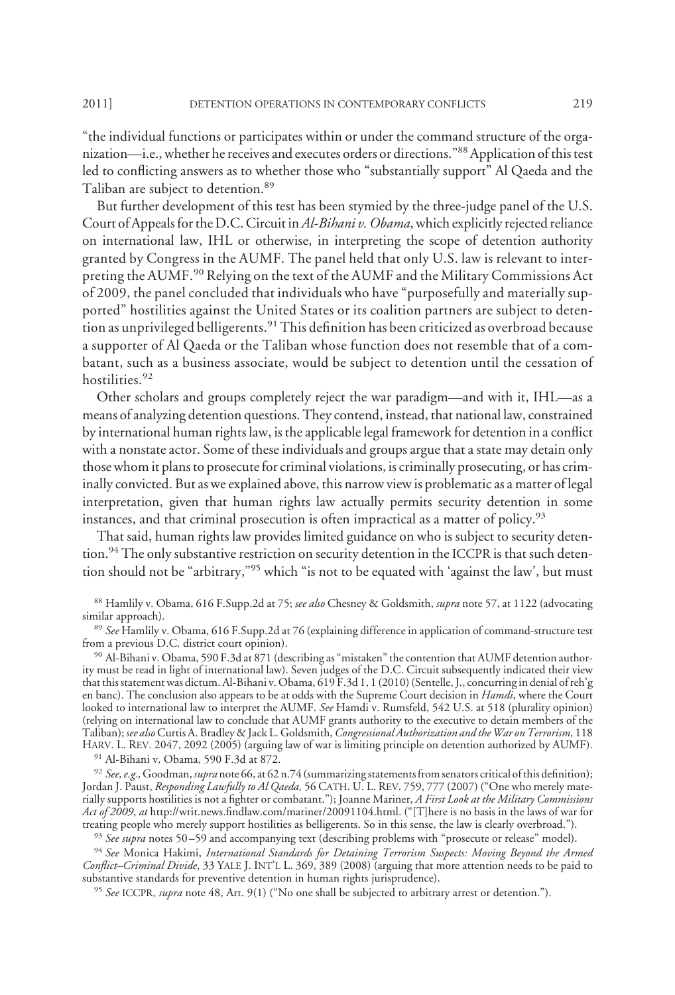"the individual functions or participates within or under the command structure of the organization—i.e., whether he receives and executes orders or directions."88 Application of this test led to conflicting answers as to whether those who "substantially support" Al Qaeda and the Taliban are subject to detention.<sup>89</sup>

But further development of this test has been stymied by the three-judge panel of the U.S. Court of Appeals for the D.C. Circuit in*Al-Bihani v. Obama*, which explicitly rejected reliance on international law, IHL or otherwise, in interpreting the scope of detention authority granted by Congress in the AUMF. The panel held that only U.S. law is relevant to interpreting the AUMF.<sup>90</sup> Relying on the text of the AUMF and the Military Commissions Act of 2009, the panel concluded that individuals who have "purposefully and materially supported" hostilities against the United States or its coalition partners are subject to detention as unprivileged belligerents.<sup>91</sup> This definition has been criticized as overbroad because a supporter of Al Qaeda or the Taliban whose function does not resemble that of a combatant, such as a business associate, would be subject to detention until the cessation of hostilities.<sup>92</sup>

Other scholars and groups completely reject the war paradigm—and with it, IHL—as a means of analyzing detention questions. They contend, instead, that national law, constrained by international human rights law, is the applicable legal framework for detention in a conflict with a nonstate actor. Some of these individuals and groups argue that a state may detain only those whom it plans to prosecute for criminal violations, is criminally prosecuting, or has criminally convicted. But as we explained above, this narrow view is problematic as a matter of legal interpretation, given that human rights law actually permits security detention in some instances, and that criminal prosecution is often impractical as a matter of policy.<sup>93</sup>

That said, human rights law provides limited guidance on who is subject to security detention.<sup>94</sup> The only substantive restriction on security detention in the ICCPR is that such detention should not be "arbitrary,"<sup>95</sup> which "is not to be equated with 'against the law', but must

<sup>88</sup> Hamlily v. Obama, 616 F.Supp.2d at 75; *see also* Chesney & Goldsmith, *supra* note 57, at 1122 (advocating similar approach).

<sup>89</sup> *See* Hamlily v. Obama, 616 F.Supp.2d at 76 (explaining difference in application of command-structure test from a previous D.C. district court opinion).

 $^{90}$  Al-Bihani v. Obama, 590 F.3d at 871 (describing as "mistaken" the contention that AUMF detention authority must be read in light of international law). Seven judges of the D.C. Circuit subsequently indicated their view that this statement was dictum. Al-Bihani v. Obama, 619 F.3d 1, 1 (2010) (Sentelle, J., concurring in denial of reh'g en banc). The conclusion also appears to be at odds with the Supreme Court decision in *Hamdi*, where the Court looked to international law to interpret the AUMF. *See* Hamdi v. Rumsfeld, 542 U.S. at 518 (plurality opinion) (relying on international law to conclude that AUMF grants authority to the executive to detain members of the Taliban); *see also*Curtis A. Bradley & Jack L. Goldsmith,*Congressional Authorization and the War on Terrorism*, 118 HARV. L. REV. 2047, 2092 (2005) (arguing law of war is limiting principle on detention authorized by AUMF).

<sup>91</sup> Al-Bihani v. Obama, 590 F.3d at 872.

<sup>92</sup> *See, e.g.,*Goodman, *supra* note 66, at 62 n.74 (summarizing statementsfrom senators critical of this definition); Jordan J. Paust, *Responding Lawfully to Al Qaeda,* 56 CATH. U. L. REV. 759, 777 (2007) ("One who merely materially supports hostilities is not a fighter or combatant."); Joanne Mariner, *A First Look at the Military Commissions Act of 2009*, *at* http://writ.news.findlaw.com/mariner/20091104.html. ("[T]here is no basis in the laws of war for treating people who merely support hostilities as belligerents. So in this sense, the law is clearly overbroad.").

<sup>93</sup> *See supra* notes 50 –59 and accompanying text (describing problems with "prosecute or release" model).

<sup>94</sup> *See* Monica Hakimi, *International Standards for Detaining Terrorism Suspects: Moving Beyond the Armed Conflict–Criminal Divide*, 33 YALE J. INT'L L. 369, 389 (2008) (arguing that more attention needs to be paid to substantive standards for preventive detention in human rights jurisprudence).

<sup>95</sup> *See* ICCPR, *supra* note 48, Art. 9(1) ("No one shall be subjected to arbitrary arrest or detention.").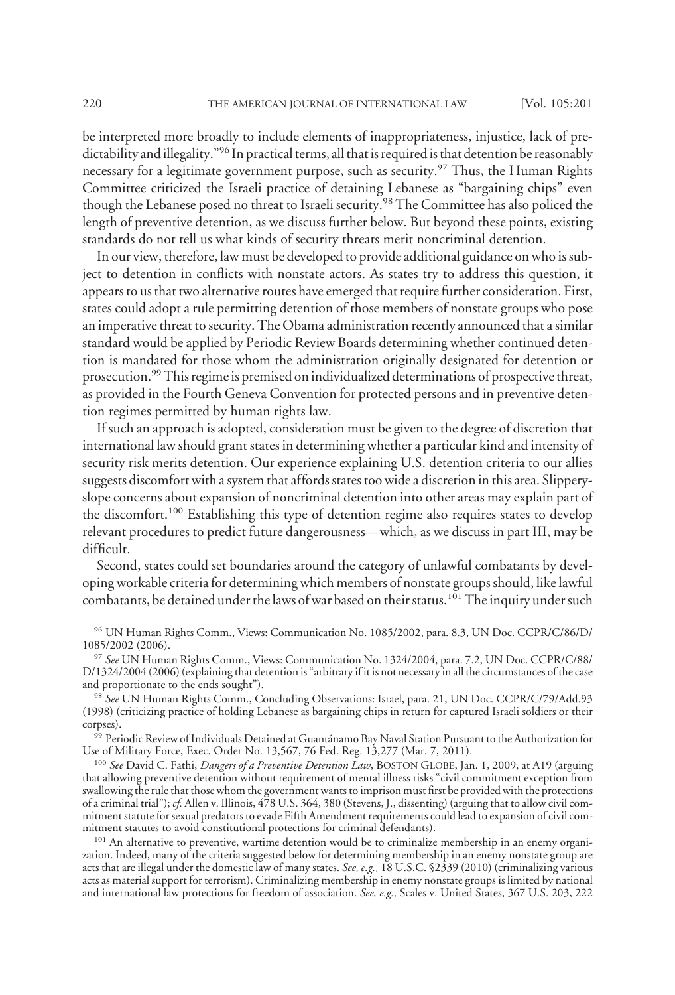be interpreted more broadly to include elements of inappropriateness, injustice, lack of predictability and illegality."<sup>96</sup> In practical terms, all that is required is that detention be reasonably necessary for a legitimate government purpose, such as security.<sup>97</sup> Thus, the Human Rights Committee criticized the Israeli practice of detaining Lebanese as "bargaining chips" even though the Lebanese posed no threat to Israeli security.<sup>98</sup> The Committee has also policed the length of preventive detention, as we discuss further below. But beyond these points, existing standards do not tell us what kinds of security threats merit noncriminal detention.

In our view, therefore, law must be developed to provide additional guidance on who is subject to detention in conflicts with nonstate actors. As states try to address this question, it appears to us that two alternative routes have emerged that require further consideration. First, states could adopt a rule permitting detention of those members of nonstate groups who pose an imperative threat to security. The Obama administration recently announced that a similar standard would be applied by Periodic Review Boards determining whether continued detention is mandated for those whom the administration originally designated for detention or prosecution.99This regime is premised on individualized determinations of prospective threat, as provided in the Fourth Geneva Convention for protected persons and in preventive detention regimes permitted by human rights law.

If such an approach is adopted, consideration must be given to the degree of discretion that international law should grant states in determining whether a particular kind and intensity of security risk merits detention. Our experience explaining U.S. detention criteria to our allies suggests discomfort with a system that affords states too wide a discretion in this area. Slipperyslope concerns about expansion of noncriminal detention into other areas may explain part of the discomfort.<sup>100</sup> Establishing this type of detention regime also requires states to develop relevant procedures to predict future dangerousness—which, as we discuss in part III, may be difficult.

Second, states could set boundaries around the category of unlawful combatants by developing workable criteria for determining which members of nonstate groups should, like lawful combatants, be detained under the laws of war based on their status.<sup>101</sup> The inquiry under such

<sup>96</sup> UN Human Rights Comm., Views: Communication No. 1085/2002, para. 8.3, UN Doc. CCPR/C/86/D/ 1085/2002 (2006).

<sup>97</sup> *See* UN Human Rights Comm., Views: Communication No. 1324/2004, para. 7.2, UN Doc. CCPR/C/88/ D/1324/2004 (2006) (explaining that detention is "arbitrary if it is not necessary in all the circumstances of the case and proportionate to the ends sought").

<sup>98</sup> *See* UN Human Rights Comm., Concluding Observations: Israel, para. 21, UN Doc. CCPR/C/79/Add.93 (1998) (criticizing practice of holding Lebanese as bargaining chips in return for captured Israeli soldiers or their corpses).

99 Periodic Review of Individuals Detained at Guantánamo Bay Naval Station Pursuant to the Authorization for Use of Military Force, Exec. Order No. 13,567, 76 Fed. Reg. 13,277 (Mar. 7, 2011).

<sup>100</sup> *See* David C. Fathi, *Dangers of a Preventive Detention Law*, BOSTON GLOBE, Jan. 1, 2009, at A19 (arguing that allowing preventive detention without requirement of mental illness risks "civil commitment exception from swallowing the rule that those whom the government wants to imprison must first be provided with the protections of a criminal trial"); *cf.* Allen v. Illinois, 478 U.S. 364, 380 (Stevens, J., dissenting) (arguing that to allow civil commitment statute for sexual predators to evade Fifth Amendment requirements could lead to expansion of civil commitment statutes to avoid constitutional protections for criminal defendants).

<sup>101</sup> An alternative to preventive, wartime detention would be to criminalize membership in an enemy organization. Indeed, many of the criteria suggested below for determining membership in an enemy nonstate group are acts that are illegal under the domestic law of many states. *See, e.g.,* 18 U.S.C. §2339 (2010) (criminalizing various acts as material support for terrorism). Criminalizing membership in enemy nonstate groups is limited by national and international law protections for freedom of association. *See, e.g.,* Scales v. United States, 367 U.S. 203, 222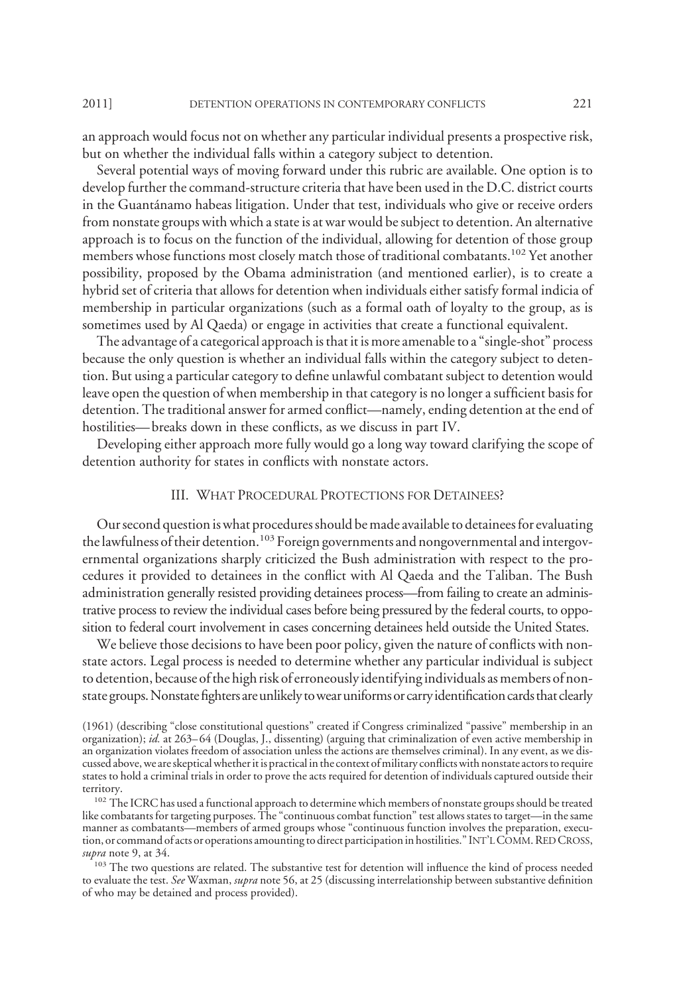an approach would focus not on whether any particular individual presents a prospective risk, but on whether the individual falls within a category subject to detention.

Several potential ways of moving forward under this rubric are available. One option is to develop further the command-structure criteria that have been used in the D.C. district courts in the Guantánamo habeas litigation. Under that test, individuals who give or receive orders from nonstate groups with which a state is at war would be subject to detention. An alternative approach is to focus on the function of the individual, allowing for detention of those group members whose functions most closely match those of traditional combatants.<sup>102</sup> Yet another possibility, proposed by the Obama administration (and mentioned earlier), is to create a hybrid set of criteria that allows for detention when individuals either satisfy formal indicia of membership in particular organizations (such as a formal oath of loyalty to the group, as is sometimes used by Al Qaeda) or engage in activities that create a functional equivalent.

The advantage of a categorical approach is that it is more amenable to a "single-shot" process because the only question is whether an individual falls within the category subject to detention. But using a particular category to define unlawful combatant subject to detention would leave open the question of when membership in that category is no longer a sufficient basis for detention. The traditional answer for armed conflict—namely, ending detention at the end of hostilities— breaks down in these conflicts, as we discuss in part IV.

Developing either approach more fully would go a long way toward clarifying the scope of detention authority for states in conflicts with nonstate actors.

## III. WHAT PROCEDURAL PROTECTIONS FOR DETAINEES?

Our second question is what procedures should be made available to detainees for evaluating the lawfulness of their detention.<sup>103</sup> Foreign governments and nongovernmental and intergovernmental organizations sharply criticized the Bush administration with respect to the procedures it provided to detainees in the conflict with Al Qaeda and the Taliban. The Bush administration generally resisted providing detainees process—from failing to create an administrative process to review the individual cases before being pressured by the federal courts, to opposition to federal court involvement in cases concerning detainees held outside the United States.

We believe those decisions to have been poor policy, given the nature of conflicts with nonstate actors. Legal process is needed to determine whether any particular individual is subject to detention, because of the high risk of erroneously identifying individuals as members of nonstate groups.Nonstate fighters are unlikely towear uniformsor carryidentification cards that clearly

(1961) (describing "close constitutional questions" created if Congress criminalized "passive" membership in an organization); *id.* at 263– 64 (Douglas, J., dissenting) (arguing that criminalization of even active membership in an organization violates freedom of association unless the actions are themselves criminal). In any event, as we discussed above, we are skeptical whether it is practical in the context of military conflicts with nonstate actors to require states to hold a criminal trials in order to prove the acts required for detention of individuals captured outside their territory.

<sup>102</sup> The ICRC has used a functional approach to determine which members of nonstate groups should be treated like combatants for targeting purposes. The "continuous combat function" test allows states to target—in the same manner as combatants—members of armed groups whose "continuous function involves the preparation, execution, or command of acts or operations amounting to direct participation in hostilities." INT'LCOMM. RED CROSS, *supra* note 9, at 34.

<sup>103</sup> The two questions are related. The substantive test for detention will influence the kind of process needed to evaluate the test. *See* Waxman, *supra* note 56, at 25 (discussing interrelationship between substantive definition of who may be detained and process provided).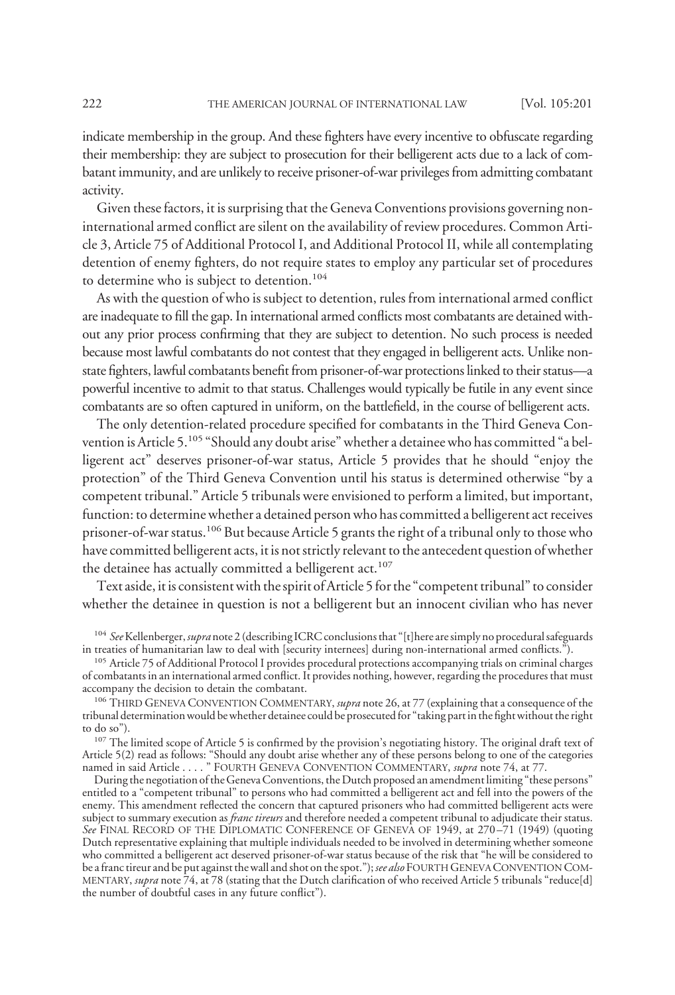indicate membership in the group. And these fighters have every incentive to obfuscate regarding their membership: they are subject to prosecution for their belligerent acts due to a lack of combatant immunity, and are unlikely to receive prisoner-of-war privileges from admitting combatant activity.

Given these factors, it is surprising that the Geneva Conventions provisions governing noninternational armed conflict are silent on the availability of review procedures. Common Article 3, Article 75 of Additional Protocol I, and Additional Protocol II, while all contemplating detention of enemy fighters, do not require states to employ any particular set of procedures to determine who is subject to detention.<sup>104</sup>

As with the question of who is subject to detention, rules from international armed conflict are inadequate to fill the gap. In international armed conflicts most combatants are detained without any prior process confirming that they are subject to detention. No such process is needed because most lawful combatants do not contest that they engaged in belligerent acts. Unlike nonstate fighters, lawful combatants benefit from prisoner-of-war protections linked to their status—a powerful incentive to admit to that status. Challenges would typically be futile in any event since combatants are so often captured in uniform, on the battlefield, in the course of belligerent acts.

The only detention-related procedure specified for combatants in the Third Geneva Convention is Article 5.<sup>105</sup> "Should any doubt arise" whether a detainee who has committed "a belligerent act" deserves prisoner-of-war status, Article 5 provides that he should "enjoy the protection" of the Third Geneva Convention until his status is determined otherwise "by a competent tribunal." Article 5 tribunals were envisioned to perform a limited, but important, function: to determine whether a detained person who has committed a belligerent act receives prisoner-of-war status.<sup>106</sup> But because Article 5 grants the right of a tribunal only to those who have committed belligerent acts, it is not strictly relevant to the antecedent question of whether the detainee has actually committed a belligerent act.<sup>107</sup>

Text aside, it is consistent with the spirit of Article 5for the "competent tribunal" to consider whether the detainee in question is not a belligerent but an innocent civilian who has never

<sup>104</sup> *See*Kellenberger, *supra* note 2 (describing ICRC conclusions that "[t]here are simply no procedural safeguards in treaties of humanitarian law to deal with [security internees] during non-international armed conflicts.").

<sup>105</sup> Article 75 of Additional Protocol I provides procedural protections accompanying trials on criminal charges of combatants in an international armed conflict. It provides nothing, however, regarding the procedures that must accompany the decision to detain the combatant.

<sup>106</sup> THIRD GENEVA CONVENTION COMMENTARY, *supra* note 26, at 77 (explaining that a consequence of the tribunal determination would be whether detainee could be prosecutedfor "taking part in the fight without the right to do so").

<sup>107</sup> The limited scope of Article 5 is confirmed by the provision's negotiating history. The original draft text of Article 5(2) read as follows: "Should any doubt arise whether any of these persons belong to one of the categories named in said Article...."FOURTH GENEVA CONVENTION COMMENTARY, *supra* note 74, at 77.

During the negotiation of the Geneva Conventions, the Dutch proposed an amendment limiting "these persons" entitled to a "competent tribunal" to persons who had committed a belligerent act and fell into the powers of the enemy. This amendment reflected the concern that captured prisoners who had committed belligerent acts were subject to summary execution as *franc tireurs* and therefore needed a competent tribunal to adjudicate their status. *See* FINAL RECORD OF THE DIPLOMATIC CONFERENCE OF GENEVA OF 1949, at 270 –71 (1949) (quoting Dutch representative explaining that multiple individuals needed to be involved in determining whether someone who committed a belligerent act deserved prisoner-of-war status because of the risk that "he will be considered to be afranc tireur and be put against the wall and shot on the spot."); *see also* FOURTH GENEVACONVENTION COM-MENTARY, *supra* note 74, at 78 (stating that the Dutch clarification of who received Article 5 tribunals "reduce[d] the number of doubtful cases in any future conflict").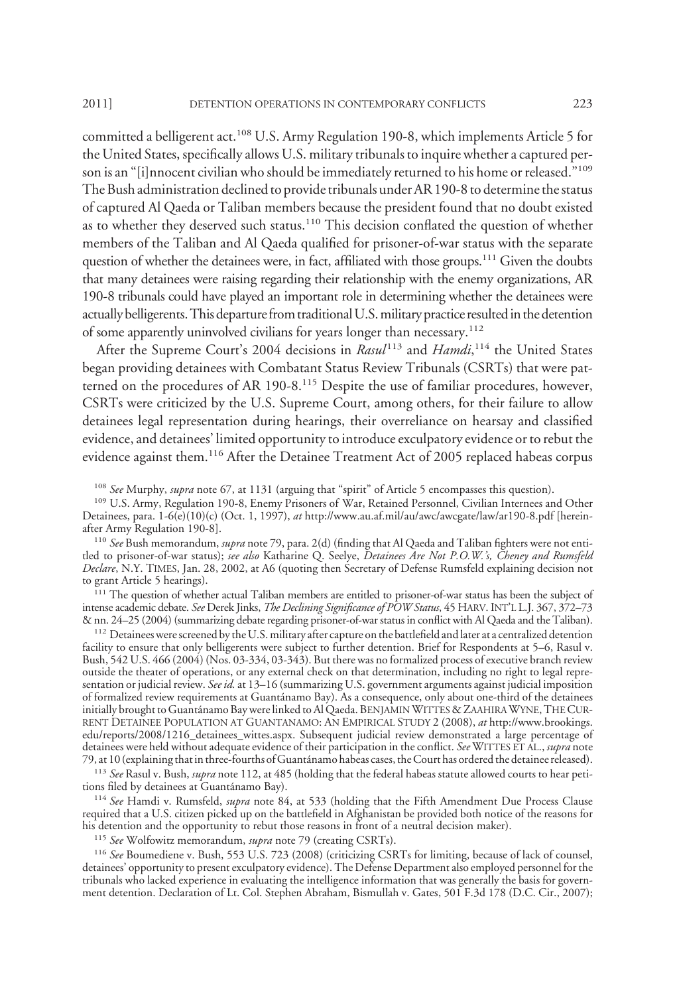committed a belligerent act.<sup>108</sup> U.S. Army Regulation 190-8, which implements Article 5 for the United States, specifically allows U.S. military tribunals to inquire whether a captured person is an "[i]nnocent civilian who should be immediately returned to his home or released."<sup>109</sup> The Bush administration declined to provide tribunals under AR 190-8 to determine the status of captured Al Qaeda or Taliban members because the president found that no doubt existed as to whether they deserved such status.<sup>110</sup> This decision conflated the question of whether members of the Taliban and Al Qaeda qualified for prisoner-of-war status with the separate question of whether the detainees were, in fact, affiliated with those groups.<sup>111</sup> Given the doubts that many detainees were raising regarding their relationship with the enemy organizations, AR 190-8 tribunals could have played an important role in determining whether the detainees were actually belligerents. This departure from traditional U.S. military practice resulted in the detention of some apparently uninvolved civilians for years longer than necessary.<sup>112</sup>

After the Supreme Court's 2004 decisions in *Rasul*<sup>113</sup> and *Hamdi*,<sup>114</sup> the United States began providing detainees with Combatant Status Review Tribunals (CSRTs) that were patterned on the procedures of AR 190-8.<sup>115</sup> Despite the use of familiar procedures, however, CSRTs were criticized by the U.S. Supreme Court, among others, for their failure to allow detainees legal representation during hearings, their overreliance on hearsay and classified evidence, and detainees' limited opportunity to introduce exculpatory evidence or to rebut the evidence against them.<sup>116</sup> After the Detainee Treatment Act of 2005 replaced habeas corpus

<sup>108</sup> *See* Murphy, *supra* note 67, at 1131 (arguing that "spirit" of Article 5 encompasses this question).

<sup>109</sup> U.S. Army, Regulation 190-8, Enemy Prisoners of War, Retained Personnel, Civilian Internees and Other Detainees, para. 1-6(e)(10)(c) (Oct. 1, 1997), *at* http://www.au.af.mil/au/awc/awcgate/law/ar190-8.pdf [hereinafter Army Regulation 190-8].

<sup>110</sup> *See* Bush memorandum, *supra* note 79, para. 2(d) (finding that Al Qaeda and Taliban fighters were not entitled to prisoner-of-war status); *see also* Katharine Q. Seelye, *Detainees Are Not P.O.W.'s, Cheney and Rumsfeld Declare*, N.Y. TIMES, Jan. 28, 2002, at A6 (quoting then Secretary of Defense Rumsfeld explaining decision not to grant Article 5 hearings).

<sup>111</sup> The question of whether actual Taliban members are entitled to prisoner-of-war status has been the subject of intense academic debate. *See* Derek Jinks, *The Declining Significance of POW Status*, 45 HARV. INT'L L.J. 367, 372–73 & nn. 24–25 (2004) (summarizing debate regarding prisoner-of-war status in conflict with Al Qaeda and the Taliban).

<sup>112</sup> Detainees were screened by the U.S. military after capture on the battlefield and later at a centralized detention facility to ensure that only belligerents were subject to further detention. Brief for Respondents at 5–6, Rasul v. Bush, 542 U.S. 466 (2004) (Nos. 03-334, 03-343). But there was no formalized process of executive branch review outside the theater of operations, or any external check on that determination, including no right to legal representation or judicial review. *See id.* at 13–16 (summarizing U.S. government arguments against judicial imposition of formalized review requirements at Guanta´namo Bay). As a consequence, only about one-third of the detainees initially brought to Guanta´namo Bay were linked to Al Qaeda. BENJAMINWITTES & ZAAHIRAWYNE, THECUR-RENT DETAINEE POPULATION AT GUANTANAMO: AN EMPIRICAL STUDY 2 (2008), *at* http://www.brookings. edu/reports/2008/1216\_detainees\_wittes.aspx. Subsequent judicial review demonstrated a large percentage of detainees were held without adequate evidence of their participation in the conflict. *See* WITTES ET AL., *supra* note 79, at 10 (explaining that in three-fourths of Guantánamo habeas cases, the Court has ordered the detainee released).

<sup>113</sup> *See* Rasul v. Bush, *supra* note 112, at 485 (holding that the federal habeas statute allowed courts to hear petitions filed by detainees at Guantánamo Bay).

<sup>114</sup> *See* Hamdi v. Rumsfeld, *supra* note 84, at 533 (holding that the Fifth Amendment Due Process Clause required that a U.S. citizen picked up on the battlefield in Afghanistan be provided both notice of the reasons for his detention and the opportunity to rebut those reasons in front of a neutral decision maker).

<sup>115</sup> *See* Wolfowitz memorandum, *supra* note 79 (creating CSRTs).

<sup>116</sup> *See* Boumediene v. Bush, 553 U.S. 723 (2008) (criticizing CSRTs for limiting, because of lack of counsel, detainees' opportunity to present exculpatory evidence). The Defense Department also employed personnel for the tribunals who lacked experience in evaluating the intelligence information that was generally the basis for government detention. Declaration of Lt. Col. Stephen Abraham, Bismullah v. Gates, 501 F.3d 178 (D.C. Cir., 2007);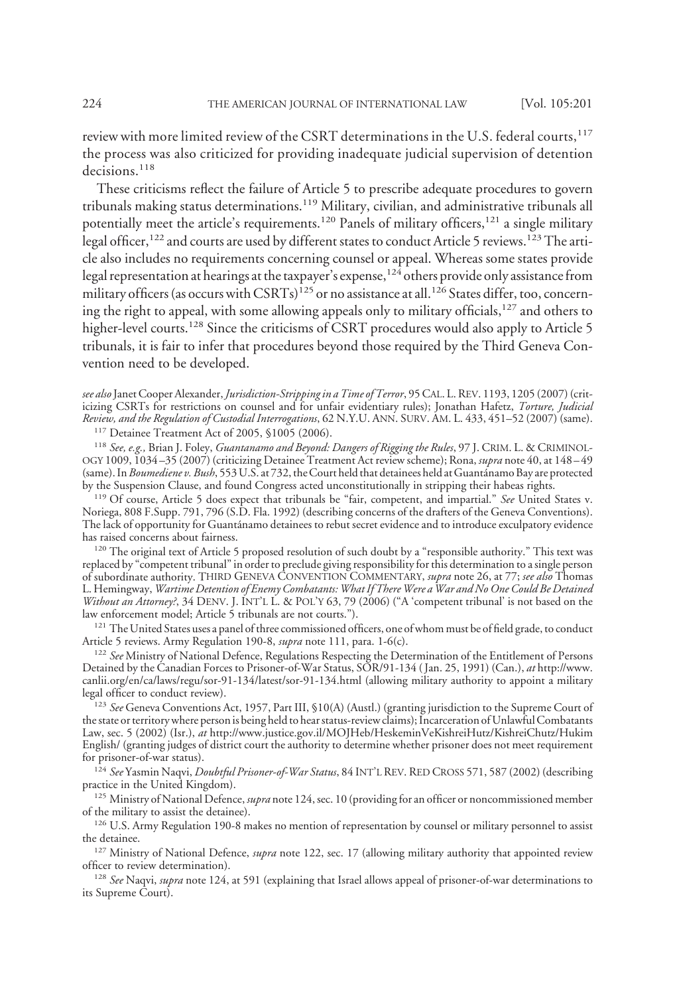review with more limited review of the CSRT determinations in the U.S. federal courts,<sup>117</sup> the process was also criticized for providing inadequate judicial supervision of detention decisions.<sup>118</sup>

These criticisms reflect the failure of Article 5 to prescribe adequate procedures to govern tribunals making status determinations.119 Military, civilian, and administrative tribunals all potentially meet the article's requirements.<sup>120</sup> Panels of military officers,<sup>121</sup> a single military legal officer,<sup>122</sup> and courts are used by different states to conduct Article 5 reviews.<sup>123</sup> The article also includes no requirements concerning counsel or appeal. Whereas some states provide legal representation at hearings at the taxpayer's expense,<sup>124</sup> others provide only assistance from military officers (as occurs with CSRTs)<sup>125</sup> or no assistance at all.<sup>126</sup> States differ, too, concerning the right to appeal, with some allowing appeals only to military officials,<sup>127</sup> and others to higher-level courts.<sup>128</sup> Since the criticisms of CSRT procedures would also apply to Article 5 tribunals, it is fair to infer that procedures beyond those required by the Third Geneva Convention need to be developed.

*see also* Janet Cooper Alexander,*Jurisdiction-Stripping in a Time of Terror*, 95 CAL. L. REV. 1193, 1205 (2007) (criticizing CSRTs for restrictions on counsel and for unfair evidentiary rules); Jonathan Hafetz, *Torture, Judicial Review, and the Regulation of Custodial Interrogations*, 62 N.Y.U. ANN. SURV. AM. L. 433, 451–52 (2007) (same). <sup>117</sup> Detainee Treatment Act of 2005, §1005 (2006).

<sup>118</sup> *See, e.g.,* Brian J. Foley, *Guantanamo and Beyond: Dangers of Rigging the Rules*, 97 J. CRIM. L. & CRIMINOL-OGY 1009, 1034 –35 (2007) (criticizing Detainee Treatment Act review scheme); Rona, *supra* note 40, at 148 – 49 (same). In*Boumediene v. Bush*, 553 U.S. at 732, theCourt held that detainees held at Guanta´namo Bay are protected by the Suspension Clause, and found Congress acted unconstitutionally in stripping their habeas rights.

<sup>119</sup> Of course, Article 5 does expect that tribunals be "fair, competent, and impartial." *See* United States v. Noriega, 808 F.Supp. 791, 796 (S.D. Fla. 1992) (describing concerns of the drafters of the Geneva Conventions). The lack of opportunity for Guantánamo detainees to rebut secret evidence and to introduce exculpatory evidence has raised concerns about fairness.

<sup>120</sup> The original text of Article 5 proposed resolution of such doubt by a "responsible authority." This text was replaced by "competent tribunal" in order to preclude giving responsibility for this determination to a single person of subordinate authority. THIRD GENEVA CONVENTION COMMENTARY, *supra* note 26, at 77; *see also* Thomas L. Hemingway, *Wartime Detention of Enemy Combatants: What If There Were a War and No One Could Be Detained Without an Attorney?*, 34 DENV. J. INT'L L. & POL'Y 63, 79 (2006) ("A 'competent tribunal' is not based on the law enforcement model; Article 5 tribunals are not courts.").

<sup>121</sup> The United States uses a panel of three commissioned officers, one of whom must be of field grade, to conduct Article 5 reviews. Army Regulation 190-8, *supra* note 111, para. 1-6(c).

<sup>122</sup> *See* Ministry of National Defence, Regulations Respecting the Determination of the Entitlement of Persons Detained by the Canadian Forces to Prisoner-of-War Status, SOR/91-134 ( Jan. 25, 1991) (Can.), *at* http://www. canlii.org/en/ca/laws/regu/sor-91-134/latest/sor-91-134.html (allowing military authority to appoint a military legal officer to conduct review).

<sup>123</sup> *See* Geneva Conventions Act, 1957, Part III, §10(A) (Austl.) (granting jurisdiction to the Supreme Court of the state or territory where person is being held to hear status-review claims); Incarceration of Unlawful Combatants Law, sec. 5 (2002) (Isr.), *at* http://www.justice.gov.il/MOJHeb/HeskeminVeKishreiHutz/KishreiChutz/Hukim English/ (granting judges of district court the authority to determine whether prisoner does not meet requirement for prisoner-of-war status).

<sup>124</sup> *See* Yasmin Naqvi, *Doubtful Prisoner-of-War Status*, 84 INT'L REV. RED CROSS 571, 587 (2002) (describing practice in the United Kingdom).

<sup>125</sup> Ministry of National Defence, *supra* note 124, sec. 10 (providing for an officer or noncommissioned member of the military to assist the detainee).

<sup>126</sup> U.S. Army Regulation 190-8 makes no mention of representation by counsel or military personnel to assist the detainee.

<sup>127</sup> Ministry of National Defence, *supra* note 122, sec. 17 (allowing military authority that appointed review officer to review determination).

<sup>128</sup> *See* Naqvi, *supra* note 124, at 591 (explaining that Israel allows appeal of prisoner-of-war determinations to its Supreme Court).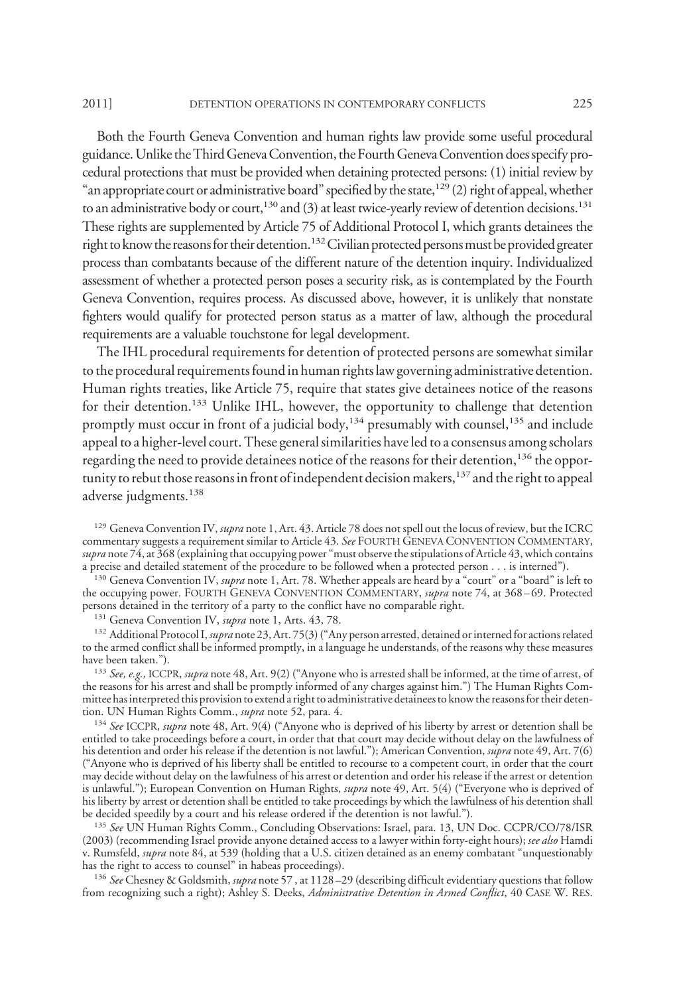2011] DETENTION OPERATIONS IN CONTEMPORARY CONFLICTS 225

Both the Fourth Geneva Convention and human rights law provide some useful procedural guidance. Unlike theThird GenevaConvention, the Fourth GenevaConvention does specify procedural protections that must be provided when detaining protected persons: (1) initial review by "an appropriate court or administrative board" specified by the state,  $^{129}$  (2) right of appeal, whether to an administrative body or court,<sup>130</sup> and (3) at least twice-yearly review of detention decisions.<sup>131</sup> These rights are supplemented by Article 75 of Additional Protocol I, which grants detainees the right to know the reasons for their detention.<sup>132</sup> Civilian protected persons must be provided greater process than combatants because of the different nature of the detention inquiry. Individualized assessment of whether a protected person poses a security risk, as is contemplated by the Fourth Geneva Convention, requires process. As discussed above, however, it is unlikely that nonstate fighters would qualify for protected person status as a matter of law, although the procedural requirements are a valuable touchstone for legal development.

The IHL procedural requirements for detention of protected persons are somewhat similar to the procedural requirementsfound in human rights law governing administrative detention. Human rights treaties, like Article 75, require that states give detainees notice of the reasons for their detention.<sup>133</sup> Unlike IHL, however, the opportunity to challenge that detention promptly must occur in front of a judicial body,  $134$  presumably with counsel,  $135$  and include appeal to a higher-level court. These general similarities have led to a consensus among scholars regarding the need to provide detainees notice of the reasons for their detention,<sup>136</sup> the opportunity to rebut those reasons in front of independent decision makers,<sup>137</sup> and the right to appeal adverse judgments.<sup>138</sup>

<sup>129</sup> Geneva Convention IV, *supra* note 1, Art. 43. Article 78 does not spell out the locus of review, but the ICRC commentary suggests a requirement similar to Article 43. *See* FOURTH GENEVA CONVENTION COMMENTARY, *supra* note 74, at 368 (explaining that occupying power "must observe the stipulations of Article 43, which contains a precise and detailed statement of the procedure to be followed when a protected person . . . is interned").

<sup>130</sup> Geneva Convention IV, *supra* note 1, Art. 78. Whether appeals are heard by a "court" or a "board" is left to the occupying power. FOURTH GENEVA CONVENTION COMMENTARY, *supra* note 74, at 368 – 69. Protected persons detained in the territory of a party to the conflict have no comparable right.

<sup>131</sup> Geneva Convention IV, *supra* note 1, Arts. 43, 78.

<sup>132</sup> Additional Protocol I, *supra* note 23, Art. 75(3) ("Any person arrested, detained or internedfor actions related to the armed conflict shall be informed promptly, in a language he understands, of the reasons why these measures have been taken.").

<sup>133</sup> *See, e.g.,* ICCPR, *supra* note 48, Art. 9(2) ("Anyone who is arrested shall be informed, at the time of arrest, of the reasons for his arrest and shall be promptly informed of any charges against him.") The Human Rights Committee has interpreted this provision to extend a right to administrative detainees to know the reasonsfor their detention. UN Human Rights Comm., *supra* note 52, para. 4.

<sup>134</sup> *See* ICCPR, *supra* note 48, Art. 9(4) ("Anyone who is deprived of his liberty by arrest or detention shall be entitled to take proceedings before a court, in order that that court may decide without delay on the lawfulness of his detention and order his release if the detention is not lawful."); American Convention, *supra* note 49, Art. 7(6) ("Anyone who is deprived of his liberty shall be entitled to recourse to a competent court, in order that the court may decide without delay on the lawfulness of his arrest or detention and order his release if the arrest or detention is unlawful."); European Convention on Human Rights, *supra* note 49, Art. 5(4) ("Everyone who is deprived of his liberty by arrest or detention shall be entitled to take proceedings by which the lawfulness of his detention shall be decided speedily by a court and his release ordered if the detention is not lawful.").

<sup>135</sup> *See* UN Human Rights Comm., Concluding Observations: Israel, para. 13, UN Doc. CCPR/CO/78/ISR (2003) (recommending Israel provide anyone detained access to a lawyer within forty-eight hours); *see also* Hamdi v. Rumsfeld, *supra* note 84, at 539 (holding that a U.S. citizen detained as an enemy combatant "unquestionably has the right to access to counsel" in habeas proceedings).

<sup>136</sup> *See* Chesney & Goldsmith, *supra* note 57 , at 1128 –29 (describing difficult evidentiary questions that follow from recognizing such a right); Ashley S. Deeks, *Administrative Detention in Armed Conflict*, 40 CASE W. RES.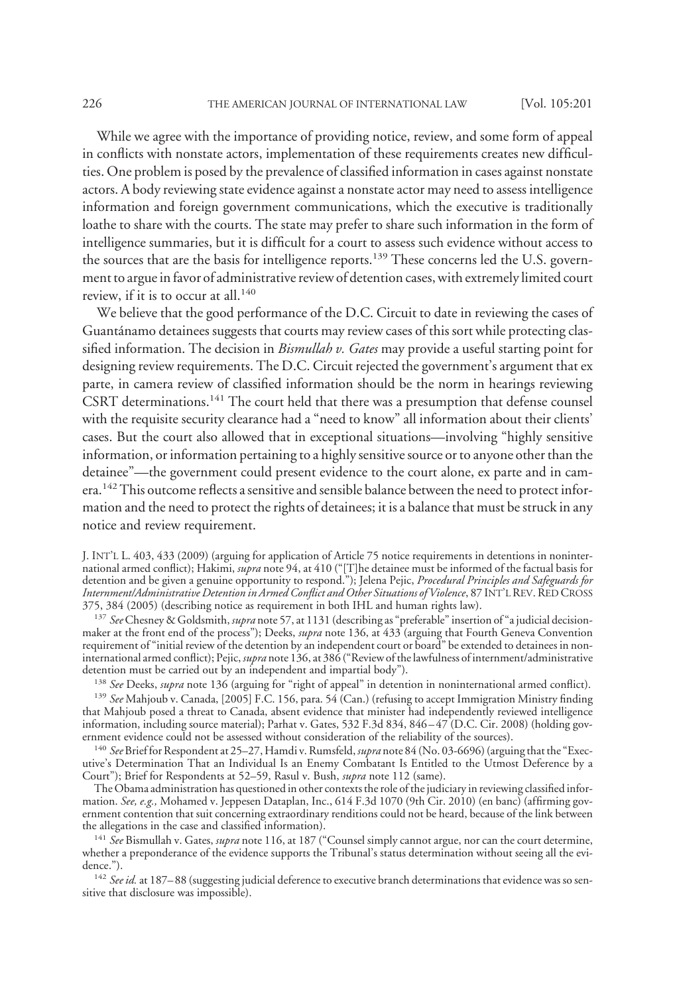While we agree with the importance of providing notice, review, and some form of appeal in conflicts with nonstate actors, implementation of these requirements creates new difficulties. One problem is posed by the prevalence of classified information in cases against nonstate actors. A body reviewing state evidence against a nonstate actor may need to assess intelligence information and foreign government communications, which the executive is traditionally loathe to share with the courts. The state may prefer to share such information in the form of intelligence summaries, but it is difficult for a court to assess such evidence without access to the sources that are the basis for intelligence reports.<sup>139</sup> These concerns led the U.S. government to argue in favor of administrative review of detention cases, with extremely limited court review, if it is to occur at all.<sup>140</sup>

We believe that the good performance of the D.C. Circuit to date in reviewing the cases of Guantánamo detainees suggests that courts may review cases of this sort while protecting classified information. The decision in *Bismullah v. Gates* may provide a useful starting point for designing review requirements. The D.C. Circuit rejected the government's argument that ex parte, in camera review of classified information should be the norm in hearings reviewing CSRT determinations.<sup>141</sup> The court held that there was a presumption that defense counsel with the requisite security clearance had a "need to know" all information about their clients' cases. But the court also allowed that in exceptional situations—involving "highly sensitive information, or information pertaining to a highly sensitive source or to anyone other than the detainee"—the government could present evidence to the court alone, ex parte and in camera.<sup>142</sup> This outcome reflects a sensitive and sensible balance between the need to protect information and the need to protect the rights of detainees; it is a balance that must be struck in any notice and review requirement.

J. INT'L L. 403, 433 (2009) (arguing for application of Article 75 notice requirements in detentions in noninternational armed conflict); Hakimi, *supra* note 94, at 410 ("[T]he detainee must be informed of the factual basis for detention and be given a genuine opportunity to respond."); Jelena Pejic, *Procedural Principles and Safeguards for Internment/Administrative Detention in Armed Conflict and Other Situations of Violence*, 87 INT'L REV. RED CROSS 375, 384 (2005) (describing notice as requirement in both IHL and human rights law).

<sup>137</sup> *See*Chesney & Goldsmith, *supra* note 57, at 1131 (describing as "preferable" insertion of "a judicial decisionmaker at the front end of the process"); Deeks, *supra* note 136, at 433 (arguing that Fourth Geneva Convention requirement of "initial review of the detention by an independent court or board" be extended to detainees in noninternational armed conflict); Pejic, *supra* note 136, at 386 ("Review of the lawfulness of internment/administrative detention must be carried out by an independent and impartial body").

<sup>138</sup> See Deeks, *supra* note 136 (arguing for "right of appeal" in detention in noninternational armed conflict).

<sup>139</sup> See Mahjoub v. Canada, [2005] F.C. 156, para. 54 (Can.) (refusing to accept Immigration Ministry finding that Mahjoub posed a threat to Canada, absent evidence that minister had independently reviewed intelligence information, including source material); Parhat v. Gates, 532 F.3d 834, 846 – 47 (D.C. Cir. 2008) (holding government evidence could not be assessed without consideration of the reliability of the sources).

<sup>140</sup> *See*Brief for Respondent at 25–27, Hamdi v. Rumsfeld, *supra* note 84 (No. 03-6696) (arguing that the "Executive's Determination That an Individual Is an Enemy Combatant Is Entitled to the Utmost Deference by a Court"); Brief for Respondents at 52–59, Rasul v. Bush, *supra* note 112 (same).

The Obama administration has questioned in other contexts the role of the judiciary in reviewing classified information. *See, e.g.,* Mohamed v. Jeppesen Dataplan, Inc., 614 F.3d 1070 (9th Cir. 2010) (en banc) (affirming government contention that suit concerning extraordinary renditions could not be heard, because of the link between the allegations in the case and classified information).

<sup>141</sup> *See* Bismullah v. Gates, *supra* note 116, at 187 ("Counsel simply cannot argue, nor can the court determine, whether a preponderance of the evidence supports the Tribunal's status determination without seeing all the evidence.").

<sup>142</sup> See id. at 187–88 (suggesting judicial deference to executive branch determinations that evidence was so sensitive that disclosure was impossible).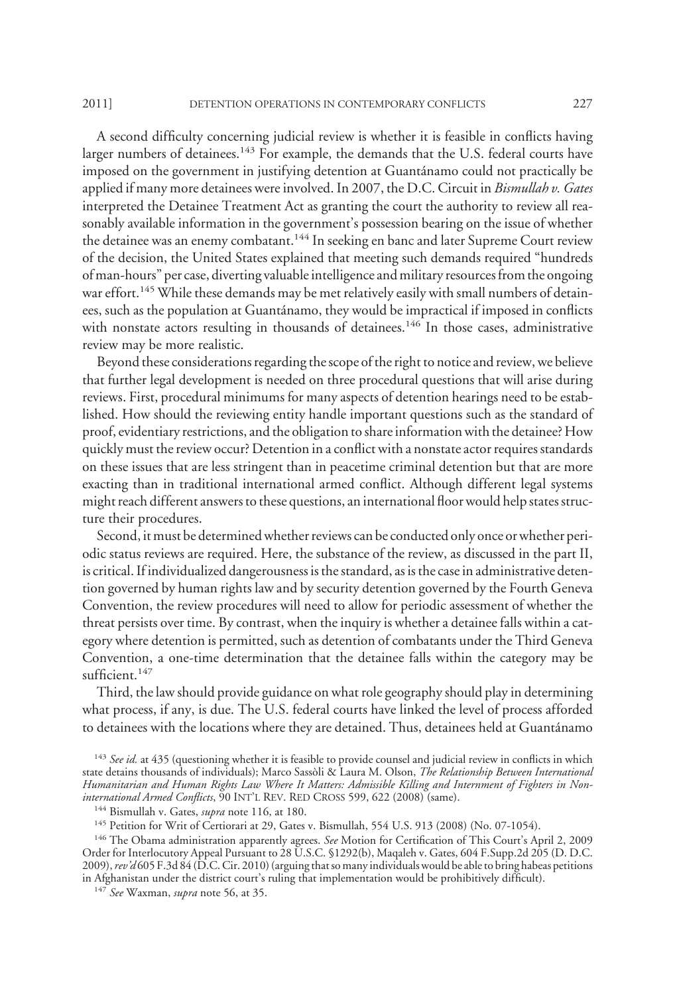#### 2011] DETENTION OPERATIONS IN CONTEMPORARY CONFLICTS 227

A second difficulty concerning judicial review is whether it is feasible in conflicts having larger numbers of detainees.<sup>143</sup> For example, the demands that the U.S. federal courts have imposed on the government in justifying detention at Guantánamo could not practically be applied if many more detainees were involved. In 2007, the D.C. Circuit in *Bismullah v. Gates* interpreted the Detainee Treatment Act as granting the court the authority to review all reasonably available information in the government's possession bearing on the issue of whether the detainee was an enemy combatant.<sup>144</sup> In seeking en banc and later Supreme Court review of the decision, the United States explained that meeting such demands required "hundreds of man-hours" per case, diverting valuable intelligence and military resourcesfrom the ongoing war effort.<sup>145</sup> While these demands may be met relatively easily with small numbers of detainees, such as the population at Guantánamo, they would be impractical if imposed in conflicts with nonstate actors resulting in thousands of detainees.<sup>146</sup> In those cases, administrative review may be more realistic.

Beyond these considerations regarding the scope of the right to notice and review, we believe that further legal development is needed on three procedural questions that will arise during reviews. First, procedural minimums for many aspects of detention hearings need to be established. How should the reviewing entity handle important questions such as the standard of proof, evidentiary restrictions, and the obligation to share information with the detainee? How quickly must the review occur? Detention in a conflict with a nonstate actor requires standards on these issues that are less stringent than in peacetime criminal detention but that are more exacting than in traditional international armed conflict. Although different legal systems might reach different answers to these questions, an international floor would help states structure their procedures.

Second, it must be determined whether reviews can be conducted only once or whether periodic status reviews are required. Here, the substance of the review, as discussed in the part II, is critical. If individualized dangerousness is the standard, as is the case in administrative detention governed by human rights law and by security detention governed by the Fourth Geneva Convention, the review procedures will need to allow for periodic assessment of whether the threat persists over time. By contrast, when the inquiry is whether a detainee falls within a category where detention is permitted, such as detention of combatants under the Third Geneva Convention, a one-time determination that the detainee falls within the category may be sufficient.<sup>147</sup>

Third, the law should provide guidance on what role geography should play in determining what process, if any, is due. The U.S. federal courts have linked the level of process afforded to detainees with the locations where they are detained. Thus, detainees held at Guantánamo

<sup>143</sup> *See id.* at 435 (questioning whether it is feasible to provide counsel and judicial review in conflicts in which state detains thousands of individuals); Marco Sassòli & Laura M. Olson, *The Relationship Between International Humanitarian and Human Rights Law Where It Matters: Admissible Killing and Internment of Fighters in Noninternational Armed Conflicts*, 90 INT'L REV. RED CROSS 599, 622 (2008) (same).

<sup>144</sup> Bismullah v. Gates, *supra* note 116, at 180.

<sup>145</sup> Petition for Writ of Certiorari at 29, Gates v. Bismullah, 554 U.S. 913 (2008) (No. 07-1054).

<sup>146</sup> The Obama administration apparently agrees. *See* Motion for Certification of This Court's April 2, 2009 Order for Interlocutory Appeal Pursuant to 28 U.S.C. §1292(b), Maqaleh v. Gates, 604 F.Supp.2d 205 (D. D.C. 2009),*rev'd* 605 F.3d 84 (D.C. Cir. 2010) (arguing that so many individuals would be able to bring habeas petitions in Afghanistan under the district court's ruling that implementation would be prohibitively difficult).

<sup>147</sup> *See* Waxman, *supra* note 56, at 35.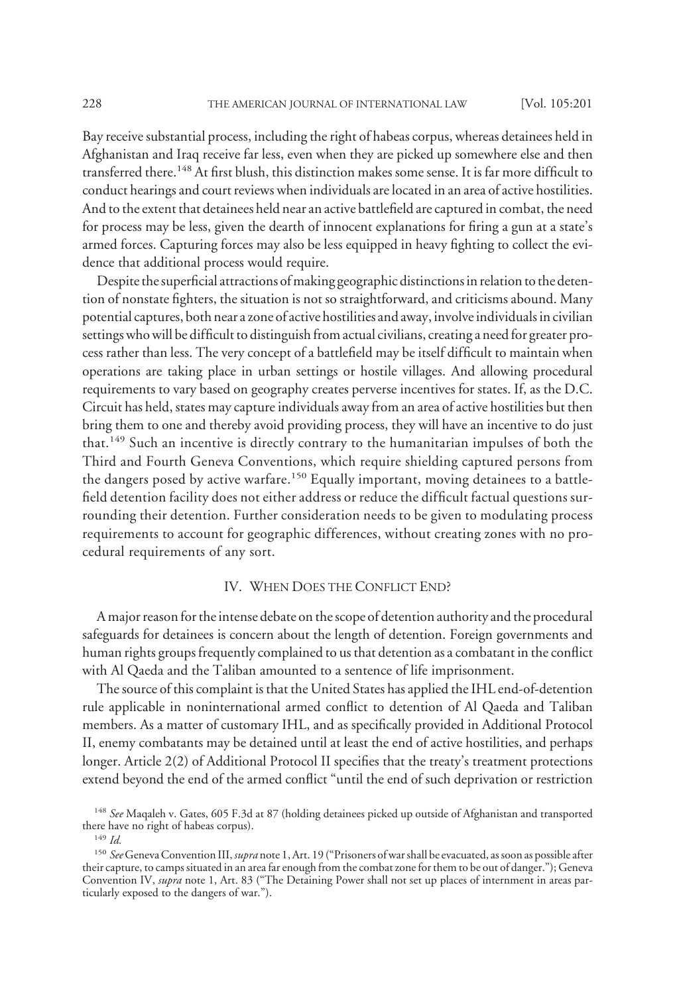Bay receive substantial process, including the right of habeas corpus, whereas detainees held in Afghanistan and Iraq receive far less, even when they are picked up somewhere else and then transferred there.<sup>148</sup> At first blush, this distinction makes some sense. It is far more difficult to conduct hearings and court reviews when individuals are located in an area of active hostilities. And to the extent that detainees held near an active battlefield are captured in combat, the need for process may be less, given the dearth of innocent explanations for firing a gun at a state's armed forces. Capturing forces may also be less equipped in heavy fighting to collect the evidence that additional process would require.

Despite the superficial attractions of making geographic distinctions in relation to the detention of nonstate fighters, the situation is not so straightforward, and criticisms abound. Many potential captures, both near a zone of active hostilities and away, involve individuals in civilian settings who will be difficult to distinguish from actual civilians, creating a need for greater process rather than less. The very concept of a battlefield may be itself difficult to maintain when operations are taking place in urban settings or hostile villages. And allowing procedural requirements to vary based on geography creates perverse incentives for states. If, as the D.C. Circuit has held, states may capture individuals away from an area of active hostilities but then bring them to one and thereby avoid providing process, they will have an incentive to do just that.<sup>149</sup> Such an incentive is directly contrary to the humanitarian impulses of both the Third and Fourth Geneva Conventions, which require shielding captured persons from the dangers posed by active warfare.<sup>150</sup> Equally important, moving detainees to a battlefield detention facility does not either address or reduce the difficult factual questions surrounding their detention. Further consideration needs to be given to modulating process requirements to account for geographic differences, without creating zones with no procedural requirements of any sort.

## IV. WHEN DOES THE CONFLICT END?

A major reason for the intense debate on the scope of detention authority and the procedural safeguards for detainees is concern about the length of detention. Foreign governments and human rights groups frequently complained to us that detention as a combatant in the conflict with Al Qaeda and the Taliban amounted to a sentence of life imprisonment.

The source of this complaint is that the United States has applied the IHL end-of-detention rule applicable in noninternational armed conflict to detention of Al Qaeda and Taliban members. As a matter of customary IHL, and as specifically provided in Additional Protocol II, enemy combatants may be detained until at least the end of active hostilities, and perhaps longer. Article 2(2) of Additional Protocol II specifies that the treaty's treatment protections extend beyond the end of the armed conflict "until the end of such deprivation or restriction

<sup>148</sup> *See* Maqaleh v. Gates, 605 F.3d at 87 (holding detainees picked up outside of Afghanistan and transported there have no right of habeas corpus).

<sup>149</sup> *Id.*

<sup>150</sup> *See*Geneva Convention III, *supra* note 1, Art. 19 ("Prisoners of war shall be evacuated, as soon as possible after their capture, to camps situated in an area far enough from the combat zone for them to be out of danger."); Geneva Convention IV, *supra* note 1, Art. 83 ("The Detaining Power shall not set up places of internment in areas particularly exposed to the dangers of war.").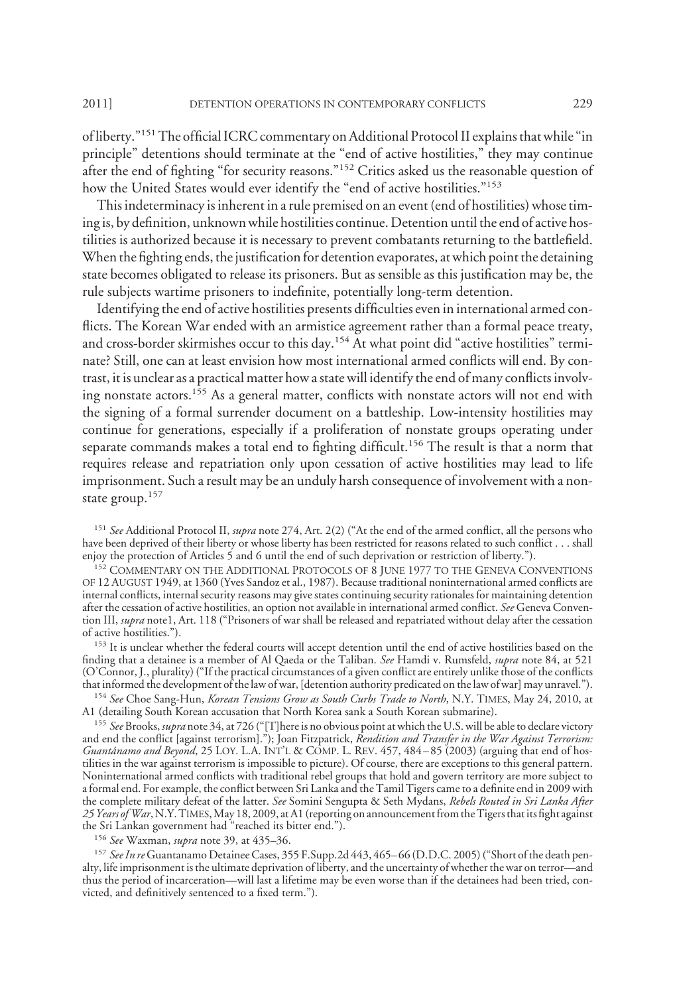of liberty."<sup>151</sup> The official ICRC commentary on Additional Protocol II explains that while "in principle" detentions should terminate at the "end of active hostilities," they may continue after the end of fighting "for security reasons."<sup>152</sup> Critics asked us the reasonable question of how the United States would ever identify the "end of active hostilities."<sup>153</sup>

This indeterminacy is inherent in a rule premised on an event (end of hostilities) whose timing is, by definition, unknown while hostilities continue. Detention until the end of active hostilities is authorized because it is necessary to prevent combatants returning to the battlefield. When the fighting ends, the justification for detention evaporates, at which point the detaining state becomes obligated to release its prisoners. But as sensible as this justification may be, the rule subjects wartime prisoners to indefinite, potentially long-term detention.

Identifying the end of active hostilities presents difficulties even in international armed conflicts. The Korean War ended with an armistice agreement rather than a formal peace treaty, and cross-border skirmishes occur to this day.<sup>154</sup> At what point did "active hostilities" terminate? Still, one can at least envision how most international armed conflicts will end. By contrast, it is unclear as a practical matter how a state will identify the end of many conflicts involving nonstate actors.<sup>155</sup> As a general matter, conflicts with nonstate actors will not end with the signing of a formal surrender document on a battleship. Low-intensity hostilities may continue for generations, especially if a proliferation of nonstate groups operating under separate commands makes a total end to fighting difficult.<sup>156</sup> The result is that a norm that requires release and repatriation only upon cessation of active hostilities may lead to life imprisonment. Such a result may be an unduly harsh consequence of involvement with a nonstate group.<sup>157</sup>

<sup>151</sup> *See* Additional Protocol II, *supra* note 274, Art. 2(2) ("At the end of the armed conflict, all the persons who have been deprived of their liberty or whose liberty has been restricted for reasons related to such conflict . . . shall enjoy the protection of Articles 5 and 6 until the end of such deprivation or restriction of liberty.").

<sup>152</sup> COMMENTARY ON THE ADDITIONAL PROTOCOLS OF 8 JUNE 1977 TO THE GENEVA CONVENTIONS OF 12 AUGUST 1949, at 1360 (Yves Sandoz et al., 1987). Because traditional noninternational armed conflicts are internal conflicts, internal security reasons may give states continuing security rationales for maintaining detention after the cessation of active hostilities, an option not available in international armed conflict. *See* Geneva Convention III, *supra* note1, Art. 118 ("Prisoners of war shall be released and repatriated without delay after the cessation of active hostilities.").

<sup>153</sup> It is unclear whether the federal courts will accept detention until the end of active hostilities based on the finding that a detainee is a member of Al Qaeda or the Taliban. *See* Hamdi v. Rumsfeld, *supra* note 84, at 521 (O'Connor, J., plurality) ("If the practical circumstances of a given conflict are entirely unlike those of the conflicts that informed the development of the law of war, [detention authority predicated on the law of war] may unravel.").

<sup>154</sup> *See* Choe Sang-Hun, *Korean Tensions Grow as South Curbs Trade to North*, N.Y. TIMES, May 24, 2010, at A1 (detailing South Korean accusation that North Korea sank a South Korean submarine).

<sup>155</sup> *See* Brooks, *supra* note 34, at 726 ("[T]here is no obvious point at which the U.S. will be able to declare victory and end the conflict [against terrorism]."); Joan Fitzpatrick, *Rendition and Transfer in the War Against Terrorism: Guanta´namo and Beyond*, 25 LOY. L.A. INT'L & COMP. L. REV. 457, 484 – 85 (2003) (arguing that end of hostilities in the war against terrorism is impossible to picture). Of course, there are exceptions to this general pattern. Noninternational armed conflicts with traditional rebel groups that hold and govern territory are more subject to a formal end. For example, the conflict between Sri Lanka and the Tamil Tigers came to a definite end in 2009 with the complete military defeat of the latter. *See* Somini Sengupta & Seth Mydans, *Rebels Routed in Sri Lanka After* 25 Years of War, N.Y. TIMES, May 18, 2009, at A1 (reporting on announcement from the Tigers that its fight against the Sri Lankan government had "reached its bitter end.").

<sup>156</sup> *See* Waxman, *supra* note 39, at 435–36.

<sup>157</sup> *See In re*Guantanamo Detainee Cases, 355 F.Supp.2d 443, 465– 66 (D.D.C. 2005) ("Short of the death penalty, life imprisonment is the ultimate deprivation of liberty, and the uncertainty of whether the war on terror—and thus the period of incarceration—will last a lifetime may be even worse than if the detainees had been tried, convicted, and definitively sentenced to a fixed term.").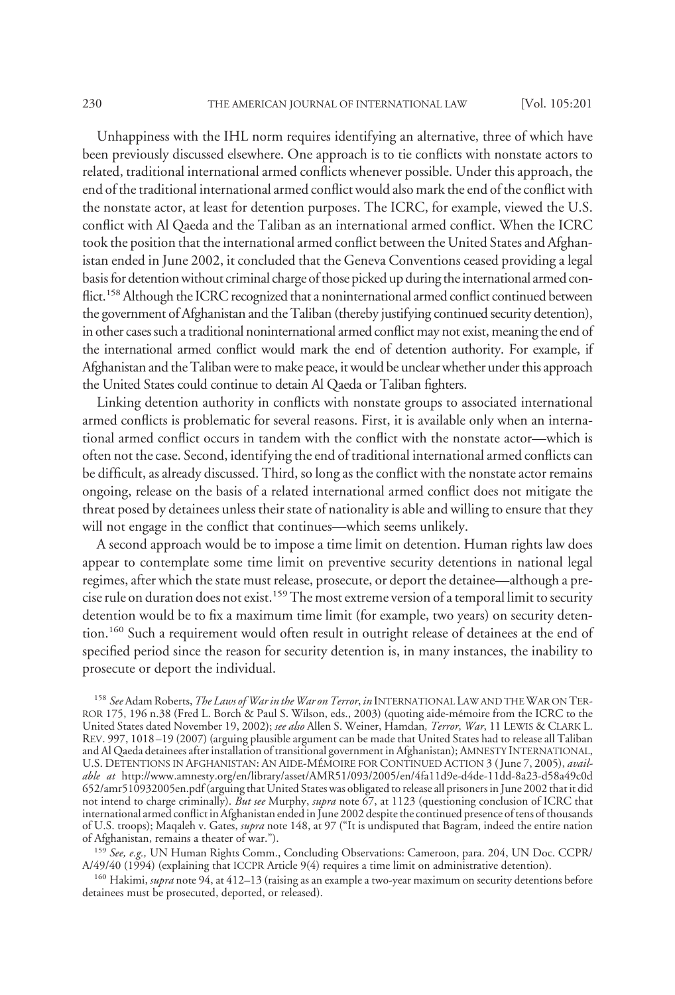Unhappiness with the IHL norm requires identifying an alternative, three of which have been previously discussed elsewhere. One approach is to tie conflicts with nonstate actors to related, traditional international armed conflicts whenever possible. Under this approach, the end of the traditional international armed conflict would also mark the end of the conflict with the nonstate actor, at least for detention purposes. The ICRC, for example, viewed the U.S. conflict with Al Qaeda and the Taliban as an international armed conflict. When the ICRC took the position that the international armed conflict between the United States and Afghanistan ended in June 2002, it concluded that the Geneva Conventions ceased providing a legal basis for detention without criminal charge of those picked up during the international armed conflict.<sup>158</sup> Although the ICRC recognized that a noninternational armed conflict continued between the government of Afghanistan and the Taliban (thereby justifying continued security detention), in other cases such a traditional noninternational armed conflict may not exist, meaning the end of the international armed conflict would mark the end of detention authority. For example, if Afghanistan and the Taliban were to make peace, it would be unclear whether under this approach the United States could continue to detain Al Qaeda or Taliban fighters.

Linking detention authority in conflicts with nonstate groups to associated international armed conflicts is problematic for several reasons. First, it is available only when an international armed conflict occurs in tandem with the conflict with the nonstate actor—which is often not the case. Second, identifying the end of traditional international armed conflicts can be difficult, as already discussed. Third, so long as the conflict with the nonstate actor remains ongoing, release on the basis of a related international armed conflict does not mitigate the threat posed by detainees unless their state of nationality is able and willing to ensure that they will not engage in the conflict that continues—which seems unlikely.

A second approach would be to impose a time limit on detention. Human rights law does appear to contemplate some time limit on preventive security detentions in national legal regimes, after which the state must release, prosecute, or deport the detainee—although a precise rule on duration does not exist.159The most extreme version of a temporal limit to security detention would be to fix a maximum time limit (for example, two years) on security detention.160 Such a requirement would often result in outright release of detainees at the end of specified period since the reason for security detention is, in many instances, the inability to prosecute or deport the individual.

<sup>158</sup> *See*Adam Roberts,*The Laws of War in the War on Terror*, *in* INTERNATIONAL LAW AND THEWAR ON TER-ROR 175, 196 n.38 (Fred L. Borch & Paul S. Wilson, eds., 2003) (quoting aide-mémoire from the ICRC to the United States dated November 19, 2002); *see also* Allen S. Weiner, Hamdan*, Terror, War*, 11 LEWIS & CLARK L. REV. 997, 1018 –19 (2007) (arguing plausible argument can be made that United States had to release all Taliban and Al Qaeda detainees after installation of transitional government in Afghanistan); AMNESTY INTERNATIONAL, U.S. DETENTIONS IN AFGHANISTAN: AN AIDE-MÉMOIRE FOR CONTINUED ACTION 3 (June 7, 2005), *available at* http://www.amnesty.org/en/library/asset/AMR51/093/2005/en/4fa11d9e-d4de-11dd-8a23-d58a49c0d 652/amr510932005en.pdf (arguing that United States was obligated to release all prisoners in June 2002 that it did not intend to charge criminally). *But see* Murphy, *supra* note 67, at 1123 (questioning conclusion of ICRC that international armed conflict in Afghanistan ended in June 2002 despite the continued presence of tens of thousands of U.S. troops); Maqaleh v. Gates, *supra* note 148, at 97 ("It is undisputed that Bagram, indeed the entire nation of Afghanistan, remains a theater of war.").

<sup>159</sup> *See, e.g.,* UN Human Rights Comm., Concluding Observations: Cameroon, para. 204, UN Doc. CCPR/ A/49/40 (1994) (explaining that ICCPR Article 9(4) requires a time limit on administrative detention).

<sup>160</sup> Hakimi, *supra* note 94, at 412–13 (raising as an example a two-year maximum on security detentions before detainees must be prosecuted, deported, or released).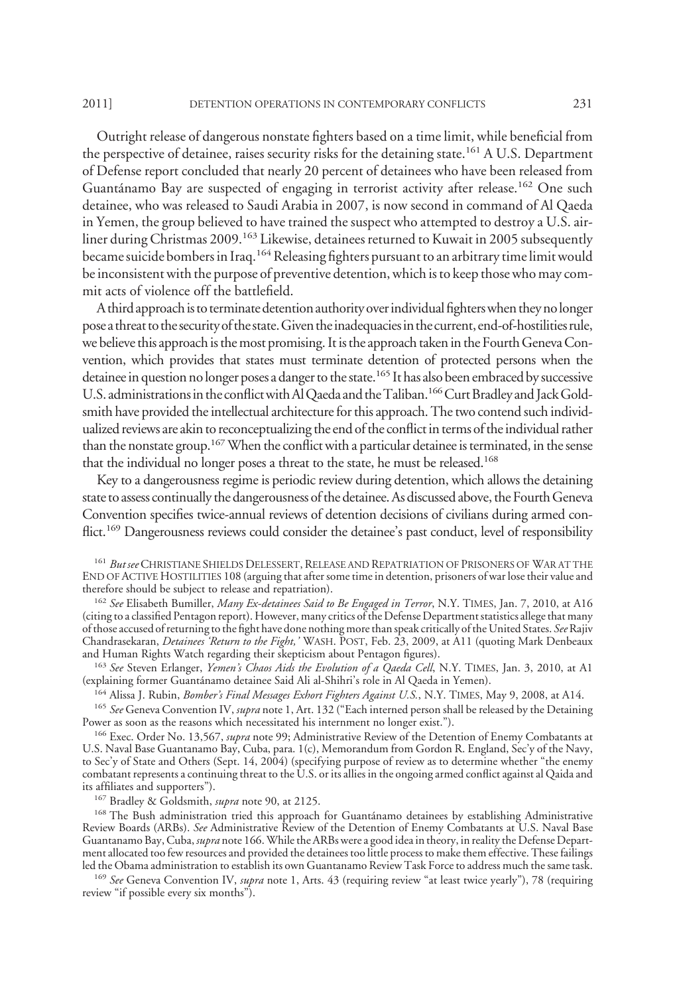#### 2011] DETENTION OPERATIONS IN CONTEMPORARY CONFLICTS 231

Outright release of dangerous nonstate fighters based on a time limit, while beneficial from the perspective of detainee, raises security risks for the detaining state.<sup>161</sup> A U.S. Department of Defense report concluded that nearly 20 percent of detainees who have been released from Guantánamo Bay are suspected of engaging in terrorist activity after release.<sup>162</sup> One such detainee, who was released to Saudi Arabia in 2007, is now second in command of Al Qaeda in Yemen, the group believed to have trained the suspect who attempted to destroy a U.S. airliner during Christmas 2009.<sup>163</sup> Likewise, detainees returned to Kuwait in 2005 subsequently became suicide bombers in Iraq.<sup>164</sup> Releasing fighters pursuant to an arbitrary time limit would be inconsistent with the purpose of preventive detention, which is to keep those who may commit acts of violence off the battlefield.

A third approach is to terminate detention authority over individual fighters when they no longer pose a threat to the securityof the state.Given theinadequaciesin the current, end-of-hostilities rule, we believe this approach is the most promising. It is the approach taken in the Fourth Geneva Convention, which provides that states must terminate detention of protected persons when the detainee in question no longer poses a danger to the state.<sup>165</sup> It has also been embraced by successive U.S. administrations in the conflict with Al Qaeda and the Taliban.<sup>166</sup> Curt Bradley and Jack Goldsmith have provided the intellectual architecture for this approach. The two contend such individualized reviews are akin to reconceptualizing the end of the conflict in terms of the individual rather than the nonstate group.<sup>167</sup> When the conflict with a particular detainee is terminated, in the sense that the individual no longer poses a threat to the state, he must be released.<sup>168</sup>

Key to a dangerousness regime is periodic review during detention, which allows the detaining state to assess continually the dangerousness of the detainee. As discussed above, the Fourth Geneva Convention specifies twice-annual reviews of detention decisions of civilians during armed conflict.<sup>169</sup> Dangerousness reviews could consider the detainee's past conduct, level of responsibility

<sup>161</sup> *But see*CHRISTIANE SHIELDS DELESSERT, RELEASE AND REPATRIATION OF PRISONERS OF WAR AT THE END OF ACTIVE HOSTILITIES 108 (arguing that after some time in detention, prisoners of war lose their value and therefore should be subject to release and repatriation).

<sup>162</sup> *See* Elisabeth Bumiller, *Many Ex-detainees Said to Be Engaged in Terror*, N.Y. TIMES, Jan. 7, 2010, at A16 (citing to a classified Pentagon report). However, many critics of the Defense Department statistics allege that many of those accused of returning to the fight have done nothing more than speak critically of the United States. *See*Rajiv Chandrasekaran, *Detainees 'Return to the Fight,'* WASH. POST, Feb. 23, 2009, at A11 (quoting Mark Denbeaux and Human Rights Watch regarding their skepticism about Pentagon figures).

<sup>163</sup> *See* Steven Erlanger, *Yemen's Chaos Aids the Evolution of a Qaeda Cell*, N.Y. TIMES, Jan. 3, 2010, at A1 (explaining former Guantánamo detainee Said Ali al-Shihri's role in Al Qaeda in Yemen).

<sup>164</sup> Alissa J. Rubin, *Bomber's Final Messages Exhort Fighters Against U.S.*, N.Y. TIMES, May 9, 2008, at A14.

<sup>165</sup> *See* Geneva Convention IV, *supra* note 1, Art. 132 ("Each interned person shall be released by the Detaining Power as soon as the reasons which necessitated his internment no longer exist.").

<sup>166</sup> Exec. Order No. 13,567, *supra* note 99; Administrative Review of the Detention of Enemy Combatants at U.S. Naval Base Guantanamo Bay, Cuba, para. 1(c), Memorandum from Gordon R. England, Sec'y of the Navy, to Sec'y of State and Others (Sept. 14, 2004) (specifying purpose of review as to determine whether "the enemy combatant represents a continuing threat to the U.S. or its allies in the ongoing armed conflict against al Qaida and its affiliates and supporters").

<sup>167</sup> Bradley & Goldsmith, *supra* note 90, at 2125.

<sup>168</sup> The Bush administration tried this approach for Guantánamo detainees by establishing Administrative Review Boards (ARBs). *See* Administrative Review of the Detention of Enemy Combatants at U.S. Naval Base Guantanamo Bay, Cuba, *supra* note 166.While the ARBs were a good idea in theory, in reality the Defense Department allocated too few resources and provided the detainees too little process to make them effective. These failings led the Obama administration to establish its own Guantanamo Review Task Force to address much the same task.

<sup>169</sup> *See* Geneva Convention IV, *supra* note 1, Arts. 43 (requiring review "at least twice yearly"), 78 (requiring review "if possible every six months").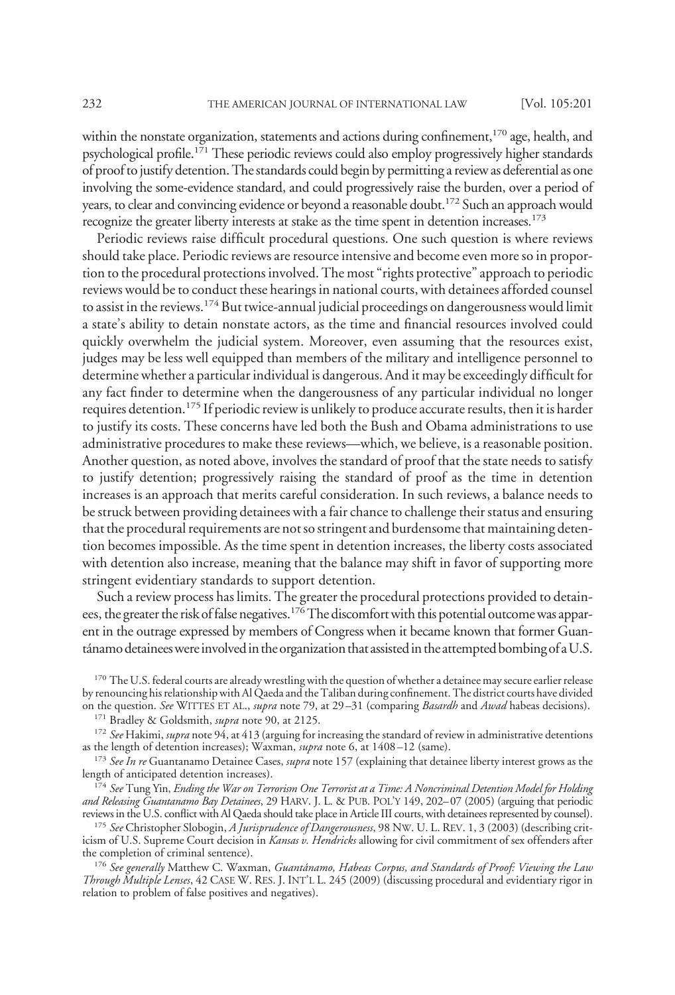within the nonstate organization, statements and actions during confinement,<sup>170</sup> age, health, and psychological profile.<sup>171</sup> These periodic reviews could also employ progressively higher standards of proof to justify detention. The standards could begin by permitting a review as deferential as one involving the some-evidence standard, and could progressively raise the burden, over a period of years, to clear and convincing evidence or beyond a reasonable doubt.<sup>172</sup> Such an approach would recognize the greater liberty interests at stake as the time spent in detention increases.<sup>173</sup>

Periodic reviews raise difficult procedural questions. One such question is where reviews should take place. Periodic reviews are resource intensive and become even more so in proportion to the procedural protections involved. The most "rights protective" approach to periodic reviews would be to conduct these hearings in national courts, with detainees afforded counsel to assist in the reviews.<sup>174</sup> But twice-annual judicial proceedings on dangerousness would limit a state's ability to detain nonstate actors, as the time and financial resources involved could quickly overwhelm the judicial system. Moreover, even assuming that the resources exist, judges may be less well equipped than members of the military and intelligence personnel to determine whether a particular individual is dangerous. And it may be exceedingly difficult for any fact finder to determine when the dangerousness of any particular individual no longer requires detention.175 If periodic review is unlikely to produce accurate results, then it is harder to justify its costs. These concerns have led both the Bush and Obama administrations to use administrative procedures to make these reviews—which, we believe, is a reasonable position. Another question, as noted above, involves the standard of proof that the state needs to satisfy to justify detention; progressively raising the standard of proof as the time in detention increases is an approach that merits careful consideration. In such reviews, a balance needs to be struck between providing detainees with a fair chance to challenge their status and ensuring that the procedural requirements are not so stringent and burdensome that maintaining detention becomes impossible. As the time spent in detention increases, the liberty costs associated with detention also increase, meaning that the balance may shift in favor of supporting more stringent evidentiary standards to support detention.

Such a review process has limits. The greater the procedural protections provided to detainees, the greater the risk of false negatives.<sup>176</sup>The discomfort with this potential outcome was apparent in the outrage expressed by members of Congress when it became known that former Guantánamo detainees were involved in the organization that assisted in the attempted bombing of a U.S.

<sup>170</sup> The U.S. federal courts are already wrestling with the question of whether a detainee may secure earlier release by renouncing his relationship with Al Qaeda and the Taliban during confinement. The district courts have divided on the question. *See* WITTES ET AL., *supra* note 79, at 29 –31 (comparing *Basardh* and *Awad* habeas decisions).

<sup>171</sup> Bradley & Goldsmith, *supra* note 90, at 2125.

<sup>172</sup> *See* Hakimi, *supra* note 94, at 413 (arguing for increasing the standard of review in administrative detentions as the length of detention increases); Waxman, *supra* note 6, at 1408 –12 (same).

<sup>173</sup> *See In re* Guantanamo Detainee Cases, *supra* note 157 (explaining that detainee liberty interest grows as the length of anticipated detention increases).

<sup>174</sup> *See* Tung Yin, *Ending the War on Terrorism One Terrorist at a Time: A Noncriminal Detention Model for Holding and Releasing Guantanamo Bay Detainees*, 29 HARV. J. L. & PUB. POL'Y 149, 202– 07 (2005) (arguing that periodic reviews in the U.S. conflict with Al Qaeda should take place in Article III courts, with detainees represented by counsel).

<sup>175</sup> *See* Christopher Slobogin, *A Jurisprudence of Dangerousness*, 98 NW. U. L. REV. 1, 3 (2003) (describing criticism of U.S. Supreme Court decision in *Kansas v. Hendricks* allowing for civil commitment of sex offenders after the completion of criminal sentence).

<sup>176</sup> *See generally* Matthew C. Waxman, *Guanta´namo, Habeas Corpus, and Standards of Proof: Viewing the Law Through Multiple Lenses*, 42 CASE W. RES. J. INT'L L. 245 (2009) (discussing procedural and evidentiary rigor in relation to problem of false positives and negatives).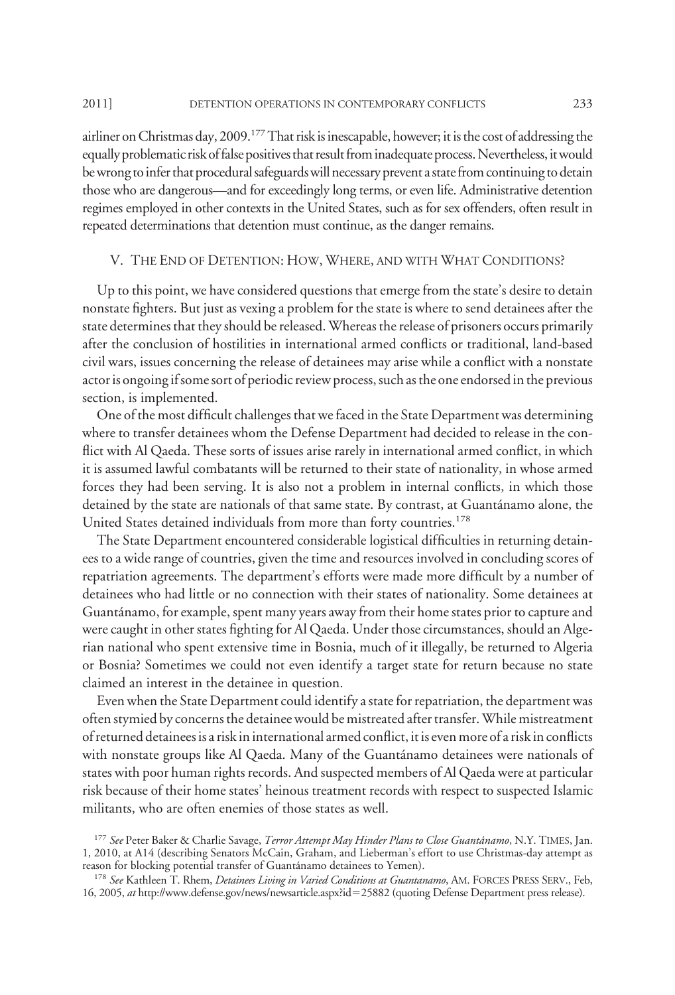airliner on Christmas day, 2009.<sup>177</sup> That risk is inescapable, however; it is the cost of addressing the equally problematic risk of false positives that result from inadequate process. Nevertheless, it would be wrong to infer that procedural safeguards will necessary prevent a state from continuing to detain those who are dangerous—and for exceedingly long terms, or even life. Administrative detention regimes employed in other contexts in the United States, such as for sex offenders, often result in repeated determinations that detention must continue, as the danger remains.

## V. THE END OF DETENTION: HOW, WHERE, AND WITH WHAT CONDITIONS?

Up to this point, we have considered questions that emerge from the state's desire to detain nonstate fighters. But just as vexing a problem for the state is where to send detainees after the state determines that they should be released.Whereas the release of prisoners occurs primarily after the conclusion of hostilities in international armed conflicts or traditional, land-based civil wars, issues concerning the release of detainees may arise while a conflict with a nonstate actor is ongoing if some sort of periodic review process, such as the one endorsed in the previous section, is implemented.

One of the most difficult challenges that we faced in the State Department was determining where to transfer detainees whom the Defense Department had decided to release in the conflict with Al Qaeda. These sorts of issues arise rarely in international armed conflict, in which it is assumed lawful combatants will be returned to their state of nationality, in whose armed forces they had been serving. It is also not a problem in internal conflicts, in which those detained by the state are nationals of that same state. By contrast, at Guantánamo alone, the United States detained individuals from more than forty countries.<sup>178</sup>

The State Department encountered considerable logistical difficulties in returning detainees to a wide range of countries, given the time and resources involved in concluding scores of repatriation agreements. The department's efforts were made more difficult by a number of detainees who had little or no connection with their states of nationality. Some detainees at Guantánamo, for example, spent many years away from their home states prior to capture and were caught in other states fighting for Al Qaeda. Under those circumstances, should an Algerian national who spent extensive time in Bosnia, much of it illegally, be returned to Algeria or Bosnia? Sometimes we could not even identify a target state for return because no state claimed an interest in the detainee in question.

Even when the State Department could identify a state for repatriation, the department was often stymied by concerns the detainee would be mistreated after transfer.While mistreatment of returned detainees is a risk in international armed conflict, it is even more of a risk in conflicts with nonstate groups like Al Qaeda. Many of the Guantánamo detainees were nationals of states with poor human rights records. And suspected members of Al Qaeda were at particular risk because of their home states' heinous treatment records with respect to suspected Islamic militants, who are often enemies of those states as well.

<sup>177</sup> See Peter Baker & Charlie Savage, *Terror Attempt May Hinder Plans to Close Guantánamo*, N.Y. TIMES, Jan. 1, 2010, at A14 (describing Senators McCain, Graham, and Lieberman's effort to use Christmas-day attempt as reason for blocking potential transfer of Guantánamo detainees to Yemen).

<sup>178</sup> *See* Kathleen T. Rhem, *Detainees Living in Varied Conditions at Guantanamo*, AM. FORCES PRESS SERV., Feb, 16, 2005, *at* http://www.defense.gov/news/newsarticle.aspx?id=25882 (quoting Defense Department press release).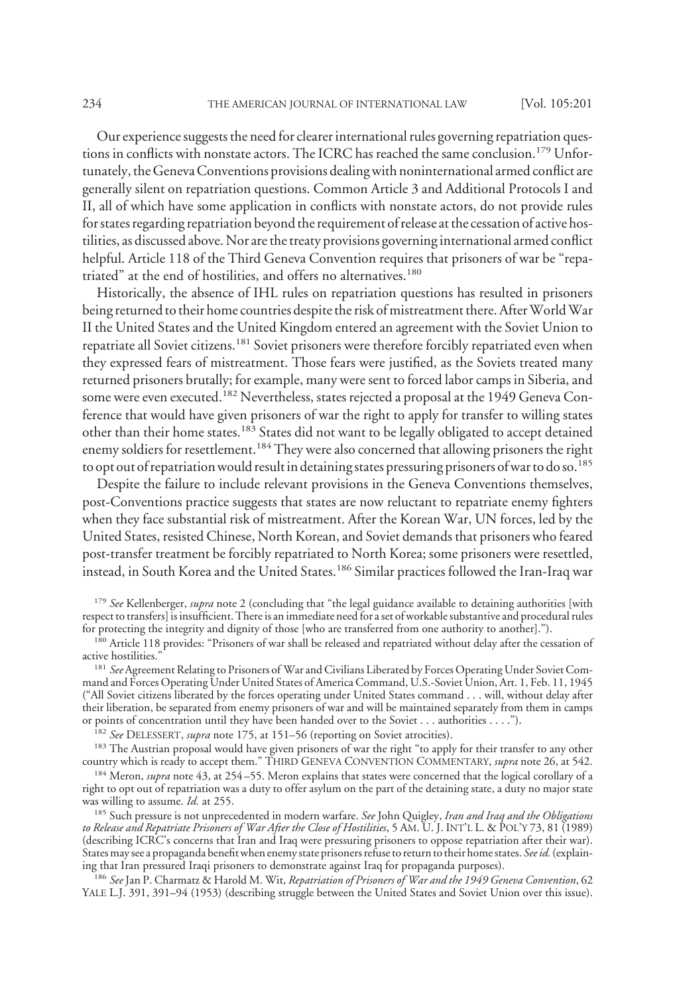Our experience suggests the need for clearer international rules governing repatriation questions in conflicts with nonstate actors. The ICRC has reached the same conclusion.<sup>179</sup> Unfortunately, the Geneva Conventions provisions dealing with noninternational armed conflict are generally silent on repatriation questions. Common Article 3 and Additional Protocols I and II, all of which have some application in conflicts with nonstate actors, do not provide rules for states regarding repatriation beyond the requirement of release at the cessation of active hostilities, as discussed above. Nor are the treaty provisions governing international armed conflict helpful. Article 118 of the Third Geneva Convention requires that prisoners of war be "repatriated" at the end of hostilities, and offers no alternatives.<sup>180</sup>

Historically, the absence of IHL rules on repatriation questions has resulted in prisoners being returned to their home countries despite the risk of mistreatment there. After World War II the United States and the United Kingdom entered an agreement with the Soviet Union to repatriate all Soviet citizens.<sup>181</sup> Soviet prisoners were therefore forcibly repatriated even when they expressed fears of mistreatment. Those fears were justified, as the Soviets treated many returned prisoners brutally; for example, many were sent to forced labor camps in Siberia, and some were even executed.<sup>182</sup> Nevertheless, states rejected a proposal at the 1949 Geneva Conference that would have given prisoners of war the right to apply for transfer to willing states other than their home states.183 States did not want to be legally obligated to accept detained enemy soldiers for resettlement.<sup>184</sup> They were also concerned that allowing prisoners the right to opt out of repatriation would result in detaining states pressuring prisoners of war to do so.<sup>185</sup>

Despite the failure to include relevant provisions in the Geneva Conventions themselves, post-Conventions practice suggests that states are now reluctant to repatriate enemy fighters when they face substantial risk of mistreatment. After the Korean War, UN forces, led by the United States, resisted Chinese, North Korean, and Soviet demands that prisoners who feared post-transfer treatment be forcibly repatriated to North Korea; some prisoners were resettled, instead, in South Korea and the United States.<sup>186</sup> Similar practices followed the Iran-Iraq war

<sup>179</sup> *See* Kellenberger, *supra* note 2 (concluding that "the legal guidance available to detaining authorities [with respect to transfers] is insufficient. There is an immediate need for a set of workable substantive and procedural rules for protecting the integrity and dignity of those [who are transferred from one authority to another].").

<sup>181</sup> *See*Agreement Relating to Prisoners of War and Civilians Liberated by Forces Operating Under Soviet Command and Forces Operating Under United States of America Command, U.S.-Soviet Union, Art. 1, Feb. 11, 1945 ("All Soviet citizens liberated by the forces operating under United States command . . . will, without delay after their liberation, be separated from enemy prisoners of war and will be maintained separately from them in camps or points of concentration until they have been handed over to the Soviet... authorities... .").

<sup>182</sup> *See* DELESSERT, *supra* note 175, at 151–56 (reporting on Soviet atrocities).

<sup>183</sup> The Austrian proposal would have given prisoners of war the right "to apply for their transfer to any other country which is ready to accept them." THIRD GENEVA CONVENTION COMMENTARY, *supra* note 26, at 542.

<sup>184</sup> Meron, *supra* note 43, at 254-55. Meron explains that states were concerned that the logical corollary of a right to opt out of repatriation was a duty to offer asylum on the part of the detaining state, a duty no major state was willing to assume. *Id.* at 255.

<sup>185</sup> Such pressure is not unprecedented in modern warfare. *See* John Quigley, *Iran and Iraq and the Obligations to Release and Repatriate Prisoners of War After the Close of Hostilities*,5AM. U. J. INT'L L. & POL'Y 73, 81 (1989) (describing ICRC's concerns that Iran and Iraq were pressuring prisoners to oppose repatriation after their war). States may see a propaganda benefit when enemy state prisoners refuse to return to their home states. *Seeid.*(explaining that Iran pressured Iraqi prisoners to demonstrate against Iraq for propaganda purposes).

<sup>186</sup> *See* Jan P. Charmatz & Harold M. Wit, *Repatriation of Prisoners of War and the 1949 Geneva Convention*, 62 YALE L.J. 391, 391–94 (1953) (describing struggle between the United States and Soviet Union over this issue).

<sup>&</sup>lt;sup>180</sup> Article 118 provides: "Prisoners of war shall be released and repatriated without delay after the cessation of active hostilities."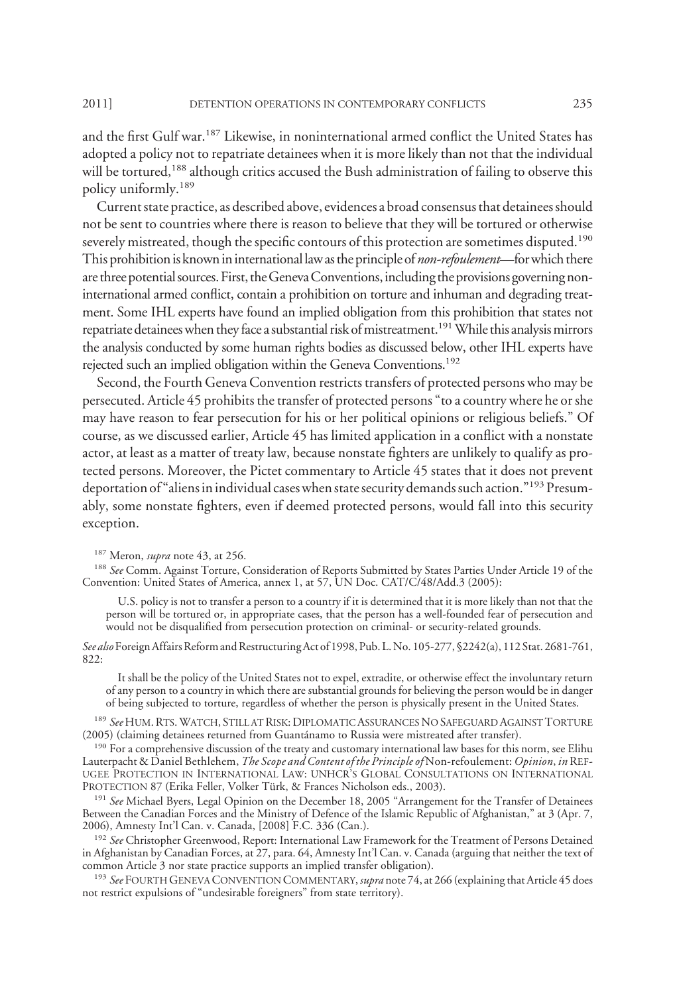and the first Gulf war.<sup>187</sup> Likewise, in noninternational armed conflict the United States has adopted a policy not to repatriate detainees when it is more likely than not that the individual will be tortured,<sup>188</sup> although critics accused the Bush administration of failing to observe this policy uniformly.<sup>189</sup>

Current state practice, as described above, evidences a broad consensus that detainees should not be sent to countries where there is reason to believe that they will be tortured or otherwise severely mistreated, though the specific contours of this protection are sometimes disputed.<sup>190</sup> This prohibition is known in international law as the principle of *non-refoulement*—for which there are three potential sources. First, the Geneva Conventions, including the provisions governing noninternational armed conflict, contain a prohibition on torture and inhuman and degrading treatment. Some IHL experts have found an implied obligation from this prohibition that states not repatriate detainees when they face a substantial risk of mistreatment.<sup>191</sup> While this analysis mirrors the analysis conducted by some human rights bodies as discussed below, other IHL experts have rejected such an implied obligation within the Geneva Conventions.<sup>192</sup>

Second, the Fourth Geneva Convention restricts transfers of protected persons who may be persecuted. Article 45 prohibits the transfer of protected persons "to a country where he or she may have reason to fear persecution for his or her political opinions or religious beliefs." Of course, as we discussed earlier, Article 45 has limited application in a conflict with a nonstate actor, at least as a matter of treaty law, because nonstate fighters are unlikely to qualify as protected persons. Moreover, the Pictet commentary to Article 45 states that it does not prevent deportation of "aliens in individual cases when state security demands such action."<sup>193</sup> Presumably, some nonstate fighters, even if deemed protected persons, would fall into this security exception.

<sup>187</sup> Meron, *supra* note 43, at 256.

<sup>188</sup> See Comm. Against Torture, Consideration of Reports Submitted by States Parties Under Article 19 of the Convention: United States of America, annex 1, at 57, UN Doc. CAT/C/48/Add.3 (2005):

U.S. policy is not to transfer a person to a country if it is determined that it is more likely than not that the person will be tortured or, in appropriate cases, that the person has a well-founded fear of persecution and would not be disqualified from persecution protection on criminal- or security-related grounds.

*See also*Foreign Affairs Reform and Restructuring Act of 1998, Pub. L.No. 105-277, §2242(a), 112 Stat. 2681-761, 822:

It shall be the policy of the United States not to expel, extradite, or otherwise effect the involuntary return of any person to a country in which there are substantial grounds for believing the person would be in danger of being subjected to torture, regardless of whether the person is physically present in the United States.

<sup>189</sup> *See* HUM. RTS.WATCH, STILL AT RISK: DIPLOMATIC ASSURANCESNO SAFEGUARD AGAINST TORTURE (2005) (claiming detainees returned from Guanta´namo to Russia were mistreated after transfer).

<sup>190</sup> For a comprehensive discussion of the treaty and customary international law bases for this norm, see Elihu Lauterpacht & Daniel Bethlehem, *The Scope and Content of the Principle of* Non-refoulement: *Opinion*, *in* REF-UGEE PROTECTION IN INTERNATIONAL LAW: UNHCR'S GLOBAL CONSULTATIONS ON INTERNATIONAL PROTECTION 87 (Erika Feller, Volker Türk, & Frances Nicholson eds., 2003).

<sup>191</sup> See Michael Byers, Legal Opinion on the December 18, 2005 "Arrangement for the Transfer of Detainees Between the Canadian Forces and the Ministry of Defence of the Islamic Republic of Afghanistan," at 3 (Apr. 7, 2006), Amnesty Int'l Can. v. Canada, [2008] F.C. 336 (Can.).

<sup>192</sup> *See* Christopher Greenwood, Report: International Law Framework for the Treatment of Persons Detained in Afghanistan by Canadian Forces, at 27, para. 64, Amnesty Int'l Can. v. Canada (arguing that neither the text of common Article 3 nor state practice supports an implied transfer obligation).

<sup>193</sup> See FOURTH GENEVA CONVENTION COMMENTARY, *supra* note 74, at 266 (explaining that Article 45 does not restrict expulsions of "undesirable foreigners" from state territory).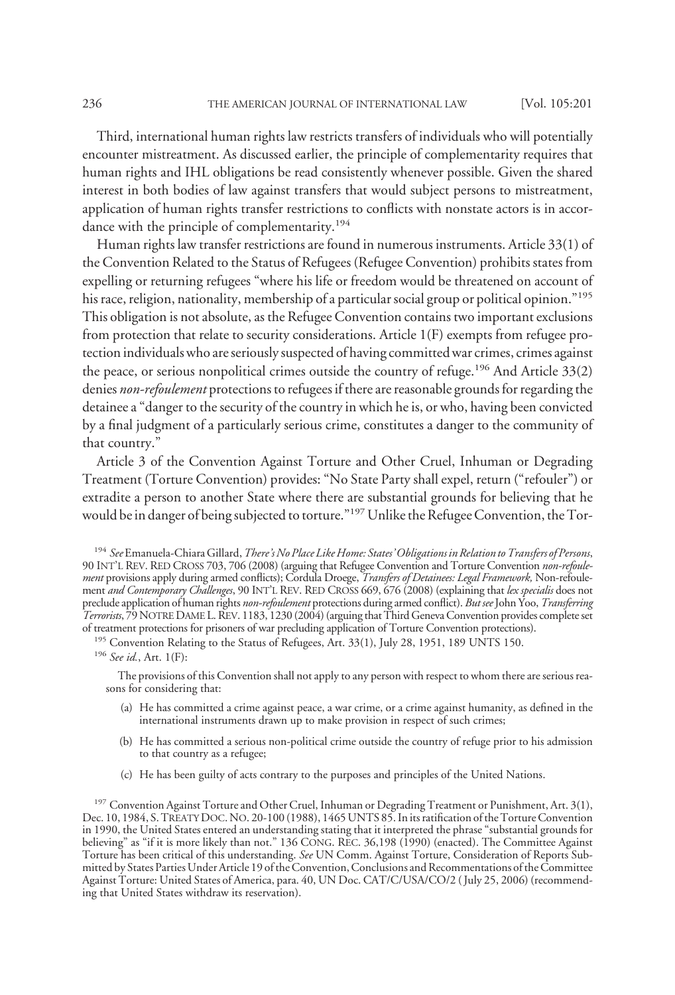Third, international human rights law restricts transfers of individuals who will potentially encounter mistreatment. As discussed earlier, the principle of complementarity requires that human rights and IHL obligations be read consistently whenever possible. Given the shared interest in both bodies of law against transfers that would subject persons to mistreatment, application of human rights transfer restrictions to conflicts with nonstate actors is in accordance with the principle of complementarity.<sup>194</sup>

Human rights law transfer restrictions are found in numerous instruments. Article 33(1) of the Convention Related to the Status of Refugees (Refugee Convention) prohibits states from expelling or returning refugees "where his life or freedom would be threatened on account of his race, religion, nationality, membership of a particular social group or political opinion."<sup>195</sup> This obligation is not absolute, as the Refugee Convention contains two important exclusions from protection that relate to security considerations. Article 1(F) exempts from refugee protection individuals who are seriously suspected of having committed war crimes, crimes against the peace, or serious nonpolitical crimes outside the country of refuge.<sup>196</sup> And Article  $33(2)$ denies *non-refoulement* protections to refugees if there are reasonable grounds for regarding the detainee a "danger to the security of the country in which he is, or who, having been convicted by a final judgment of a particularly serious crime, constitutes a danger to the community of that country."

Article 3 of the Convention Against Torture and Other Cruel, Inhuman or Degrading Treatment (Torture Convention) provides: "No State Party shall expel, return ("refouler") or extradite a person to another State where there are substantial grounds for believing that he would be in danger of being subjected to torture."<sup>197</sup> Unlike the Refugee Convention, the Tor-

<sup>194</sup> *See*Emanuela-Chiara Gillard,*There's No Place Like Home: States' Obligationsin Relationto Transfers of Persons*, 90 INT'L REV. RED CROSS 703, 706 (2008) (arguing that Refugee Convention and Torture Convention *non-refoulement* provisions apply during armed conflicts); Cordula Droege, *Transfers of Detainees: Legal Framework,* Non-refoulement *and Contemporary Challenges*, 90 INT'L REV. RED CROSS 669, 676 (2008) (explaining that *lex specialis* does not preclude application of human rights *non-refoulement* protections during armed conflict). *But see*John Yoo,*Transferring Terrorists*, 79 NOTREDAME L. REV. 1183, 1230 (2004) (arguing that Third Geneva Convention provides complete set of treatment protections for prisoners of war precluding application of Torture Convention protections).

<sup>195</sup> Convention Relating to the Status of Refugees, Art. 33(1), July 28, 1951, 189 UNTS 150.

The provisions of this Convention shall not apply to any person with respect to whom there are serious reasons for considering that:

- (a) He has committed a crime against peace, a war crime, or a crime against humanity, as defined in the international instruments drawn up to make provision in respect of such crimes;
- (b) He has committed a serious non-political crime outside the country of refuge prior to his admission to that country as a refugee;
- (c) He has been guilty of acts contrary to the purposes and principles of the United Nations.

<sup>197</sup> Convention Against Torture and Other Cruel, Inhuman or Degrading Treatment or Punishment, Art. 3(1), Dec. 10, 1984, S. TREATYDOC. NO. 20-100 (1988), 1465 UNTS 85. In its ratification of the Torture Convention in 1990, the United States entered an understanding stating that it interpreted the phrase "substantial grounds for believing" as "if it is more likely than not." 136 CONG. REC. 36,198 (1990) (enacted). The Committee Against Torture has been critical of this understanding. *See* UN Comm. Against Torture, Consideration of Reports Submitted by States Parties Under Article 19 of the Convention, Conclusions and Recommentations of the Committee Against Torture: United States of America, para. 40, UN Doc. CAT/C/USA/CO/2 ( July 25, 2006) (recommending that United States withdraw its reservation).

<sup>196</sup> *See id.*, Art. 1(F):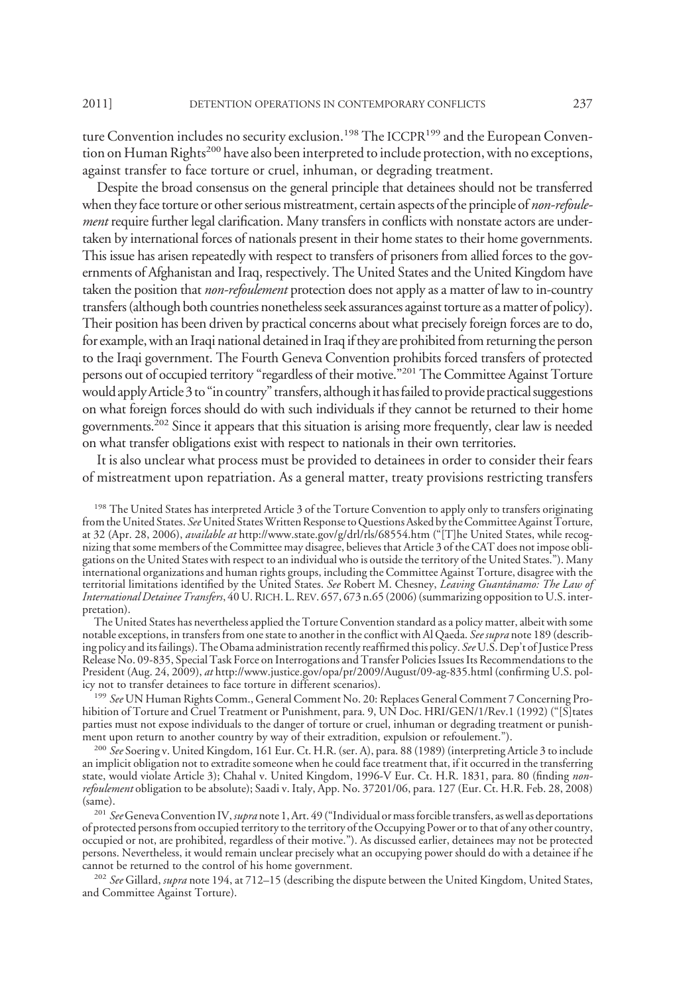ture Convention includes no security exclusion.<sup>198</sup> The ICCPR<sup>199</sup> and the European Convention on Human Rights<sup>200</sup> have also been interpreted to include protection, with no exceptions, against transfer to face torture or cruel, inhuman, or degrading treatment.

Despite the broad consensus on the general principle that detainees should not be transferred when they face torture or other serious mistreatment, certain aspects of the principle of *non-refoulement* require further legal clarification. Many transfers in conflicts with nonstate actors are undertaken by international forces of nationals present in their home states to their home governments. This issue has arisen repeatedly with respect to transfers of prisoners from allied forces to the governments of Afghanistan and Iraq, respectively. The United States and the United Kingdom have taken the position that *non-refoulement* protection does not apply as a matter of law to in-country transfers (although both countries nonetheless seek assurances against torture as a matter of policy). Their position has been driven by practical concerns about what precisely foreign forces are to do, for example, with an Iraqi national detained in Iraq if they are prohibited from returning the person to the Iraqi government. The Fourth Geneva Convention prohibits forced transfers of protected persons out of occupied territory "regardless of their motive."<sup>201</sup> The Committee Against Torture would apply Article 3 to "in country" transfers, although it has failed to provide practical suggestions on what foreign forces should do with such individuals if they cannot be returned to their home governments.202 Since it appears that this situation is arising more frequently, clear law is needed on what transfer obligations exist with respect to nationals in their own territories.

It is also unclear what process must be provided to detainees in order to consider their fears of mistreatment upon repatriation. As a general matter, treaty provisions restricting transfers

<sup>198</sup> The United States has interpreted Article 3 of the Torture Convention to apply only to transfers originating from the United States. *See*United StatesWritten Response to Questions Asked by theCommittee Against Torture, at 32 (Apr. 28, 2006), *available at* http://www.state.gov/g/drl/rls/68554.htm ("[T]he United States, while recognizing that some members of the Committee may disagree, believes that Article 3 of the CAT does not impose obligations on the United States with respect to an individual who is outside the territory of the United States."). Many international organizations and human rights groups, including the Committee Against Torture, disagree with the territorial limitations identified by the United States. *See* Robert M. Chesney, *Leaving Guanta´namo: The Law of International Detainee Transfers*, 40 U. RICH. L. REV. 657, 673 n.65 (2006) (summarizing opposition to U.S. interpretation).

The United States has nevertheless applied the Torture Convention standard as a policy matter, albeit with some notable exceptions, in transfers from one state to another in the conflict with Al Qaeda. *See supra* note 189 (describing policy and itsfailings). The Obama administration recently reaffirmed this policy. *See*U.S. Dep't of Justice Press Release No. 09-835, Special Task Force on Interrogations and Transfer Policies Issues Its Recommendations to the President (Aug. 24, 2009), *at* http://www.justice.gov/opa/pr/2009/August/09-ag-835.html (confirming U.S. policy not to transfer detainees to face torture in different scenarios).

<sup>199</sup> *See* UN Human Rights Comm., General Comment No. 20: Replaces General Comment 7 Concerning Prohibition of Torture and Cruel Treatment or Punishment, para. 9, UN Doc. HRI/GEN/1/Rev.1 (1992) ("[S]tates parties must not expose individuals to the danger of torture or cruel, inhuman or degrading treatment or punishment upon return to another country by way of their extradition, expulsion or refoulement.").

<sup>200</sup> *See* Soering v. United Kingdom, 161 Eur. Ct. H.R. (ser. A), para. 88 (1989) (interpreting Article 3 to include an implicit obligation not to extradite someone when he could face treatment that, if it occurred in the transferring state, would violate Article 3); Chahal v. United Kingdom, 1996-V Eur. Ct. H.R. 1831, para. 80 (finding *nonrefoulement* obligation to be absolute); Saadi v. Italy, App. No. 37201/06, para. 127 (Eur. Ct. H.R. Feb. 28, 2008) (same).

<sup>201</sup> *See*GenevaConvention IV, *supra* note 1, Art. 49 ("Individual or massforcible transfers, as well as deportations of protected persons from occupied territory to the territory of the Occupying Power or to that of any other country, occupied or not, are prohibited, regardless of their motive."). As discussed earlier, detainees may not be protected persons. Nevertheless, it would remain unclear precisely what an occupying power should do with a detainee if he cannot be returned to the control of his home government.

<sup>202</sup> *See* Gillard, *supra* note 194, at 712–15 (describing the dispute between the United Kingdom, United States, and Committee Against Torture).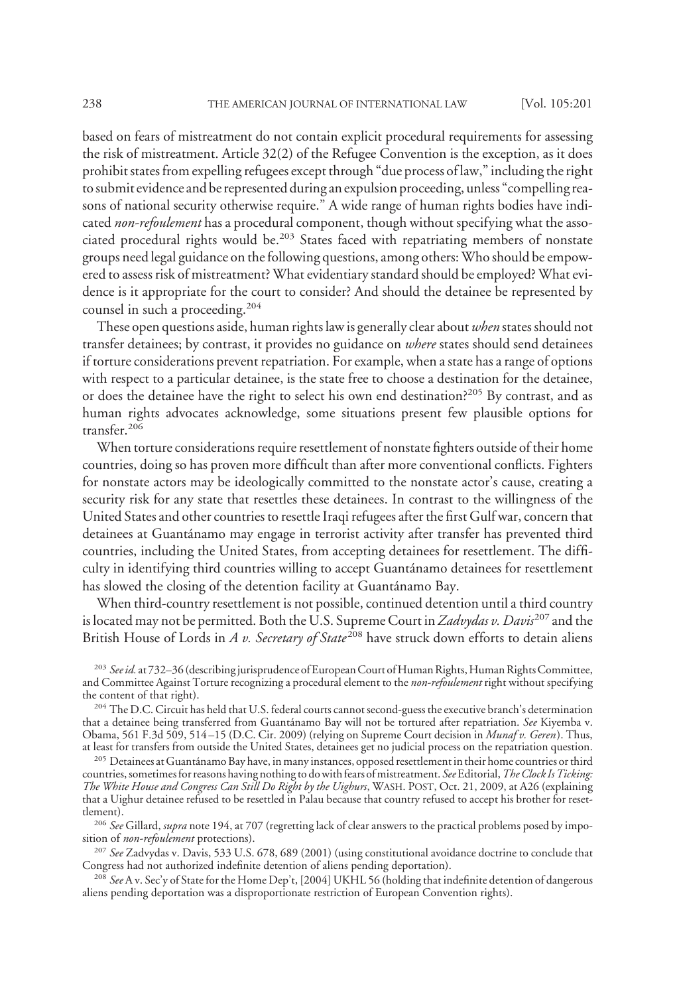based on fears of mistreatment do not contain explicit procedural requirements for assessing the risk of mistreatment. Article 32(2) of the Refugee Convention is the exception, as it does prohibit states from expelling refugees except through "due process of law," including the right to submit evidence and be represented during an expulsion proceeding, unless "compelling reasons of national security otherwise require." A wide range of human rights bodies have indicated *non-refoulement* has a procedural component, though without specifying what the associated procedural rights would be.<sup>203</sup> States faced with repatriating members of nonstate groups need legal guidance on the following questions, among others:Who should be empowered to assess risk of mistreatment? What evidentiary standard should be employed? What evidence is it appropriate for the court to consider? And should the detainee be represented by counsel in such a proceeding.<sup>204</sup>

These open questions aside, human rights law is generally clear about*when* states should not transfer detainees; by contrast, it provides no guidance on *where* states should send detainees if torture considerations prevent repatriation. For example, when a state has a range of options with respect to a particular detainee, is the state free to choose a destination for the detainee, or does the detainee have the right to select his own end destination?<sup>205</sup> By contrast, and as human rights advocates acknowledge, some situations present few plausible options for transfer.<sup>206</sup>

When torture considerations require resettlement of nonstate fighters outside of their home countries, doing so has proven more difficult than after more conventional conflicts. Fighters for nonstate actors may be ideologically committed to the nonstate actor's cause, creating a security risk for any state that resettles these detainees. In contrast to the willingness of the United States and other countries to resettle Iraqi refugees after the first Gulf war, concern that detainees at Guantánamo may engage in terrorist activity after transfer has prevented third countries, including the United States, from accepting detainees for resettlement. The difficulty in identifying third countries willing to accept Guantánamo detainees for resettlement has slowed the closing of the detention facility at Guantánamo Bay.

When third-country resettlement is not possible, continued detention until a third country is located may not be permitted. Both the U.S. Supreme Court in *Zadvydas v. Davis*<sup>207</sup> and the British House of Lords in *A v. Secretary of State<sup>208</sup>* have struck down efforts to detain aliens

<sup>203</sup> See id. at 732–36 (describing jurisprudence of European Court of Human Rights, Human Rights Committee, and Committee Against Torture recognizing a procedural element to the *non-refoulement* right without specifying the content of that right).

<sup>204</sup> The D.C. Circuit has held that U.S. federal courts cannot second-guess the executive branch's determination that a detainee being transferred from Guantánamo Bay will not be tortured after repatriation. *See* Kiyemba v. Obama, 561 F.3d 509, 514 –15 (D.C. Cir. 2009) (relying on Supreme Court decision in *Munaf v. Geren*). Thus, at least for transfers from outside the United States, detainees get no judicial process on the repatriation question.

<sup>205</sup> Detainees at Guantánamo Bay have, in many instances, opposed resettlement in their home countries or third countries, sometimesfor reasons having nothing to do withfears of mistreatment. *See*Editorial,*The Clock Is Ticking: The White House and Congress Can Still Do Right by the Uighurs*, WASH. POST, Oct. 21, 2009, at A26 (explaining that a Uighur detainee refused to be resettled in Palau because that country refused to accept his brother for resettlement).

<sup>206</sup> *See* Gillard, *supra* note 194, at 707 (regretting lack of clear answers to the practical problems posed by imposition of *non-refoulement* protections).

<sup>207</sup> *See* Zadvydas v. Davis, 533 U.S. 678, 689 (2001) (using constitutional avoidance doctrine to conclude that Congress had not authorized indefinite detention of aliens pending deportation).

<sup>208</sup> *See* A v. Sec'y of State for the Home Dep't, [2004] UKHL 56 (holding that indefinite detention of dangerous aliens pending deportation was a disproportionate restriction of European Convention rights).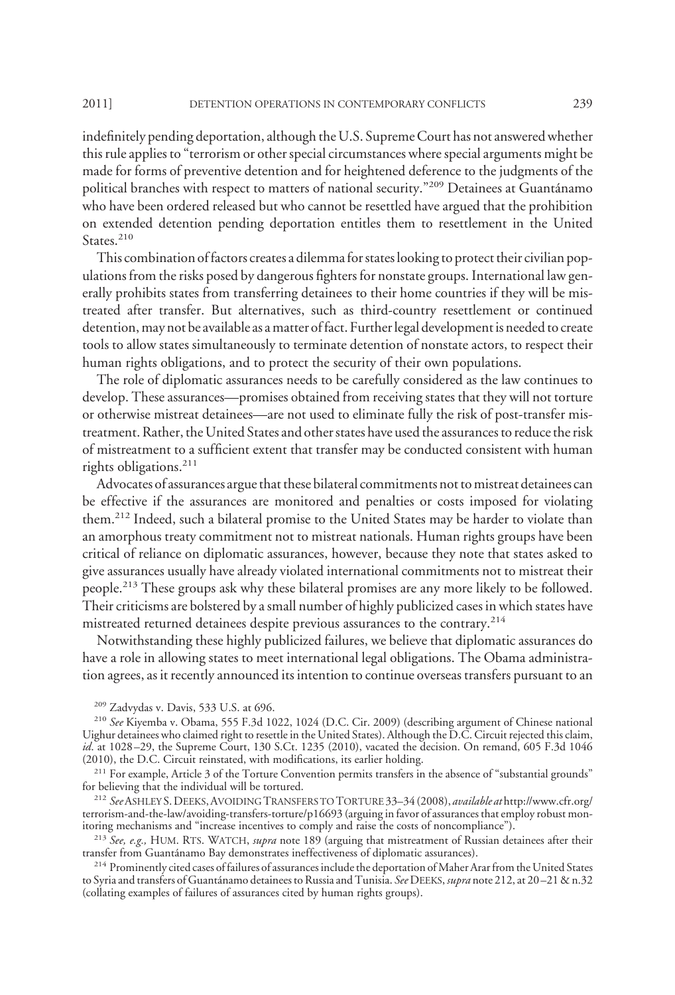indefinitely pending deportation, although the U.S. Supreme Court has not answered whether this rule applies to "terrorism or other special circumstances where special arguments might be made for forms of preventive detention and for heightened deference to the judgments of the political branches with respect to matters of national security."<sup>209</sup> Detainees at Guantánamo who have been ordered released but who cannot be resettled have argued that the prohibition on extended detention pending deportation entitles them to resettlement in the United States.<sup>210</sup>

This combination of factors creates a dilemma for states looking to protect their civilian populations from the risks posed by dangerous fighters for nonstate groups. International law generally prohibits states from transferring detainees to their home countries if they will be mistreated after transfer. But alternatives, such as third-country resettlement or continued detention, may not be available as a matter offact. Further legal development is needed to create tools to allow states simultaneously to terminate detention of nonstate actors, to respect their human rights obligations, and to protect the security of their own populations.

The role of diplomatic assurances needs to be carefully considered as the law continues to develop. These assurances—promises obtained from receiving states that they will not torture or otherwise mistreat detainees—are not used to eliminate fully the risk of post-transfer mistreatment. Rather, the United States and other states have used the assurances to reduce the risk of mistreatment to a sufficient extent that transfer may be conducted consistent with human rights obligations.<sup>211</sup>

Advocates of assurances argue that these bilateral commitments not to mistreat detainees can be effective if the assurances are monitored and penalties or costs imposed for violating them.<sup>212</sup> Indeed, such a bilateral promise to the United States may be harder to violate than an amorphous treaty commitment not to mistreat nationals. Human rights groups have been critical of reliance on diplomatic assurances, however, because they note that states asked to give assurances usually have already violated international commitments not to mistreat their people.<sup>213</sup> These groups ask why these bilateral promises are any more likely to be followed. Their criticisms are bolstered by a small number of highly publicized cases in which states have mistreated returned detainees despite previous assurances to the contrary.<sup>214</sup>

Notwithstanding these highly publicized failures, we believe that diplomatic assurances do have a role in allowing states to meet international legal obligations. The Obama administration agrees, as it recently announced its intention to continue overseas transfers pursuant to an

<sup>212</sup> *See*ASHLEY S. DEEKS, AVOIDING TRANSFERS TOTORTURE 33–34 (2008), *available at* http://www.cfr.org/ terrorism-and-the-law/avoiding-transfers-torture/p16693 (arguing in favor of assurances that employ robust monitoring mechanisms and "increase incentives to comply and raise the costs of noncompliance").

<sup>213</sup> *See, e.g.,* HUM. RTS. WATCH, *supra* note 189 (arguing that mistreatment of Russian detainees after their transfer from Guantánamo Bay demonstrates ineffectiveness of diplomatic assurances).

<sup>214</sup> Prominently cited cases of failures of assurances include the deportation of Maher Arar from the United States to Syria and transfers of Guantánamo detainees to Russia and Tunisia. *See* DEEKS, *supra* note 212, at 20–21 & n.32 (collating examples of failures of assurances cited by human rights groups).

<sup>209</sup> Zadvydas v. Davis, 533 U.S. at 696.

<sup>210</sup> *See* Kiyemba v. Obama, 555 F.3d 1022, 1024 (D.C. Cir. 2009) (describing argument of Chinese national Uighur detainees who claimed right to resettle in the United States). Although the D.C. Circuit rejected this claim, *id*. at 1028 –29, the Supreme Court, 130 S.Ct. 1235 (2010), vacated the decision. On remand, 605 F.3d 1046 (2010), the D.C. Circuit reinstated, with modifications, its earlier holding.

<sup>&</sup>lt;sup>211</sup> For example, Article 3 of the Torture Convention permits transfers in the absence of "substantial grounds" for believing that the individual will be tortured.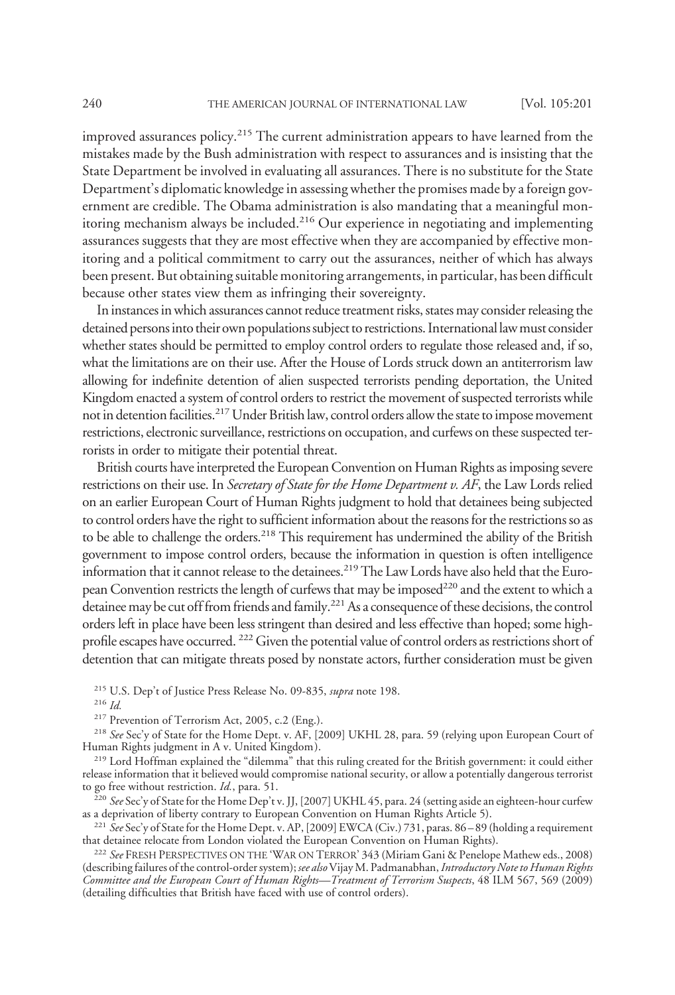improved assurances policy.<sup>215</sup> The current administration appears to have learned from the mistakes made by the Bush administration with respect to assurances and is insisting that the State Department be involved in evaluating all assurances. There is no substitute for the State Department's diplomatic knowledge in assessing whether the promises made by a foreign government are credible. The Obama administration is also mandating that a meaningful monitoring mechanism always be included.<sup>216</sup> Our experience in negotiating and implementing assurances suggests that they are most effective when they are accompanied by effective monitoring and a political commitment to carry out the assurances, neither of which has always been present. But obtaining suitable monitoring arrangements, in particular, has been difficult because other states view them as infringing their sovereignty.

In instances in which assurances cannot reduce treatment risks, states may consider releasing the detained persons into their own populations subject to restrictions. International law must consider whether states should be permitted to employ control orders to regulate those released and, if so, what the limitations are on their use. After the House of Lords struck down an antiterrorism law allowing for indefinite detention of alien suspected terrorists pending deportation, the United Kingdom enacted a system of control orders to restrict the movement of suspected terrorists while not in detention facilities.<sup>217</sup> Under British law, control orders allow the state to impose movement restrictions, electronic surveillance, restrictions on occupation, and curfews on these suspected terrorists in order to mitigate their potential threat.

British courts have interpreted the European Convention on Human Rights as imposing severe restrictions on their use. In *Secretary of State for the Home Department v. AF*, the Law Lords relied on an earlier European Court of Human Rights judgment to hold that detainees being subjected to control orders have the right to sufficient information about the reasons for the restrictions so as to be able to challenge the orders.<sup>218</sup> This requirement has undermined the ability of the British government to impose control orders, because the information in question is often intelligence information that it cannot release to the detainees.<sup>219</sup> The Law Lords have also held that the European Convention restricts the length of curfews that may be imposed<sup>220</sup> and the extent to which a detainee may be cut off from friends and family.<sup>221</sup> As a consequence of these decisions, the control orders left in place have been less stringent than desired and less effective than hoped; some highprofile escapes have occurred. <sup>222</sup> Given the potential value of control orders as restrictions short of detention that can mitigate threats posed by nonstate actors, further consideration must be given

<sup>215</sup> U.S. Dep't of Justice Press Release No. 09-835, *supra* note 198.

<sup>216</sup> *Id.*

<sup>217</sup> Prevention of Terrorism Act, 2005, c.2 (Eng.).

<sup>218</sup> *See* Sec'y of State for the Home Dept. v. AF, [2009] UKHL 28, para. 59 (relying upon European Court of Human Rights judgment in A v. United Kingdom).

<sup>219</sup> Lord Hoffman explained the "dilemma" that this ruling created for the British government: it could either release information that it believed would compromise national security, or allow a potentially dangerous terrorist to go free without restriction. *Id.*, para. 51.

<sup>220</sup> See Sec'y of State for the Home Dep't v. JJ, [2007] UKHL 45, para. 24 (setting aside an eighteen-hour curfew as a deprivation of liberty contrary to European Convention on Human Rights Article 5).

<sup>221</sup> See Sec'y of State for the Home Dept. v. AP, [2009] EWCA (Civ.) 731, paras. 86–89 (holding a requirement that detainee relocate from London violated the European Convention on Human Rights).

<sup>222</sup> *See* FRESH PERSPECTIVES ON THE 'WAR ON TERROR' 343 (Miriam Gani & Penelope Mathew eds., 2008) (describing failures of the control-order system); *see also*Vijay M. Padmanabhan,*Introductory Note to Human Rights Committee and the European Court of Human Rights—Treatment of Terrorism Suspects*, 48 ILM 567, 569 (2009) (detailing difficulties that British have faced with use of control orders).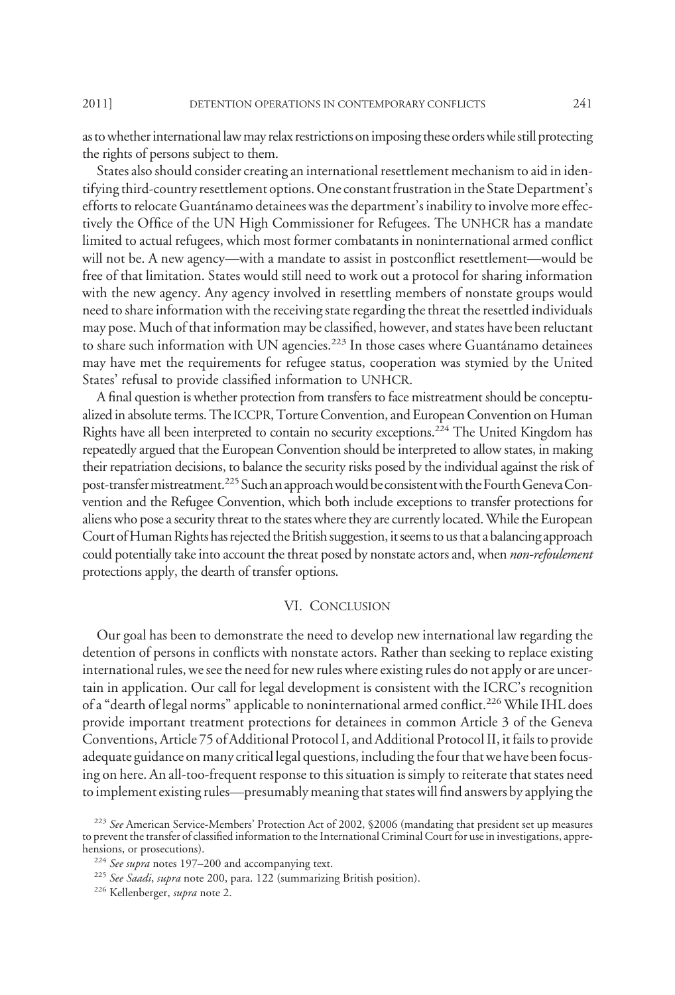as to whether international law may relax restrictions on imposing these orders while still protecting the rights of persons subject to them.

States also should consider creating an international resettlement mechanism to aid in identifying third-country resettlement options. One constant frustration in the State Department's efforts to relocate Guantánamo detainees was the department's inability to involve more effectively the Office of the UN High Commissioner for Refugees. The UNHCR has a mandate limited to actual refugees, which most former combatants in noninternational armed conflict will not be. A new agency—with a mandate to assist in postconflict resettlement—would be free of that limitation. States would still need to work out a protocol for sharing information with the new agency. Any agency involved in resettling members of nonstate groups would need to share information with the receiving state regarding the threat the resettled individuals may pose. Much of that information may be classified, however, and states have been reluctant to share such information with UN agencies.<sup>223</sup> In those cases where Guantánamo detainees may have met the requirements for refugee status, cooperation was stymied by the United States' refusal to provide classified information to UNHCR.

A final question is whether protection from transfers to face mistreatment should be conceptualized in absolute terms. The ICCPR, Torture Convention, and European Convention on Human Rights have all been interpreted to contain no security exceptions.224 The United Kingdom has repeatedly argued that the European Convention should be interpreted to allow states, in making their repatriation decisions, to balance the security risks posed by the individual against the risk of post-transfer mistreatment.<sup>225</sup> Such an approach would be consistent with the Fourth Geneva Convention and the Refugee Convention, which both include exceptions to transfer protections for aliens who pose a security threat to the states where they are currently located.While the European Court of Human Rights has rejected the British suggestion, it seems to us that a balancing approach could potentially take into account the threat posed by nonstate actors and, when *non-refoulement* protections apply, the dearth of transfer options.

## VI. CONCLUSION

Our goal has been to demonstrate the need to develop new international law regarding the detention of persons in conflicts with nonstate actors. Rather than seeking to replace existing international rules, we see the need for new rules where existing rules do not apply or are uncertain in application. Our call for legal development is consistent with the ICRC's recognition of a "dearth of legal norms" applicable to noninternational armed conflict.<sup>226</sup> While IHL does provide important treatment protections for detainees in common Article 3 of the Geneva Conventions, Article 75 of Additional Protocol I, and Additional Protocol II, it fails to provide adequate guidance on many critical legal questions, including the four that we have been focusing on here. An all-too-frequent response to this situation is simply to reiterate that states need to implement existing rules—presumably meaning that states will find answers by applying the

<sup>223</sup> *See* American Service-Members' Protection Act of 2002, §2006 (mandating that president set up measures to prevent the transfer of classified information to the International Criminal Court for use in investigations, apprehensions, or prosecutions).

<sup>224</sup> *See supra* notes 197–200 and accompanying text.

<sup>225</sup> *See Saadi*, *supra* note 200, para. 122 (summarizing British position).

<sup>226</sup> Kellenberger, *supra* note 2.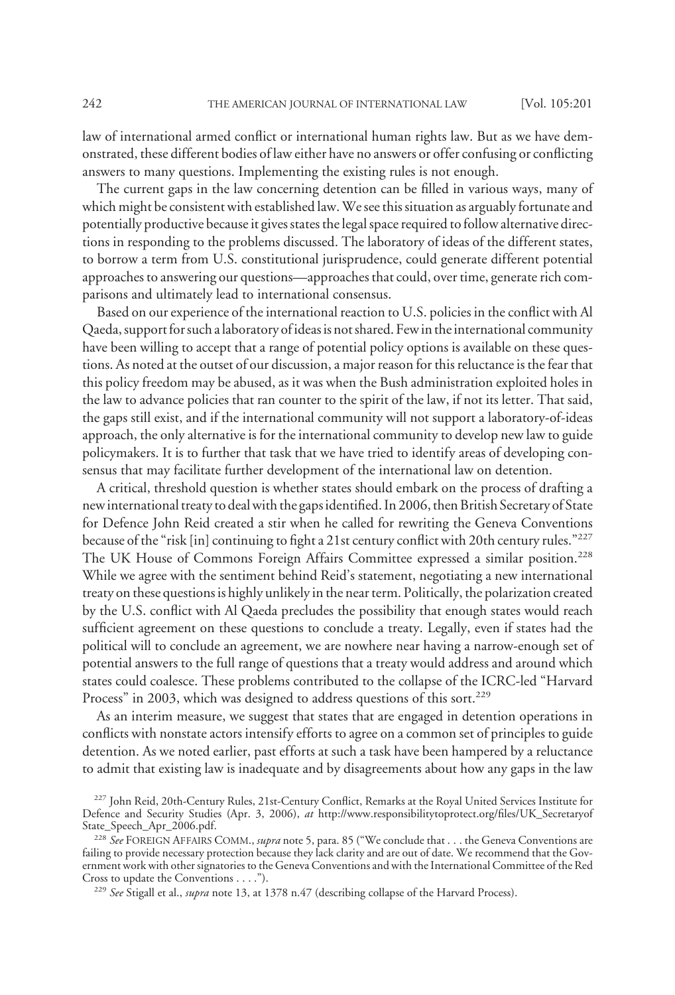law of international armed conflict or international human rights law. But as we have demonstrated, these different bodies of law either have no answers or offer confusing or conflicting answers to many questions. Implementing the existing rules is not enough.

The current gaps in the law concerning detention can be filled in various ways, many of which might be consistent with established law.We see this situation as arguably fortunate and potentially productive because it gives states the legal space required to follow alternative directions in responding to the problems discussed. The laboratory of ideas of the different states, to borrow a term from U.S. constitutional jurisprudence, could generate different potential approaches to answering our questions—approaches that could, over time, generate rich comparisons and ultimately lead to international consensus.

Based on our experience of the international reaction to U.S. policies in the conflict with Al Qaeda, support for such a laboratory of ideas is not shared. Few in the international community have been willing to accept that a range of potential policy options is available on these questions. As noted at the outset of our discussion, a major reason for this reluctance is the fear that this policy freedom may be abused, as it was when the Bush administration exploited holes in the law to advance policies that ran counter to the spirit of the law, if not its letter. That said, the gaps still exist, and if the international community will not support a laboratory-of-ideas approach, the only alternative is for the international community to develop new law to guide policymakers. It is to further that task that we have tried to identify areas of developing consensus that may facilitate further development of the international law on detention.

A critical, threshold question is whether states should embark on the process of drafting a new international treaty to deal with the gaps identified. In 2006, then British Secretary of State for Defence John Reid created a stir when he called for rewriting the Geneva Conventions because of the "risk [in] continuing to fight a 21st century conflict with 20th century rules."<sup>227</sup> The UK House of Commons Foreign Affairs Committee expressed a similar position.<sup>228</sup> While we agree with the sentiment behind Reid's statement, negotiating a new international treaty on these questions is highly unlikely in the near term. Politically, the polarization created by the U.S. conflict with Al Qaeda precludes the possibility that enough states would reach sufficient agreement on these questions to conclude a treaty. Legally, even if states had the political will to conclude an agreement, we are nowhere near having a narrow-enough set of potential answers to the full range of questions that a treaty would address and around which states could coalesce. These problems contributed to the collapse of the ICRC-led "Harvard Process" in 2003, which was designed to address questions of this sort.<sup>229</sup>

As an interim measure, we suggest that states that are engaged in detention operations in conflicts with nonstate actors intensify efforts to agree on a common set of principles to guide detention. As we noted earlier, past efforts at such a task have been hampered by a reluctance to admit that existing law is inadequate and by disagreements about how any gaps in the law

<sup>&</sup>lt;sup>227</sup> John Reid, 20th-Century Rules, 21st-Century Conflict, Remarks at the Royal United Services Institute for Defence and Security Studies (Apr. 3, 2006), *at* http://www.responsibilitytoprotect.org/files/UK\_Secretaryof State\_Speech\_Apr\_2006.pdf.

<sup>228</sup> *See* FOREIGN AFFAIRS COMM., *supra* note 5, para. 85 ("We conclude that . . . the Geneva Conventions are failing to provide necessary protection because they lack clarity and are out of date. We recommend that the Government work with other signatories to the Geneva Conventions and with the International Committee of the Red Cross to update the Conventions... .").

<sup>229</sup> *See* Stigall et al., *supra* note 13, at 1378 n.47 (describing collapse of the Harvard Process).